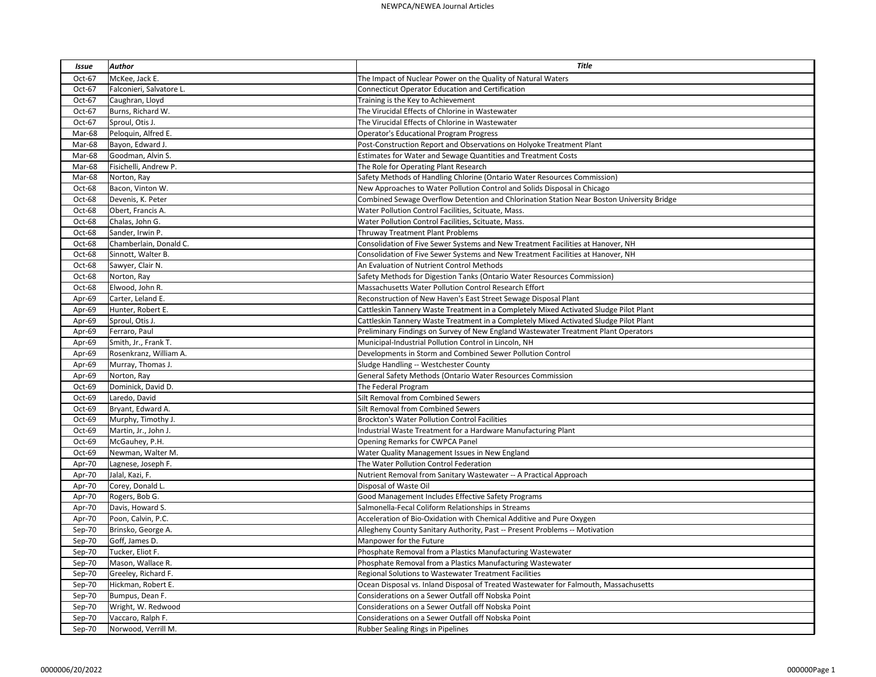| Issue  | <b>Author</b>            | <b>Title</b>                                                                              |
|--------|--------------------------|-------------------------------------------------------------------------------------------|
| Oct-67 | McKee, Jack E.           | The Impact of Nuclear Power on the Quality of Natural Waters                              |
| Oct-67 | Falconieri, Salvatore L. | Connecticut Operator Education and Certification                                          |
| Oct-67 | Caughran, Lloyd          | Training is the Key to Achievement                                                        |
| Oct-67 | Burns, Richard W.        | The Virucidal Effects of Chlorine in Wastewater                                           |
| Oct-67 | Sproul, Otis J.          | The Virucidal Effects of Chlorine in Wastewater                                           |
| Mar-68 | Peloquin, Alfred E.      | <b>Operator's Educational Program Progress</b>                                            |
| Mar-68 | Bayon, Edward J.         | Post-Construction Report and Observations on Holyoke Treatment Plant                      |
| Mar-68 | Goodman, Alvin S.        | Estimates for Water and Sewage Quantities and Treatment Costs                             |
| Mar-68 | Fisichelli, Andrew P.    | The Role for Operating Plant Research                                                     |
| Mar-68 | Norton, Ray              | Safety Methods of Handling Chlorine (Ontario Water Resources Commission)                  |
| Oct-68 | Bacon, Vinton W.         | New Approaches to Water Pollution Control and Solids Disposal in Chicago                  |
| Oct-68 | Devenis, K. Peter        | Combined Sewage Overflow Detention and Chlorination Station Near Boston University Bridge |
| Oct-68 | Obert, Francis A.        | Water Pollution Control Facilities, Scituate, Mass.                                       |
| Oct-68 | Chalas, John G.          | Water Pollution Control Facilities, Scituate, Mass.                                       |
| Oct-68 | Sander, Irwin P.         | Thruway Treatment Plant Problems                                                          |
| Oct-68 | Chamberlain, Donald C.   | Consolidation of Five Sewer Systems and New Treatment Facilities at Hanover, NH           |
| Oct-68 | Sinnott, Walter B.       | Consolidation of Five Sewer Systems and New Treatment Facilities at Hanover, NH           |
| Oct-68 | Sawyer, Clair N.         | An Evaluation of Nutrient Control Methods                                                 |
| Oct-68 | Norton, Ray              | Safety Methods for Digestion Tanks (Ontario Water Resources Commission)                   |
| Oct-68 | Elwood, John R.          | Massachusetts Water Pollution Control Research Effort                                     |
| Apr-69 | Carter, Leland E.        | Reconstruction of New Haven's East Street Sewage Disposal Plant                           |
| Apr-69 | Hunter, Robert E.        | Cattleskin Tannery Waste Treatment in a Completely Mixed Activated Sludge Pilot Plant     |
| Apr-69 | Sproul, Otis J.          | Cattleskin Tannery Waste Treatment in a Completely Mixed Activated Sludge Pilot Plant     |
| Apr-69 | Ferraro, Paul            | Preliminary Findings on Survey of New England Wastewater Treatment Plant Operators        |
| Apr-69 | Smith, Jr., Frank T.     | Municipal-Industrial Pollution Control in Lincoln, NH                                     |
| Apr-69 | Rosenkranz, William A.   | Developments in Storm and Combined Sewer Pollution Control                                |
| Apr-69 | Murray, Thomas J.        | Sludge Handling -- Westchester County                                                     |
| Apr-69 | Norton, Ray              | General Safety Methods (Ontario Water Resources Commission                                |
| Oct-69 | Dominick, David D.       | The Federal Program                                                                       |
| Oct-69 | Laredo, David            | Silt Removal from Combined Sewers                                                         |
| Oct-69 | Bryant, Edward A.        | Silt Removal from Combined Sewers                                                         |
| Oct-69 | Murphy, Timothy J.       | <b>Brockton's Water Pollution Control Facilities</b>                                      |
| Oct-69 | Martin, Jr., John J.     | Industrial Waste Treatment for a Hardware Manufacturing Plant                             |
| Oct-69 | McGauhey, P.H.           | <b>Opening Remarks for CWPCA Panel</b>                                                    |
| Oct-69 | Newman, Walter M.        | Water Quality Management Issues in New England                                            |
| Apr-70 | Lagnese, Joseph F.       | The Water Pollution Control Federation                                                    |
| Apr-70 | Jalal, Kazi, F.          | Nutrient Removal from Sanitary Wastewater -- A Practical Approach                         |
| Apr-70 | Corey, Donald L.         | Disposal of Waste Oil                                                                     |
| Apr-70 | Rogers, Bob G.           | Good Management Includes Effective Safety Programs                                        |
| Apr-70 | Davis, Howard S.         | Salmonella-Fecal Coliform Relationships in Streams                                        |
| Apr-70 | Poon, Calvin, P.C.       | Acceleration of Bio-Oxidation with Chemical Additive and Pure Oxygen                      |
| Sep-70 | Brinsko, George A.       | Allegheny County Sanitary Authority, Past -- Present Problems -- Motivation               |
| Sep-70 | Goff, James D.           | Manpower for the Future                                                                   |
| Sep-70 | Tucker, Eliot F.         | Phosphate Removal from a Plastics Manufacturing Wastewater                                |
| Sep-70 | Mason, Wallace R.        | Phosphate Removal from a Plastics Manufacturing Wastewater                                |
| Sep-70 | Greeley, Richard F.      | Regional Solutions to Wastewater Treatment Facilities                                     |
| Sep-70 | Hickman, Robert E.       | Ocean Disposal vs. Inland Disposal of Treated Wastewater for Falmouth, Massachusetts      |
| Sep-70 | Bumpus, Dean F.          | Considerations on a Sewer Outfall off Nobska Point                                        |
| Sep-70 | Wright, W. Redwood       | Considerations on a Sewer Outfall off Nobska Point                                        |
| Sep-70 | Vaccaro, Ralph F.        | Considerations on a Sewer Outfall off Nobska Point                                        |
| Sep-70 | Norwood, Verrill M.      | Rubber Sealing Rings in Pipelines                                                         |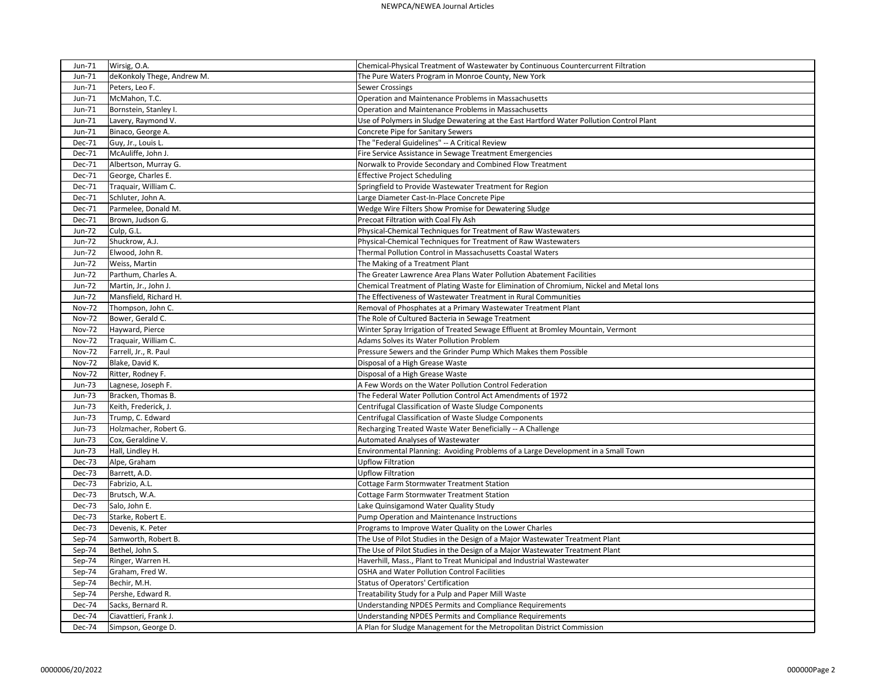| Jun-71<br>deKonkoly Thege, Andrew M.<br>The Pure Waters Program in Monroe County, New York<br>Jun-71<br>Peters, Leo F.<br><b>Sewer Crossings</b><br>Operation and Maintenance Problems in Massachusetts<br>Jun-71<br>McMahon, T.C.<br>Operation and Maintenance Problems in Massachusetts<br>Jun-71<br>Bornstein, Stanley I.<br>Jun-71<br>Lavery, Raymond V.<br>Use of Polymers in Sludge Dewatering at the East Hartford Water Pollution Control Plant<br>Jun-71<br>Binaco, George A.<br>Concrete Pipe for Sanitary Sewers<br>The "Federal Guidelines" -- A Critical Review<br>Guy, Jr., Louis L.<br>Dec-71<br>McAuliffe, John J.<br>Dec-71<br>Fire Service Assistance in Sewage Treatment Emergencies<br>Norwalk to Provide Secondary and Combined Flow Treatment<br>Dec-71<br>Albertson, Murray G.<br>George, Charles E.<br><b>Effective Project Scheduling</b><br>Dec-71<br>Springfield to Provide Wastewater Treatment for Region<br>Traquair, William C.<br>Dec-71<br>Schluter, John A.<br>Large Diameter Cast-In-Place Concrete Pipe<br>Dec-71<br>Wedge Wire Filters Show Promise for Dewatering Sludge<br>Dec-71<br>Parmelee, Donald M.<br>Precoat Filtration with Coal Fly Ash<br>Dec-71<br>Brown, Judson G.<br><b>Jun-72</b><br>Culp, G.L.<br>Physical-Chemical Techniques for Treatment of Raw Wastewaters<br>Physical-Chemical Techniques for Treatment of Raw Wastewaters<br><b>Jun-72</b><br>Shuckrow, A.J.<br>Elwood, John R.<br>Thermal Pollution Control in Massachusetts Coastal Waters<br>Jun-72<br>The Making of a Treatment Plant<br><b>Jun-72</b><br>Weiss, Martin<br>The Greater Lawrence Area Plans Water Pollution Abatement Facilities<br>Jun-72<br>Parthum, Charles A.<br>Martin, Jr., John J.<br>Chemical Treatment of Plating Waste for Elimination of Chromium, Nickel and Metal Ions<br><b>Jun-72</b><br>The Effectiveness of Wastewater Treatment in Rural Communities<br><b>Jun-72</b><br>Mansfield, Richard H.<br><b>Nov-72</b><br>Thompson, John C.<br>Removal of Phosphates at a Primary Wastewater Treatment Plant<br>The Role of Cultured Bacteria in Sewage Treatment<br><b>Nov-72</b><br>Bower, Gerald C.<br><b>Nov-72</b><br>Hayward, Pierce<br>Winter Spray Irrigation of Treated Sewage Effluent at Bromley Mountain, Vermont<br>Adams Solves its Water Pollution Problem<br><b>Nov-72</b><br>Traquair, William C.<br>Pressure Sewers and the Grinder Pump Which Makes them Possible<br><b>Nov-72</b><br>Farrell, Jr., R. Paul<br><b>Nov-72</b><br>Blake, David K.<br>Disposal of a High Grease Waste<br>Disposal of a High Grease Waste<br>Nov-72<br>Ritter, Rodney F.<br>A Few Words on the Water Pollution Control Federation<br><b>Jun-73</b><br>Lagnese, Joseph F.<br>The Federal Water Pollution Control Act Amendments of 1972<br><b>Jun-73</b><br>Bracken, Thomas B.<br>Centrifugal Classification of Waste Sludge Components<br><b>Jun-73</b><br>Keith, Frederick, J.<br>Centrifugal Classification of Waste Sludge Components<br>Trump, C. Edward<br>Jun-73<br><b>Jun-73</b><br>Holzmacher, Robert G.<br>Recharging Treated Waste Water Beneficially -- A Challenge<br>Automated Analyses of Wastewater<br>Jun-73<br>Cox, Geraldine V.<br>Environmental Planning: Avoiding Problems of a Large Development in a Small Town<br>Jun-73<br>Hall, Lindley H.<br>Alpe, Graham<br><b>Upflow Filtration</b><br>Dec-73<br><b>Upflow Filtration</b><br>Barrett, A.D.<br>Dec-73<br>Dec-73<br>Fabrizio, A.L.<br>Cottage Farm Stormwater Treatment Station<br>Dec-73<br>Brutsch, W.A.<br>Cottage Farm Stormwater Treatment Station<br>Dec-73<br>Salo, John E.<br>Lake Quinsigamond Water Quality Study<br>Pump Operation and Maintenance Instructions<br>Dec-73<br>Starke, Robert E.<br>Dec-73<br>Devenis, K. Peter<br>Programs to Improve Water Quality on the Lower Charles<br>The Use of Pilot Studies in the Design of a Major Wastewater Treatment Plant<br>Sep-74<br>Samworth, Robert B.<br>The Use of Pilot Studies in the Design of a Major Wastewater Treatment Plant<br>Bethel, John S.<br>Sep-74<br>Ringer, Warren H.<br>Haverhill, Mass., Plant to Treat Municipal and Industrial Wastewater<br>Sep-74<br>Graham, Fred W.<br>OSHA and Water Pollution Control Facilities<br>Sep-74<br>Bechir, M.H.<br><b>Status of Operators' Certification</b><br>Sep-74<br>Treatability Study for a Pulp and Paper Mill Waste<br>Sep-74<br>Pershe, Edward R.<br>Understanding NPDES Permits and Compliance Requirements<br>Sacks, Bernard R.<br>Dec-74<br><b>Dec-74</b><br>Understanding NPDES Permits and Compliance Requirements<br>Ciavattieri, Frank J. | Jun-71        | Wirsig, O.A.       | Chemical-Physical Treatment of Wastewater by Continuous Countercurrent Filtration |
|----------------------------------------------------------------------------------------------------------------------------------------------------------------------------------------------------------------------------------------------------------------------------------------------------------------------------------------------------------------------------------------------------------------------------------------------------------------------------------------------------------------------------------------------------------------------------------------------------------------------------------------------------------------------------------------------------------------------------------------------------------------------------------------------------------------------------------------------------------------------------------------------------------------------------------------------------------------------------------------------------------------------------------------------------------------------------------------------------------------------------------------------------------------------------------------------------------------------------------------------------------------------------------------------------------------------------------------------------------------------------------------------------------------------------------------------------------------------------------------------------------------------------------------------------------------------------------------------------------------------------------------------------------------------------------------------------------------------------------------------------------------------------------------------------------------------------------------------------------------------------------------------------------------------------------------------------------------------------------------------------------------------------------------------------------------------------------------------------------------------------------------------------------------------------------------------------------------------------------------------------------------------------------------------------------------------------------------------------------------------------------------------------------------------------------------------------------------------------------------------------------------------------------------------------------------------------------------------------------------------------------------------------------------------------------------------------------------------------------------------------------------------------------------------------------------------------------------------------------------------------------------------------------------------------------------------------------------------------------------------------------------------------------------------------------------------------------------------------------------------------------------------------------------------------------------------------------------------------------------------------------------------------------------------------------------------------------------------------------------------------------------------------------------------------------------------------------------------------------------------------------------------------------------------------------------------------------------------------------------------------------------------------------------------------------------------------------------------------------------------------------------------------------------------------------------------------------------------------------------------------------------------------------------------------------------------------------------------------------------------------------------------------------------------------------------------------------------------------------------------------------------------------------------------------------------------------------------------------------------------------------------------------------------------------------------------------------------------------------------------------------------------------------------------------------------------------------------------------------------------------------------------------------------------------------------------------------------------------|---------------|--------------------|-----------------------------------------------------------------------------------|
|                                                                                                                                                                                                                                                                                                                                                                                                                                                                                                                                                                                                                                                                                                                                                                                                                                                                                                                                                                                                                                                                                                                                                                                                                                                                                                                                                                                                                                                                                                                                                                                                                                                                                                                                                                                                                                                                                                                                                                                                                                                                                                                                                                                                                                                                                                                                                                                                                                                                                                                                                                                                                                                                                                                                                                                                                                                                                                                                                                                                                                                                                                                                                                                                                                                                                                                                                                                                                                                                                                                                                                                                                                                                                                                                                                                                                                                                                                                                                                                                                                                                                                                                                                                                                                                                                                                                                                                                                                                                                                                                                                                                    |               |                    |                                                                                   |
|                                                                                                                                                                                                                                                                                                                                                                                                                                                                                                                                                                                                                                                                                                                                                                                                                                                                                                                                                                                                                                                                                                                                                                                                                                                                                                                                                                                                                                                                                                                                                                                                                                                                                                                                                                                                                                                                                                                                                                                                                                                                                                                                                                                                                                                                                                                                                                                                                                                                                                                                                                                                                                                                                                                                                                                                                                                                                                                                                                                                                                                                                                                                                                                                                                                                                                                                                                                                                                                                                                                                                                                                                                                                                                                                                                                                                                                                                                                                                                                                                                                                                                                                                                                                                                                                                                                                                                                                                                                                                                                                                                                                    |               |                    |                                                                                   |
|                                                                                                                                                                                                                                                                                                                                                                                                                                                                                                                                                                                                                                                                                                                                                                                                                                                                                                                                                                                                                                                                                                                                                                                                                                                                                                                                                                                                                                                                                                                                                                                                                                                                                                                                                                                                                                                                                                                                                                                                                                                                                                                                                                                                                                                                                                                                                                                                                                                                                                                                                                                                                                                                                                                                                                                                                                                                                                                                                                                                                                                                                                                                                                                                                                                                                                                                                                                                                                                                                                                                                                                                                                                                                                                                                                                                                                                                                                                                                                                                                                                                                                                                                                                                                                                                                                                                                                                                                                                                                                                                                                                                    |               |                    |                                                                                   |
|                                                                                                                                                                                                                                                                                                                                                                                                                                                                                                                                                                                                                                                                                                                                                                                                                                                                                                                                                                                                                                                                                                                                                                                                                                                                                                                                                                                                                                                                                                                                                                                                                                                                                                                                                                                                                                                                                                                                                                                                                                                                                                                                                                                                                                                                                                                                                                                                                                                                                                                                                                                                                                                                                                                                                                                                                                                                                                                                                                                                                                                                                                                                                                                                                                                                                                                                                                                                                                                                                                                                                                                                                                                                                                                                                                                                                                                                                                                                                                                                                                                                                                                                                                                                                                                                                                                                                                                                                                                                                                                                                                                                    |               |                    |                                                                                   |
|                                                                                                                                                                                                                                                                                                                                                                                                                                                                                                                                                                                                                                                                                                                                                                                                                                                                                                                                                                                                                                                                                                                                                                                                                                                                                                                                                                                                                                                                                                                                                                                                                                                                                                                                                                                                                                                                                                                                                                                                                                                                                                                                                                                                                                                                                                                                                                                                                                                                                                                                                                                                                                                                                                                                                                                                                                                                                                                                                                                                                                                                                                                                                                                                                                                                                                                                                                                                                                                                                                                                                                                                                                                                                                                                                                                                                                                                                                                                                                                                                                                                                                                                                                                                                                                                                                                                                                                                                                                                                                                                                                                                    |               |                    |                                                                                   |
|                                                                                                                                                                                                                                                                                                                                                                                                                                                                                                                                                                                                                                                                                                                                                                                                                                                                                                                                                                                                                                                                                                                                                                                                                                                                                                                                                                                                                                                                                                                                                                                                                                                                                                                                                                                                                                                                                                                                                                                                                                                                                                                                                                                                                                                                                                                                                                                                                                                                                                                                                                                                                                                                                                                                                                                                                                                                                                                                                                                                                                                                                                                                                                                                                                                                                                                                                                                                                                                                                                                                                                                                                                                                                                                                                                                                                                                                                                                                                                                                                                                                                                                                                                                                                                                                                                                                                                                                                                                                                                                                                                                                    |               |                    |                                                                                   |
|                                                                                                                                                                                                                                                                                                                                                                                                                                                                                                                                                                                                                                                                                                                                                                                                                                                                                                                                                                                                                                                                                                                                                                                                                                                                                                                                                                                                                                                                                                                                                                                                                                                                                                                                                                                                                                                                                                                                                                                                                                                                                                                                                                                                                                                                                                                                                                                                                                                                                                                                                                                                                                                                                                                                                                                                                                                                                                                                                                                                                                                                                                                                                                                                                                                                                                                                                                                                                                                                                                                                                                                                                                                                                                                                                                                                                                                                                                                                                                                                                                                                                                                                                                                                                                                                                                                                                                                                                                                                                                                                                                                                    |               |                    |                                                                                   |
|                                                                                                                                                                                                                                                                                                                                                                                                                                                                                                                                                                                                                                                                                                                                                                                                                                                                                                                                                                                                                                                                                                                                                                                                                                                                                                                                                                                                                                                                                                                                                                                                                                                                                                                                                                                                                                                                                                                                                                                                                                                                                                                                                                                                                                                                                                                                                                                                                                                                                                                                                                                                                                                                                                                                                                                                                                                                                                                                                                                                                                                                                                                                                                                                                                                                                                                                                                                                                                                                                                                                                                                                                                                                                                                                                                                                                                                                                                                                                                                                                                                                                                                                                                                                                                                                                                                                                                                                                                                                                                                                                                                                    |               |                    |                                                                                   |
|                                                                                                                                                                                                                                                                                                                                                                                                                                                                                                                                                                                                                                                                                                                                                                                                                                                                                                                                                                                                                                                                                                                                                                                                                                                                                                                                                                                                                                                                                                                                                                                                                                                                                                                                                                                                                                                                                                                                                                                                                                                                                                                                                                                                                                                                                                                                                                                                                                                                                                                                                                                                                                                                                                                                                                                                                                                                                                                                                                                                                                                                                                                                                                                                                                                                                                                                                                                                                                                                                                                                                                                                                                                                                                                                                                                                                                                                                                                                                                                                                                                                                                                                                                                                                                                                                                                                                                                                                                                                                                                                                                                                    |               |                    |                                                                                   |
|                                                                                                                                                                                                                                                                                                                                                                                                                                                                                                                                                                                                                                                                                                                                                                                                                                                                                                                                                                                                                                                                                                                                                                                                                                                                                                                                                                                                                                                                                                                                                                                                                                                                                                                                                                                                                                                                                                                                                                                                                                                                                                                                                                                                                                                                                                                                                                                                                                                                                                                                                                                                                                                                                                                                                                                                                                                                                                                                                                                                                                                                                                                                                                                                                                                                                                                                                                                                                                                                                                                                                                                                                                                                                                                                                                                                                                                                                                                                                                                                                                                                                                                                                                                                                                                                                                                                                                                                                                                                                                                                                                                                    |               |                    |                                                                                   |
|                                                                                                                                                                                                                                                                                                                                                                                                                                                                                                                                                                                                                                                                                                                                                                                                                                                                                                                                                                                                                                                                                                                                                                                                                                                                                                                                                                                                                                                                                                                                                                                                                                                                                                                                                                                                                                                                                                                                                                                                                                                                                                                                                                                                                                                                                                                                                                                                                                                                                                                                                                                                                                                                                                                                                                                                                                                                                                                                                                                                                                                                                                                                                                                                                                                                                                                                                                                                                                                                                                                                                                                                                                                                                                                                                                                                                                                                                                                                                                                                                                                                                                                                                                                                                                                                                                                                                                                                                                                                                                                                                                                                    |               |                    |                                                                                   |
|                                                                                                                                                                                                                                                                                                                                                                                                                                                                                                                                                                                                                                                                                                                                                                                                                                                                                                                                                                                                                                                                                                                                                                                                                                                                                                                                                                                                                                                                                                                                                                                                                                                                                                                                                                                                                                                                                                                                                                                                                                                                                                                                                                                                                                                                                                                                                                                                                                                                                                                                                                                                                                                                                                                                                                                                                                                                                                                                                                                                                                                                                                                                                                                                                                                                                                                                                                                                                                                                                                                                                                                                                                                                                                                                                                                                                                                                                                                                                                                                                                                                                                                                                                                                                                                                                                                                                                                                                                                                                                                                                                                                    |               |                    |                                                                                   |
|                                                                                                                                                                                                                                                                                                                                                                                                                                                                                                                                                                                                                                                                                                                                                                                                                                                                                                                                                                                                                                                                                                                                                                                                                                                                                                                                                                                                                                                                                                                                                                                                                                                                                                                                                                                                                                                                                                                                                                                                                                                                                                                                                                                                                                                                                                                                                                                                                                                                                                                                                                                                                                                                                                                                                                                                                                                                                                                                                                                                                                                                                                                                                                                                                                                                                                                                                                                                                                                                                                                                                                                                                                                                                                                                                                                                                                                                                                                                                                                                                                                                                                                                                                                                                                                                                                                                                                                                                                                                                                                                                                                                    |               |                    |                                                                                   |
|                                                                                                                                                                                                                                                                                                                                                                                                                                                                                                                                                                                                                                                                                                                                                                                                                                                                                                                                                                                                                                                                                                                                                                                                                                                                                                                                                                                                                                                                                                                                                                                                                                                                                                                                                                                                                                                                                                                                                                                                                                                                                                                                                                                                                                                                                                                                                                                                                                                                                                                                                                                                                                                                                                                                                                                                                                                                                                                                                                                                                                                                                                                                                                                                                                                                                                                                                                                                                                                                                                                                                                                                                                                                                                                                                                                                                                                                                                                                                                                                                                                                                                                                                                                                                                                                                                                                                                                                                                                                                                                                                                                                    |               |                    |                                                                                   |
|                                                                                                                                                                                                                                                                                                                                                                                                                                                                                                                                                                                                                                                                                                                                                                                                                                                                                                                                                                                                                                                                                                                                                                                                                                                                                                                                                                                                                                                                                                                                                                                                                                                                                                                                                                                                                                                                                                                                                                                                                                                                                                                                                                                                                                                                                                                                                                                                                                                                                                                                                                                                                                                                                                                                                                                                                                                                                                                                                                                                                                                                                                                                                                                                                                                                                                                                                                                                                                                                                                                                                                                                                                                                                                                                                                                                                                                                                                                                                                                                                                                                                                                                                                                                                                                                                                                                                                                                                                                                                                                                                                                                    |               |                    |                                                                                   |
|                                                                                                                                                                                                                                                                                                                                                                                                                                                                                                                                                                                                                                                                                                                                                                                                                                                                                                                                                                                                                                                                                                                                                                                                                                                                                                                                                                                                                                                                                                                                                                                                                                                                                                                                                                                                                                                                                                                                                                                                                                                                                                                                                                                                                                                                                                                                                                                                                                                                                                                                                                                                                                                                                                                                                                                                                                                                                                                                                                                                                                                                                                                                                                                                                                                                                                                                                                                                                                                                                                                                                                                                                                                                                                                                                                                                                                                                                                                                                                                                                                                                                                                                                                                                                                                                                                                                                                                                                                                                                                                                                                                                    |               |                    |                                                                                   |
|                                                                                                                                                                                                                                                                                                                                                                                                                                                                                                                                                                                                                                                                                                                                                                                                                                                                                                                                                                                                                                                                                                                                                                                                                                                                                                                                                                                                                                                                                                                                                                                                                                                                                                                                                                                                                                                                                                                                                                                                                                                                                                                                                                                                                                                                                                                                                                                                                                                                                                                                                                                                                                                                                                                                                                                                                                                                                                                                                                                                                                                                                                                                                                                                                                                                                                                                                                                                                                                                                                                                                                                                                                                                                                                                                                                                                                                                                                                                                                                                                                                                                                                                                                                                                                                                                                                                                                                                                                                                                                                                                                                                    |               |                    |                                                                                   |
|                                                                                                                                                                                                                                                                                                                                                                                                                                                                                                                                                                                                                                                                                                                                                                                                                                                                                                                                                                                                                                                                                                                                                                                                                                                                                                                                                                                                                                                                                                                                                                                                                                                                                                                                                                                                                                                                                                                                                                                                                                                                                                                                                                                                                                                                                                                                                                                                                                                                                                                                                                                                                                                                                                                                                                                                                                                                                                                                                                                                                                                                                                                                                                                                                                                                                                                                                                                                                                                                                                                                                                                                                                                                                                                                                                                                                                                                                                                                                                                                                                                                                                                                                                                                                                                                                                                                                                                                                                                                                                                                                                                                    |               |                    |                                                                                   |
|                                                                                                                                                                                                                                                                                                                                                                                                                                                                                                                                                                                                                                                                                                                                                                                                                                                                                                                                                                                                                                                                                                                                                                                                                                                                                                                                                                                                                                                                                                                                                                                                                                                                                                                                                                                                                                                                                                                                                                                                                                                                                                                                                                                                                                                                                                                                                                                                                                                                                                                                                                                                                                                                                                                                                                                                                                                                                                                                                                                                                                                                                                                                                                                                                                                                                                                                                                                                                                                                                                                                                                                                                                                                                                                                                                                                                                                                                                                                                                                                                                                                                                                                                                                                                                                                                                                                                                                                                                                                                                                                                                                                    |               |                    |                                                                                   |
|                                                                                                                                                                                                                                                                                                                                                                                                                                                                                                                                                                                                                                                                                                                                                                                                                                                                                                                                                                                                                                                                                                                                                                                                                                                                                                                                                                                                                                                                                                                                                                                                                                                                                                                                                                                                                                                                                                                                                                                                                                                                                                                                                                                                                                                                                                                                                                                                                                                                                                                                                                                                                                                                                                                                                                                                                                                                                                                                                                                                                                                                                                                                                                                                                                                                                                                                                                                                                                                                                                                                                                                                                                                                                                                                                                                                                                                                                                                                                                                                                                                                                                                                                                                                                                                                                                                                                                                                                                                                                                                                                                                                    |               |                    |                                                                                   |
|                                                                                                                                                                                                                                                                                                                                                                                                                                                                                                                                                                                                                                                                                                                                                                                                                                                                                                                                                                                                                                                                                                                                                                                                                                                                                                                                                                                                                                                                                                                                                                                                                                                                                                                                                                                                                                                                                                                                                                                                                                                                                                                                                                                                                                                                                                                                                                                                                                                                                                                                                                                                                                                                                                                                                                                                                                                                                                                                                                                                                                                                                                                                                                                                                                                                                                                                                                                                                                                                                                                                                                                                                                                                                                                                                                                                                                                                                                                                                                                                                                                                                                                                                                                                                                                                                                                                                                                                                                                                                                                                                                                                    |               |                    |                                                                                   |
|                                                                                                                                                                                                                                                                                                                                                                                                                                                                                                                                                                                                                                                                                                                                                                                                                                                                                                                                                                                                                                                                                                                                                                                                                                                                                                                                                                                                                                                                                                                                                                                                                                                                                                                                                                                                                                                                                                                                                                                                                                                                                                                                                                                                                                                                                                                                                                                                                                                                                                                                                                                                                                                                                                                                                                                                                                                                                                                                                                                                                                                                                                                                                                                                                                                                                                                                                                                                                                                                                                                                                                                                                                                                                                                                                                                                                                                                                                                                                                                                                                                                                                                                                                                                                                                                                                                                                                                                                                                                                                                                                                                                    |               |                    |                                                                                   |
|                                                                                                                                                                                                                                                                                                                                                                                                                                                                                                                                                                                                                                                                                                                                                                                                                                                                                                                                                                                                                                                                                                                                                                                                                                                                                                                                                                                                                                                                                                                                                                                                                                                                                                                                                                                                                                                                                                                                                                                                                                                                                                                                                                                                                                                                                                                                                                                                                                                                                                                                                                                                                                                                                                                                                                                                                                                                                                                                                                                                                                                                                                                                                                                                                                                                                                                                                                                                                                                                                                                                                                                                                                                                                                                                                                                                                                                                                                                                                                                                                                                                                                                                                                                                                                                                                                                                                                                                                                                                                                                                                                                                    |               |                    |                                                                                   |
|                                                                                                                                                                                                                                                                                                                                                                                                                                                                                                                                                                                                                                                                                                                                                                                                                                                                                                                                                                                                                                                                                                                                                                                                                                                                                                                                                                                                                                                                                                                                                                                                                                                                                                                                                                                                                                                                                                                                                                                                                                                                                                                                                                                                                                                                                                                                                                                                                                                                                                                                                                                                                                                                                                                                                                                                                                                                                                                                                                                                                                                                                                                                                                                                                                                                                                                                                                                                                                                                                                                                                                                                                                                                                                                                                                                                                                                                                                                                                                                                                                                                                                                                                                                                                                                                                                                                                                                                                                                                                                                                                                                                    |               |                    |                                                                                   |
|                                                                                                                                                                                                                                                                                                                                                                                                                                                                                                                                                                                                                                                                                                                                                                                                                                                                                                                                                                                                                                                                                                                                                                                                                                                                                                                                                                                                                                                                                                                                                                                                                                                                                                                                                                                                                                                                                                                                                                                                                                                                                                                                                                                                                                                                                                                                                                                                                                                                                                                                                                                                                                                                                                                                                                                                                                                                                                                                                                                                                                                                                                                                                                                                                                                                                                                                                                                                                                                                                                                                                                                                                                                                                                                                                                                                                                                                                                                                                                                                                                                                                                                                                                                                                                                                                                                                                                                                                                                                                                                                                                                                    |               |                    |                                                                                   |
|                                                                                                                                                                                                                                                                                                                                                                                                                                                                                                                                                                                                                                                                                                                                                                                                                                                                                                                                                                                                                                                                                                                                                                                                                                                                                                                                                                                                                                                                                                                                                                                                                                                                                                                                                                                                                                                                                                                                                                                                                                                                                                                                                                                                                                                                                                                                                                                                                                                                                                                                                                                                                                                                                                                                                                                                                                                                                                                                                                                                                                                                                                                                                                                                                                                                                                                                                                                                                                                                                                                                                                                                                                                                                                                                                                                                                                                                                                                                                                                                                                                                                                                                                                                                                                                                                                                                                                                                                                                                                                                                                                                                    |               |                    |                                                                                   |
|                                                                                                                                                                                                                                                                                                                                                                                                                                                                                                                                                                                                                                                                                                                                                                                                                                                                                                                                                                                                                                                                                                                                                                                                                                                                                                                                                                                                                                                                                                                                                                                                                                                                                                                                                                                                                                                                                                                                                                                                                                                                                                                                                                                                                                                                                                                                                                                                                                                                                                                                                                                                                                                                                                                                                                                                                                                                                                                                                                                                                                                                                                                                                                                                                                                                                                                                                                                                                                                                                                                                                                                                                                                                                                                                                                                                                                                                                                                                                                                                                                                                                                                                                                                                                                                                                                                                                                                                                                                                                                                                                                                                    |               |                    |                                                                                   |
|                                                                                                                                                                                                                                                                                                                                                                                                                                                                                                                                                                                                                                                                                                                                                                                                                                                                                                                                                                                                                                                                                                                                                                                                                                                                                                                                                                                                                                                                                                                                                                                                                                                                                                                                                                                                                                                                                                                                                                                                                                                                                                                                                                                                                                                                                                                                                                                                                                                                                                                                                                                                                                                                                                                                                                                                                                                                                                                                                                                                                                                                                                                                                                                                                                                                                                                                                                                                                                                                                                                                                                                                                                                                                                                                                                                                                                                                                                                                                                                                                                                                                                                                                                                                                                                                                                                                                                                                                                                                                                                                                                                                    |               |                    |                                                                                   |
|                                                                                                                                                                                                                                                                                                                                                                                                                                                                                                                                                                                                                                                                                                                                                                                                                                                                                                                                                                                                                                                                                                                                                                                                                                                                                                                                                                                                                                                                                                                                                                                                                                                                                                                                                                                                                                                                                                                                                                                                                                                                                                                                                                                                                                                                                                                                                                                                                                                                                                                                                                                                                                                                                                                                                                                                                                                                                                                                                                                                                                                                                                                                                                                                                                                                                                                                                                                                                                                                                                                                                                                                                                                                                                                                                                                                                                                                                                                                                                                                                                                                                                                                                                                                                                                                                                                                                                                                                                                                                                                                                                                                    |               |                    |                                                                                   |
|                                                                                                                                                                                                                                                                                                                                                                                                                                                                                                                                                                                                                                                                                                                                                                                                                                                                                                                                                                                                                                                                                                                                                                                                                                                                                                                                                                                                                                                                                                                                                                                                                                                                                                                                                                                                                                                                                                                                                                                                                                                                                                                                                                                                                                                                                                                                                                                                                                                                                                                                                                                                                                                                                                                                                                                                                                                                                                                                                                                                                                                                                                                                                                                                                                                                                                                                                                                                                                                                                                                                                                                                                                                                                                                                                                                                                                                                                                                                                                                                                                                                                                                                                                                                                                                                                                                                                                                                                                                                                                                                                                                                    |               |                    |                                                                                   |
|                                                                                                                                                                                                                                                                                                                                                                                                                                                                                                                                                                                                                                                                                                                                                                                                                                                                                                                                                                                                                                                                                                                                                                                                                                                                                                                                                                                                                                                                                                                                                                                                                                                                                                                                                                                                                                                                                                                                                                                                                                                                                                                                                                                                                                                                                                                                                                                                                                                                                                                                                                                                                                                                                                                                                                                                                                                                                                                                                                                                                                                                                                                                                                                                                                                                                                                                                                                                                                                                                                                                                                                                                                                                                                                                                                                                                                                                                                                                                                                                                                                                                                                                                                                                                                                                                                                                                                                                                                                                                                                                                                                                    |               |                    |                                                                                   |
|                                                                                                                                                                                                                                                                                                                                                                                                                                                                                                                                                                                                                                                                                                                                                                                                                                                                                                                                                                                                                                                                                                                                                                                                                                                                                                                                                                                                                                                                                                                                                                                                                                                                                                                                                                                                                                                                                                                                                                                                                                                                                                                                                                                                                                                                                                                                                                                                                                                                                                                                                                                                                                                                                                                                                                                                                                                                                                                                                                                                                                                                                                                                                                                                                                                                                                                                                                                                                                                                                                                                                                                                                                                                                                                                                                                                                                                                                                                                                                                                                                                                                                                                                                                                                                                                                                                                                                                                                                                                                                                                                                                                    |               |                    |                                                                                   |
|                                                                                                                                                                                                                                                                                                                                                                                                                                                                                                                                                                                                                                                                                                                                                                                                                                                                                                                                                                                                                                                                                                                                                                                                                                                                                                                                                                                                                                                                                                                                                                                                                                                                                                                                                                                                                                                                                                                                                                                                                                                                                                                                                                                                                                                                                                                                                                                                                                                                                                                                                                                                                                                                                                                                                                                                                                                                                                                                                                                                                                                                                                                                                                                                                                                                                                                                                                                                                                                                                                                                                                                                                                                                                                                                                                                                                                                                                                                                                                                                                                                                                                                                                                                                                                                                                                                                                                                                                                                                                                                                                                                                    |               |                    |                                                                                   |
|                                                                                                                                                                                                                                                                                                                                                                                                                                                                                                                                                                                                                                                                                                                                                                                                                                                                                                                                                                                                                                                                                                                                                                                                                                                                                                                                                                                                                                                                                                                                                                                                                                                                                                                                                                                                                                                                                                                                                                                                                                                                                                                                                                                                                                                                                                                                                                                                                                                                                                                                                                                                                                                                                                                                                                                                                                                                                                                                                                                                                                                                                                                                                                                                                                                                                                                                                                                                                                                                                                                                                                                                                                                                                                                                                                                                                                                                                                                                                                                                                                                                                                                                                                                                                                                                                                                                                                                                                                                                                                                                                                                                    |               |                    |                                                                                   |
|                                                                                                                                                                                                                                                                                                                                                                                                                                                                                                                                                                                                                                                                                                                                                                                                                                                                                                                                                                                                                                                                                                                                                                                                                                                                                                                                                                                                                                                                                                                                                                                                                                                                                                                                                                                                                                                                                                                                                                                                                                                                                                                                                                                                                                                                                                                                                                                                                                                                                                                                                                                                                                                                                                                                                                                                                                                                                                                                                                                                                                                                                                                                                                                                                                                                                                                                                                                                                                                                                                                                                                                                                                                                                                                                                                                                                                                                                                                                                                                                                                                                                                                                                                                                                                                                                                                                                                                                                                                                                                                                                                                                    |               |                    |                                                                                   |
|                                                                                                                                                                                                                                                                                                                                                                                                                                                                                                                                                                                                                                                                                                                                                                                                                                                                                                                                                                                                                                                                                                                                                                                                                                                                                                                                                                                                                                                                                                                                                                                                                                                                                                                                                                                                                                                                                                                                                                                                                                                                                                                                                                                                                                                                                                                                                                                                                                                                                                                                                                                                                                                                                                                                                                                                                                                                                                                                                                                                                                                                                                                                                                                                                                                                                                                                                                                                                                                                                                                                                                                                                                                                                                                                                                                                                                                                                                                                                                                                                                                                                                                                                                                                                                                                                                                                                                                                                                                                                                                                                                                                    |               |                    |                                                                                   |
|                                                                                                                                                                                                                                                                                                                                                                                                                                                                                                                                                                                                                                                                                                                                                                                                                                                                                                                                                                                                                                                                                                                                                                                                                                                                                                                                                                                                                                                                                                                                                                                                                                                                                                                                                                                                                                                                                                                                                                                                                                                                                                                                                                                                                                                                                                                                                                                                                                                                                                                                                                                                                                                                                                                                                                                                                                                                                                                                                                                                                                                                                                                                                                                                                                                                                                                                                                                                                                                                                                                                                                                                                                                                                                                                                                                                                                                                                                                                                                                                                                                                                                                                                                                                                                                                                                                                                                                                                                                                                                                                                                                                    |               |                    |                                                                                   |
|                                                                                                                                                                                                                                                                                                                                                                                                                                                                                                                                                                                                                                                                                                                                                                                                                                                                                                                                                                                                                                                                                                                                                                                                                                                                                                                                                                                                                                                                                                                                                                                                                                                                                                                                                                                                                                                                                                                                                                                                                                                                                                                                                                                                                                                                                                                                                                                                                                                                                                                                                                                                                                                                                                                                                                                                                                                                                                                                                                                                                                                                                                                                                                                                                                                                                                                                                                                                                                                                                                                                                                                                                                                                                                                                                                                                                                                                                                                                                                                                                                                                                                                                                                                                                                                                                                                                                                                                                                                                                                                                                                                                    |               |                    |                                                                                   |
|                                                                                                                                                                                                                                                                                                                                                                                                                                                                                                                                                                                                                                                                                                                                                                                                                                                                                                                                                                                                                                                                                                                                                                                                                                                                                                                                                                                                                                                                                                                                                                                                                                                                                                                                                                                                                                                                                                                                                                                                                                                                                                                                                                                                                                                                                                                                                                                                                                                                                                                                                                                                                                                                                                                                                                                                                                                                                                                                                                                                                                                                                                                                                                                                                                                                                                                                                                                                                                                                                                                                                                                                                                                                                                                                                                                                                                                                                                                                                                                                                                                                                                                                                                                                                                                                                                                                                                                                                                                                                                                                                                                                    |               |                    |                                                                                   |
|                                                                                                                                                                                                                                                                                                                                                                                                                                                                                                                                                                                                                                                                                                                                                                                                                                                                                                                                                                                                                                                                                                                                                                                                                                                                                                                                                                                                                                                                                                                                                                                                                                                                                                                                                                                                                                                                                                                                                                                                                                                                                                                                                                                                                                                                                                                                                                                                                                                                                                                                                                                                                                                                                                                                                                                                                                                                                                                                                                                                                                                                                                                                                                                                                                                                                                                                                                                                                                                                                                                                                                                                                                                                                                                                                                                                                                                                                                                                                                                                                                                                                                                                                                                                                                                                                                                                                                                                                                                                                                                                                                                                    |               |                    |                                                                                   |
|                                                                                                                                                                                                                                                                                                                                                                                                                                                                                                                                                                                                                                                                                                                                                                                                                                                                                                                                                                                                                                                                                                                                                                                                                                                                                                                                                                                                                                                                                                                                                                                                                                                                                                                                                                                                                                                                                                                                                                                                                                                                                                                                                                                                                                                                                                                                                                                                                                                                                                                                                                                                                                                                                                                                                                                                                                                                                                                                                                                                                                                                                                                                                                                                                                                                                                                                                                                                                                                                                                                                                                                                                                                                                                                                                                                                                                                                                                                                                                                                                                                                                                                                                                                                                                                                                                                                                                                                                                                                                                                                                                                                    |               |                    |                                                                                   |
|                                                                                                                                                                                                                                                                                                                                                                                                                                                                                                                                                                                                                                                                                                                                                                                                                                                                                                                                                                                                                                                                                                                                                                                                                                                                                                                                                                                                                                                                                                                                                                                                                                                                                                                                                                                                                                                                                                                                                                                                                                                                                                                                                                                                                                                                                                                                                                                                                                                                                                                                                                                                                                                                                                                                                                                                                                                                                                                                                                                                                                                                                                                                                                                                                                                                                                                                                                                                                                                                                                                                                                                                                                                                                                                                                                                                                                                                                                                                                                                                                                                                                                                                                                                                                                                                                                                                                                                                                                                                                                                                                                                                    |               |                    |                                                                                   |
|                                                                                                                                                                                                                                                                                                                                                                                                                                                                                                                                                                                                                                                                                                                                                                                                                                                                                                                                                                                                                                                                                                                                                                                                                                                                                                                                                                                                                                                                                                                                                                                                                                                                                                                                                                                                                                                                                                                                                                                                                                                                                                                                                                                                                                                                                                                                                                                                                                                                                                                                                                                                                                                                                                                                                                                                                                                                                                                                                                                                                                                                                                                                                                                                                                                                                                                                                                                                                                                                                                                                                                                                                                                                                                                                                                                                                                                                                                                                                                                                                                                                                                                                                                                                                                                                                                                                                                                                                                                                                                                                                                                                    |               |                    |                                                                                   |
|                                                                                                                                                                                                                                                                                                                                                                                                                                                                                                                                                                                                                                                                                                                                                                                                                                                                                                                                                                                                                                                                                                                                                                                                                                                                                                                                                                                                                                                                                                                                                                                                                                                                                                                                                                                                                                                                                                                                                                                                                                                                                                                                                                                                                                                                                                                                                                                                                                                                                                                                                                                                                                                                                                                                                                                                                                                                                                                                                                                                                                                                                                                                                                                                                                                                                                                                                                                                                                                                                                                                                                                                                                                                                                                                                                                                                                                                                                                                                                                                                                                                                                                                                                                                                                                                                                                                                                                                                                                                                                                                                                                                    |               |                    |                                                                                   |
|                                                                                                                                                                                                                                                                                                                                                                                                                                                                                                                                                                                                                                                                                                                                                                                                                                                                                                                                                                                                                                                                                                                                                                                                                                                                                                                                                                                                                                                                                                                                                                                                                                                                                                                                                                                                                                                                                                                                                                                                                                                                                                                                                                                                                                                                                                                                                                                                                                                                                                                                                                                                                                                                                                                                                                                                                                                                                                                                                                                                                                                                                                                                                                                                                                                                                                                                                                                                                                                                                                                                                                                                                                                                                                                                                                                                                                                                                                                                                                                                                                                                                                                                                                                                                                                                                                                                                                                                                                                                                                                                                                                                    |               |                    |                                                                                   |
|                                                                                                                                                                                                                                                                                                                                                                                                                                                                                                                                                                                                                                                                                                                                                                                                                                                                                                                                                                                                                                                                                                                                                                                                                                                                                                                                                                                                                                                                                                                                                                                                                                                                                                                                                                                                                                                                                                                                                                                                                                                                                                                                                                                                                                                                                                                                                                                                                                                                                                                                                                                                                                                                                                                                                                                                                                                                                                                                                                                                                                                                                                                                                                                                                                                                                                                                                                                                                                                                                                                                                                                                                                                                                                                                                                                                                                                                                                                                                                                                                                                                                                                                                                                                                                                                                                                                                                                                                                                                                                                                                                                                    |               |                    |                                                                                   |
|                                                                                                                                                                                                                                                                                                                                                                                                                                                                                                                                                                                                                                                                                                                                                                                                                                                                                                                                                                                                                                                                                                                                                                                                                                                                                                                                                                                                                                                                                                                                                                                                                                                                                                                                                                                                                                                                                                                                                                                                                                                                                                                                                                                                                                                                                                                                                                                                                                                                                                                                                                                                                                                                                                                                                                                                                                                                                                                                                                                                                                                                                                                                                                                                                                                                                                                                                                                                                                                                                                                                                                                                                                                                                                                                                                                                                                                                                                                                                                                                                                                                                                                                                                                                                                                                                                                                                                                                                                                                                                                                                                                                    |               |                    |                                                                                   |
|                                                                                                                                                                                                                                                                                                                                                                                                                                                                                                                                                                                                                                                                                                                                                                                                                                                                                                                                                                                                                                                                                                                                                                                                                                                                                                                                                                                                                                                                                                                                                                                                                                                                                                                                                                                                                                                                                                                                                                                                                                                                                                                                                                                                                                                                                                                                                                                                                                                                                                                                                                                                                                                                                                                                                                                                                                                                                                                                                                                                                                                                                                                                                                                                                                                                                                                                                                                                                                                                                                                                                                                                                                                                                                                                                                                                                                                                                                                                                                                                                                                                                                                                                                                                                                                                                                                                                                                                                                                                                                                                                                                                    |               |                    |                                                                                   |
|                                                                                                                                                                                                                                                                                                                                                                                                                                                                                                                                                                                                                                                                                                                                                                                                                                                                                                                                                                                                                                                                                                                                                                                                                                                                                                                                                                                                                                                                                                                                                                                                                                                                                                                                                                                                                                                                                                                                                                                                                                                                                                                                                                                                                                                                                                                                                                                                                                                                                                                                                                                                                                                                                                                                                                                                                                                                                                                                                                                                                                                                                                                                                                                                                                                                                                                                                                                                                                                                                                                                                                                                                                                                                                                                                                                                                                                                                                                                                                                                                                                                                                                                                                                                                                                                                                                                                                                                                                                                                                                                                                                                    |               |                    |                                                                                   |
|                                                                                                                                                                                                                                                                                                                                                                                                                                                                                                                                                                                                                                                                                                                                                                                                                                                                                                                                                                                                                                                                                                                                                                                                                                                                                                                                                                                                                                                                                                                                                                                                                                                                                                                                                                                                                                                                                                                                                                                                                                                                                                                                                                                                                                                                                                                                                                                                                                                                                                                                                                                                                                                                                                                                                                                                                                                                                                                                                                                                                                                                                                                                                                                                                                                                                                                                                                                                                                                                                                                                                                                                                                                                                                                                                                                                                                                                                                                                                                                                                                                                                                                                                                                                                                                                                                                                                                                                                                                                                                                                                                                                    | <b>Dec-74</b> | Simpson, George D. | A Plan for Sludge Management for the Metropolitan District Commission             |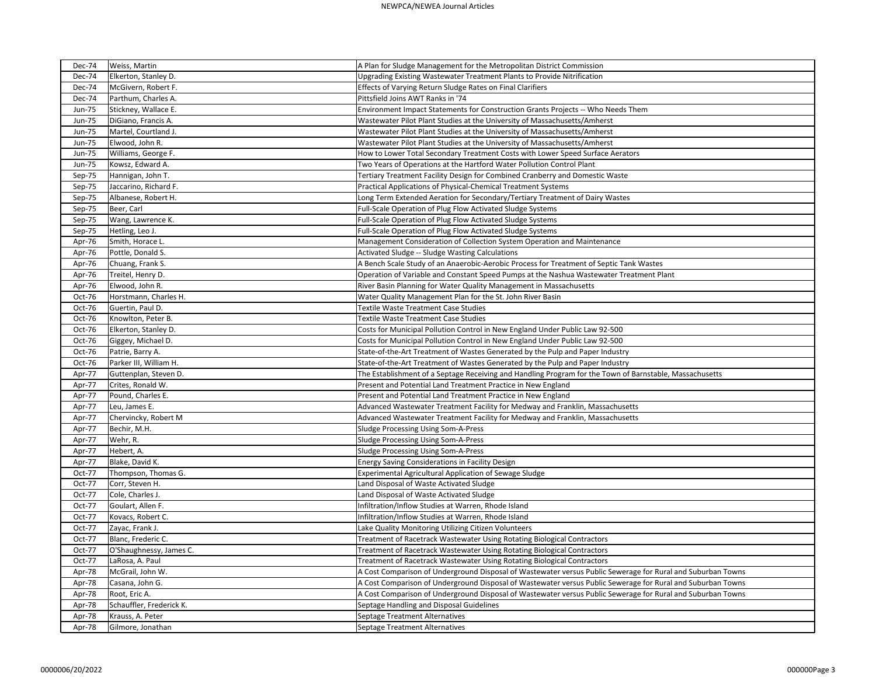| <b>Dec-74</b> | Weiss, Martin            | A Plan for Sludge Management for the Metropolitan District Commission                                       |
|---------------|--------------------------|-------------------------------------------------------------------------------------------------------------|
| Dec-74        | Elkerton, Stanley D.     | Upgrading Existing Wastewater Treatment Plants to Provide Nitrification                                     |
| Dec-74        | McGivern, Robert F.      | Effects of Varying Return Sludge Rates on Final Clarifiers                                                  |
| Dec-74        | Parthum, Charles A.      | Pittsfield Joins AWT Ranks in '74                                                                           |
| Jun-75        | Stickney, Wallace E.     | Environment Impact Statements for Construction Grants Projects -- Who Needs Them                            |
| <b>Jun-75</b> | DiGiano, Francis A.      | Wastewater Pilot Plant Studies at the University of Massachusetts/Amherst                                   |
| <b>Jun-75</b> | Martel, Courtland J.     | Wastewater Pilot Plant Studies at the University of Massachusetts/Amherst                                   |
| Jun-75        | Elwood, John R.          | Wastewater Pilot Plant Studies at the University of Massachusetts/Amherst                                   |
| <b>Jun-75</b> | Williams, George F.      | How to Lower Total Secondary Treatment Costs with Lower Speed Surface Aerators                              |
| <b>Jun-75</b> | Kowsz, Edward A.         | Two Years of Operations at the Hartford Water Pollution Control Plant                                       |
| Sep-75        | Hannigan, John T.        | Tertiary Treatment Facility Design for Combined Cranberry and Domestic Waste                                |
| Sep-75        | Jaccarino, Richard F.    | Practical Applications of Physical-Chemical Treatment Systems                                               |
| Sep-75        | Albanese, Robert H.      | Long Term Extended Aeration for Secondary/Tertiary Treatment of Dairy Wastes                                |
| Sep-75        | Beer, Carl               | Full-Scale Operation of Plug Flow Activated Sludge Systems                                                  |
| Sep-75        | Wang, Lawrence K.        | Full-Scale Operation of Plug Flow Activated Sludge Systems                                                  |
| Sep-75        | Hetling, Leo J.          | Full-Scale Operation of Plug Flow Activated Sludge Systems                                                  |
| Apr-76        | Smith, Horace L.         | Management Consideration of Collection System Operation and Maintenance                                     |
| Apr-76        | Pottle, Donald S.        | Activated Sludge -- Sludge Wasting Calculations                                                             |
| Apr-76        | Chuang, Frank S.         | A Bench Scale Study of an Anaerobic-Aerobic Process for Treatment of Septic Tank Wastes                     |
| Apr-76        | Treitel, Henry D.        | Operation of Variable and Constant Speed Pumps at the Nashua Wastewater Treatment Plant                     |
| Apr-76        | Elwood, John R.          | River Basin Planning for Water Quality Management in Massachusetts                                          |
| Oct-76        | Horstmann, Charles H.    | Water Quality Management Plan for the St. John River Basin                                                  |
| Oct-76        | Guertin, Paul D.         | <b>Textile Waste Treatment Case Studies</b>                                                                 |
| Oct-76        | Knowlton, Peter B.       | Textile Waste Treatment Case Studies                                                                        |
| Oct-76        | Elkerton, Stanley D.     | Costs for Municipal Pollution Control in New England Under Public Law 92-500                                |
| Oct-76        | Giggey, Michael D.       | Costs for Municipal Pollution Control in New England Under Public Law 92-500                                |
| Oct-76        | Patrie, Barry A.         | State-of-the-Art Treatment of Wastes Generated by the Pulp and Paper Industry                               |
| Oct-76        | Parker III, William H.   | State-of-the-Art Treatment of Wastes Generated by the Pulp and Paper Industry                               |
| Apr-77        | Guttenplan, Steven D.    | The Establishment of a Septage Receiving and Handling Program for the Town of Barnstable, Massachusetts     |
| Apr-77        | Crites, Ronald W.        | Present and Potential Land Treatment Practice in New England                                                |
| Apr-77        | Pound, Charles E.        | Present and Potential Land Treatment Practice in New England                                                |
| Apr-77        | Leu, James E.            | Advanced Wastewater Treatment Facility for Medway and Franklin, Massachusetts                               |
| Apr-77        | Chervincky, Robert M     | Advanced Wastewater Treatment Facility for Medway and Franklin, Massachusetts                               |
| Apr-77        | Bechir, M.H.             | Sludge Processing Using Som-A-Press                                                                         |
| Apr-77        | Wehr, R.                 | Sludge Processing Using Som-A-Press                                                                         |
| Apr-77        | Hebert, A.               | Sludge Processing Using Som-A-Press                                                                         |
| Apr-77        | Blake, David K.          | Energy Saving Considerations in Facility Design                                                             |
| Oct-77        | Thompson, Thomas G.      | Experimental Agricultural Application of Sewage Sludge                                                      |
| Oct-77        | Corr, Steven H.          | Land Disposal of Waste Activated Sludge                                                                     |
| Oct-77        | Cole, Charles J.         | Land Disposal of Waste Activated Sludge                                                                     |
| Oct-77        | Goulart, Allen F.        | Infiltration/Inflow Studies at Warren, Rhode Island                                                         |
| Oct-77        | Kovacs, Robert C.        | Infiltration/Inflow Studies at Warren, Rhode Island                                                         |
| Oct-77        | Zayac, Frank J.          | Lake Quality Monitoring Utilizing Citizen Volunteers                                                        |
| Oct-77        | Blanc, Frederic C.       | Treatment of Racetrack Wastewater Using Rotating Biological Contractors                                     |
| Oct-77        | O'Shaughnessy, James C.  | Treatment of Racetrack Wastewater Using Rotating Biological Contractors                                     |
| Oct-77        | LaRosa, A. Paul          | Treatment of Racetrack Wastewater Using Rotating Biological Contractors                                     |
| Apr-78        | McGrail, John W.         | A Cost Comparison of Underground Disposal of Wastewater versus Public Sewerage for Rural and Suburban Towns |
| Apr-78        | Casana, John G.          | A Cost Comparison of Underground Disposal of Wastewater versus Public Sewerage for Rural and Suburban Towns |
| Apr-78        | Root, Eric A.            | A Cost Comparison of Underground Disposal of Wastewater versus Public Sewerage for Rural and Suburban Towns |
| Apr-78        | Schauffler, Frederick K. | Septage Handling and Disposal Guidelines                                                                    |
| Apr-78        | Krauss, A. Peter         | Septage Treatment Alternatives                                                                              |
| Apr-78        | Gilmore, Jonathan        | Septage Treatment Alternatives                                                                              |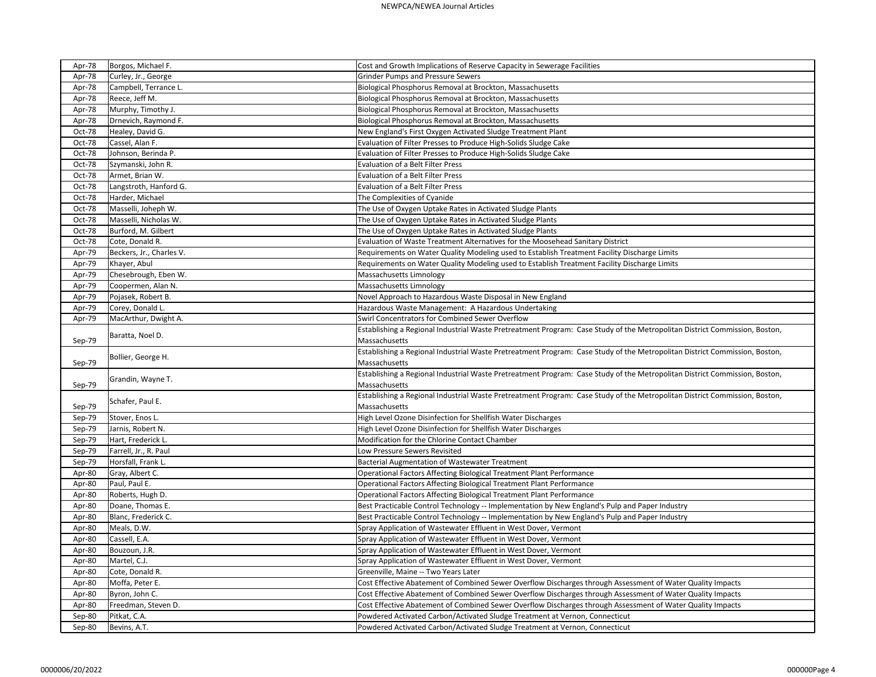| Apr-78 | Borgos, Michael F.       | Cost and Growth Implications of Reserve Capacity in Sewerage Facilities<br><b>Grinder Pumps and Pressure Sewers</b>        |
|--------|--------------------------|----------------------------------------------------------------------------------------------------------------------------|
| Apr-78 | Curley, Jr., George      |                                                                                                                            |
| Apr-78 | Campbell, Terrance L.    | Biological Phosphorus Removal at Brockton, Massachusetts                                                                   |
| Apr-78 | Reece, Jeff M.           | Biological Phosphorus Removal at Brockton, Massachusetts                                                                   |
| Apr-78 | Murphy, Timothy J.       | Biological Phosphorus Removal at Brockton, Massachusetts                                                                   |
| Apr-78 | Drnevich, Raymond F.     | Biological Phosphorus Removal at Brockton, Massachusetts                                                                   |
| Oct-78 | Healey, David G.         | New England's First Oxygen Activated Sludge Treatment Plant                                                                |
| Oct-78 | Cassel, Alan F.          | Evaluation of Filter Presses to Produce High-Solids Sludge Cake                                                            |
| Oct-78 | Johnson, Berinda P.      | Evaluation of Filter Presses to Produce High-Solids Sludge Cake                                                            |
| Oct-78 | Szymanski, John R.       | <b>Evaluation of a Belt Filter Press</b>                                                                                   |
| Oct-78 | Armet, Brian W.          | Evaluation of a Belt Filter Press                                                                                          |
| Oct-78 | Langstroth, Hanford G.   | <b>Evaluation of a Belt Filter Press</b>                                                                                   |
| Oct-78 | Harder, Michael          | The Complexities of Cyanide                                                                                                |
| Oct-78 | Masselli, Joheph W.      | The Use of Oxygen Uptake Rates in Activated Sludge Plants                                                                  |
| Oct-78 | Masselli, Nicholas W.    | The Use of Oxygen Uptake Rates in Activated Sludge Plants                                                                  |
| Oct-78 | Burford, M. Gilbert      | The Use of Oxygen Uptake Rates in Activated Sludge Plants                                                                  |
| Oct-78 | Cote, Donald R.          | Evaluation of Waste Treatment Alternatives for the Moosehead Sanitary District                                             |
| Apr-79 | Beckers, Jr., Charles V. | Requirements on Water Quality Modeling used to Establish Treatment Facility Discharge Limits                               |
| Apr-79 | Khayer, Abul             | Requirements on Water Quality Modeling used to Establish Treatment Facility Discharge Limits                               |
| Apr-79 | Chesebrough, Eben W.     | Massachusetts Limnology                                                                                                    |
| Apr-79 | Coopermen, Alan N.       | Massachusetts Limnology                                                                                                    |
| Apr-79 | Pojasek, Robert B.       | Novel Approach to Hazardous Waste Disposal in New England                                                                  |
| Apr-79 | Corey, Donald L.         | Hazardous Waste Management: A Hazardous Undertaking                                                                        |
| Apr-79 | MacArthur, Dwight A.     | Swirl Concentrators for Combined Sewer Overflow                                                                            |
|        |                          | Establishing a Regional Industrial Waste Pretreatment Program: Case Study of the Metropolitan District Commission, Boston, |
| Sep-79 | Baratta, Noel D.         | Massachusetts                                                                                                              |
|        |                          | Establishing a Regional Industrial Waste Pretreatment Program: Case Study of the Metropolitan District Commission, Boston, |
| Sep-79 | Bollier, George H.       | Massachusetts                                                                                                              |
|        |                          | Establishing a Regional Industrial Waste Pretreatment Program: Case Study of the Metropolitan District Commission, Boston, |
| Sep-79 | Grandin, Wayne T.        | Massachusetts                                                                                                              |
|        |                          | Establishing a Regional Industrial Waste Pretreatment Program: Case Study of the Metropolitan District Commission, Boston, |
| Sep-79 | Schafer, Paul E.         | Massachusetts                                                                                                              |
| Sep-79 | Stover, Enos L.          | High Level Ozone Disinfection for Shellfish Water Discharges                                                               |
| Sep-79 | Jarnis, Robert N.        | High Level Ozone Disinfection for Shellfish Water Discharges                                                               |
| Sep-79 | Hart, Frederick L.       | Modification for the Chlorine Contact Chamber                                                                              |
| Sep-79 | Farrell, Jr., R. Paul    | Low Pressure Sewers Revisited                                                                                              |
| Sep-79 | Horsfall, Frank L.       | Bacterial Augmentation of Wastewater Treatment                                                                             |
| Apr-80 | Gray, Albert C.          | Operational Factors Affecting Biological Treatment Plant Performance                                                       |
| Apr-80 | Paul, Paul E.            | Operational Factors Affecting Biological Treatment Plant Performance                                                       |
| Apr-80 | Roberts, Hugh D.         | Operational Factors Affecting Biological Treatment Plant Performance                                                       |
| Apr-80 | Doane, Thomas E.         | Best Practicable Control Technology -- Implementation by New England's Pulp and Paper Industry                             |
| Apr-80 | Blanc, Frederick C.      | Best Practicable Control Technology -- Implementation by New England's Pulp and Paper Industry                             |
| Apr-80 | Meals, D.W.              | Spray Application of Wastewater Effluent in West Dover, Vermont                                                            |
| Apr-80 | Cassell, E.A.            | Spray Application of Wastewater Effluent in West Dover, Vermont                                                            |
| Apr-80 | Bouzoun, J.R.            | Spray Application of Wastewater Effluent in West Dover, Vermont                                                            |
| Apr-80 | Martel, C.J.             | Spray Application of Wastewater Effluent in West Dover, Vermont                                                            |
|        |                          | Greenville, Maine -- Two Years Later                                                                                       |
| Apr-80 | Cote, Donald R.          |                                                                                                                            |
| Apr-80 | Moffa, Peter E.          | Cost Effective Abatement of Combined Sewer Overflow Discharges through Assessment of Water Quality Impacts                 |
| Apr-80 | Byron, John C.           | Cost Effective Abatement of Combined Sewer Overflow Discharges through Assessment of Water Quality Impacts                 |
| Apr-80 | Freedman, Steven D.      | Cost Effective Abatement of Combined Sewer Overflow Discharges through Assessment of Water Quality Impacts                 |
| Sep-80 | Pitkat, C.A.             | Powdered Activated Carbon/Activated Sludge Treatment at Vernon, Connecticut                                                |
| Sep-80 | Bevins, A.T.             | Powdered Activated Carbon/Activated Sludge Treatment at Vernon, Connecticut                                                |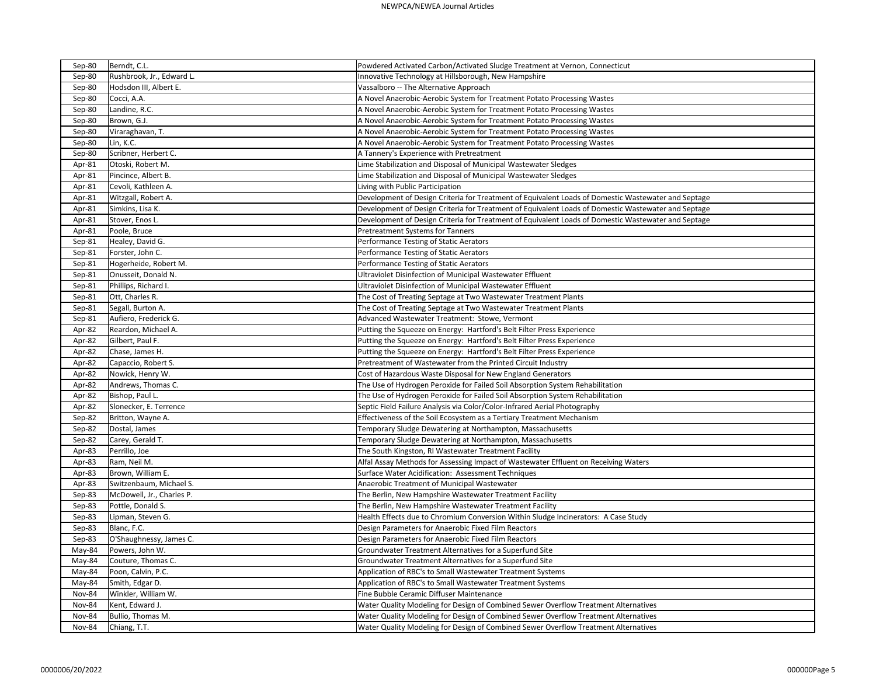| Sep-80        | Berndt, C.L.              | Powdered Activated Carbon/Activated Sludge Treatment at Vernon, Connecticut                         |
|---------------|---------------------------|-----------------------------------------------------------------------------------------------------|
| Sep-80        | Rushbrook, Jr., Edward L. | Innovative Technology at Hillsborough, New Hampshire                                                |
| Sep-80        | Hodsdon III, Albert E.    | Vassalboro -- The Alternative Approach                                                              |
| Sep-80        | Cocci, A.A.               | A Novel Anaerobic-Aerobic System for Treatment Potato Processing Wastes                             |
| Sep-80        | Landine, R.C.             | A Novel Anaerobic-Aerobic System for Treatment Potato Processing Wastes                             |
| Sep-80        | Brown, G.J.               | A Novel Anaerobic-Aerobic System for Treatment Potato Processing Wastes                             |
| Sep-80        | Viraraghavan, T.          | A Novel Anaerobic-Aerobic System for Treatment Potato Processing Wastes                             |
| Sep-80        | Lin, K.C.                 | A Novel Anaerobic-Aerobic System for Treatment Potato Processing Wastes                             |
| Sep-80        | Scribner, Herbert C.      | A Tannery's Experience with Pretreatment                                                            |
| Apr-81        | Otoski, Robert M.         | Lime Stabilization and Disposal of Municipal Wastewater Sledges                                     |
| Apr-81        | Pincince, Albert B.       | Lime Stabilization and Disposal of Municipal Wastewater Sledges                                     |
| Apr-81        | Cevoli, Kathleen A.       | Living with Public Participation                                                                    |
| Apr-81        | Witzgall, Robert A.       | Development of Design Criteria for Treatment of Equivalent Loads of Domestic Wastewater and Septage |
| Apr-81        | Simkins, Lisa K.          | Development of Design Criteria for Treatment of Equivalent Loads of Domestic Wastewater and Septage |
| Apr-81        | Stover, Enos L.           | Development of Design Criteria for Treatment of Equivalent Loads of Domestic Wastewater and Septage |
| Apr-81        | Poole, Bruce              | Pretreatment Systems for Tanners                                                                    |
| Sep-81        | Healey, David G.          | Performance Testing of Static Aerators                                                              |
| Sep-81        | Forster, John C.          | Performance Testing of Static Aerators                                                              |
| Sep-81        | Hogerheide, Robert M.     | Performance Testing of Static Aerators                                                              |
| Sep-81        | Onusseit, Donald N.       | Ultraviolet Disinfection of Municipal Wastewater Effluent                                           |
| Sep-81        | Phillips, Richard I.      | Ultraviolet Disinfection of Municipal Wastewater Effluent                                           |
| Sep-81        | Ott, Charles R.           | The Cost of Treating Septage at Two Wastewater Treatment Plants                                     |
| Sep-81        | Segall, Burton A.         | The Cost of Treating Septage at Two Wastewater Treatment Plants                                     |
| Sep-81        | Aufiero, Frederick G.     | Advanced Wastewater Treatment: Stowe, Vermont                                                       |
| Apr-82        | Reardon, Michael A.       | Putting the Squeeze on Energy: Hartford's Belt Filter Press Experience                              |
| Apr-82        | Gilbert, Paul F.          | Putting the Squeeze on Energy: Hartford's Belt Filter Press Experience                              |
| Apr-82        | Chase, James H.           | Putting the Squeeze on Energy: Hartford's Belt Filter Press Experience                              |
| Apr-82        | Capaccio, Robert S.       | Pretreatment of Wastewater from the Printed Circuit Industry                                        |
| Apr-82        | Nowick, Henry W.          | Cost of Hazardous Waste Disposal for New England Generators                                         |
| Apr-82        | Andrews, Thomas C.        | The Use of Hydrogen Peroxide for Failed Soil Absorption System Rehabilitation                       |
| Apr-82        | Bishop, Paul L.           | The Use of Hydrogen Peroxide for Failed Soil Absorption System Rehabilitation                       |
| Apr-82        | Slonecker, E. Terrence    | Septic Field Failure Analysis via Color/Color-Infrared Aerial Photography                           |
| Sep-82        | Britton, Wayne A.         | Effectiveness of the Soil Ecosystem as a Tertiary Treatment Mechanism                               |
| Sep-82        | Dostal, James             | Temporary Sludge Dewatering at Northampton, Massachusetts                                           |
| Sep-82        | Carey, Gerald T.          | Temporary Sludge Dewatering at Northampton, Massachusetts                                           |
| Apr-83        | Perrillo, Joe             | The South Kingston, RI Wastewater Treatment Facility                                                |
| Apr-83        | Ram, Neil M.              | Alfal Assay Methods for Assessing Impact of Wastewater Effluent on Receiving Waters                 |
| Apr-83        | Brown, William E.         | Surface Water Acidification: Assessment Techniques                                                  |
| Apr-83        | Switzenbaum, Michael S.   | Anaerobic Treatment of Municipal Wastewater                                                         |
| Sep-83        | McDowell, Jr., Charles P. | The Berlin, New Hampshire Wastewater Treatment Facility                                             |
| Sep-83        | Pottle, Donald S.         | The Berlin, New Hampshire Wastewater Treatment Facility                                             |
| Sep-83        | Lipman, Steven G.         | Health Effects due to Chromium Conversion Within Sludge Incinerators: A Case Study                  |
| Sep-83        | Blanc, F.C.               | Design Parameters for Anaerobic Fixed Film Reactors                                                 |
| Sep-83        | O'Shaughnessy, James C.   | Design Parameters for Anaerobic Fixed Film Reactors                                                 |
| May-84        | Powers, John W.           | Groundwater Treatment Alternatives for a Superfund Site                                             |
| May-84        | Couture, Thomas C.        | Groundwater Treatment Alternatives for a Superfund Site                                             |
| May-84        | Poon, Calvin, P.C.        | Application of RBC's to Small Wastewater Treatment Systems                                          |
| May-84        | Smith, Edgar D.           | Application of RBC's to Small Wastewater Treatment Systems                                          |
| <b>Nov-84</b> | Winkler, William W.       | Fine Bubble Ceramic Diffuser Maintenance                                                            |
| Nov-84        | Kent, Edward J.           | Water Quality Modeling for Design of Combined Sewer Overflow Treatment Alternatives                 |
| Nov-84        | Bullio, Thomas M.         | Water Quality Modeling for Design of Combined Sewer Overflow Treatment Alternatives                 |
| Nov-84        | Chiang, T.T.              | Water Quality Modeling for Design of Combined Sewer Overflow Treatment Alternatives                 |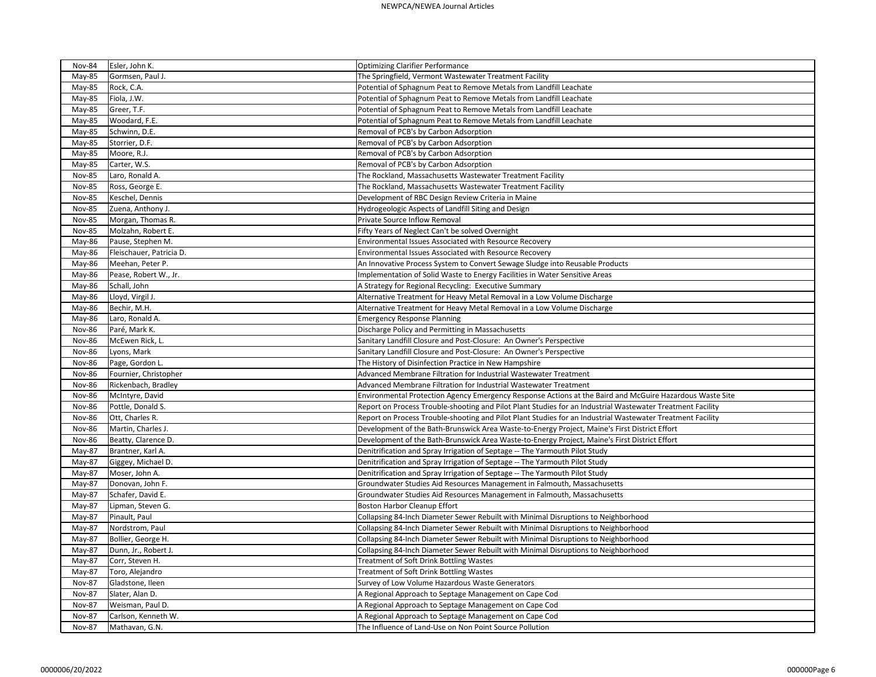| <b>Nov-84</b> | Esler, John K.           | <b>Optimizing Clarifier Performance</b>                                                                    |
|---------------|--------------------------|------------------------------------------------------------------------------------------------------------|
| May-85        | Gormsen, Paul J.         | The Springfield, Vermont Wastewater Treatment Facility                                                     |
| May-85        | Rock, C.A.               | Potential of Sphagnum Peat to Remove Metals from Landfill Leachate                                         |
| May-85        | Fiola, J.W.              | Potential of Sphagnum Peat to Remove Metals from Landfill Leachate                                         |
| May-85        | Greer, T.F.              | Potential of Sphagnum Peat to Remove Metals from Landfill Leachate                                         |
| May-85        | Woodard, F.E.            | Potential of Sphagnum Peat to Remove Metals from Landfill Leachate                                         |
| May-85        | Schwinn, D.E.            | Removal of PCB's by Carbon Adsorption                                                                      |
| May-85        | Storrier, D.F.           | Removal of PCB's by Carbon Adsorption                                                                      |
| May-85        | Moore, R.J.              | Removal of PCB's by Carbon Adsorption                                                                      |
| May-85        | Carter, W.S.             | Removal of PCB's by Carbon Adsorption                                                                      |
| <b>Nov-85</b> | Laro, Ronald A.          | The Rockland, Massachusetts Wastewater Treatment Facility                                                  |
| <b>Nov-85</b> | Ross, George E.          | The Rockland, Massachusetts Wastewater Treatment Facility                                                  |
| <b>Nov-85</b> | Keschel, Dennis          | Development of RBC Design Review Criteria in Maine                                                         |
| <b>Nov-85</b> | Zuena, Anthony J.        | Hydrogeologic Aspects of Landfill Siting and Design                                                        |
| <b>Nov-85</b> | Morgan, Thomas R.        | Private Source Inflow Removal                                                                              |
| <b>Nov-85</b> | Molzahn, Robert E.       | Fifty Years of Neglect Can't be solved Overnight                                                           |
| May-86        | Pause, Stephen M.        | Environmental Issues Associated with Resource Recovery                                                     |
| May-86        | Fleischauer, Patricia D. | Environmental Issues Associated with Resource Recovery                                                     |
| May-86        | Meehan, Peter P.         | An Innovative Process System to Convert Sewage Sludge into Reusable Products                               |
| May-86        | Pease, Robert W., Jr.    | Implementation of Solid Waste to Energy Facilities in Water Sensitive Areas                                |
| May-86        | Schall, John             | A Strategy for Regional Recycling: Executive Summary                                                       |
| May-86        | Lloyd, Virgil J.         | Alternative Treatment for Heavy Metal Removal in a Low Volume Discharge                                    |
| May-86        | Bechir, M.H.             | Alternative Treatment for Heavy Metal Removal in a Low Volume Discharge                                    |
| May-86        | Laro, Ronald A.          | <b>Emergency Response Planning</b>                                                                         |
| <b>Nov-86</b> | Paré, Mark K.            | Discharge Policy and Permitting in Massachusetts                                                           |
| <b>Nov-86</b> | McEwen Rick, L.          | Sanitary Landfill Closure and Post-Closure: An Owner's Perspective                                         |
| <b>Nov-86</b> | Lyons, Mark              | Sanitary Landfill Closure and Post-Closure: An Owner's Perspective                                         |
| <b>Nov-86</b> | Page, Gordon L.          | The History of Disinfection Practice in New Hampshire                                                      |
| <b>Nov-86</b> | Fournier, Christopher    | Advanced Membrane Filtration for Industrial Wastewater Treatment                                           |
| <b>Nov-86</b> | Rickenbach, Bradley      | Advanced Membrane Filtration for Industrial Wastewater Treatment                                           |
| <b>Nov-86</b> | McIntyre, David          | Environmental Protection Agency Emergency Response Actions at the Baird and McGuire Hazardous Waste Site   |
| <b>Nov-86</b> | Pottle, Donald S.        | Report on Process Trouble-shooting and Pilot Plant Studies for an Industrial Wastewater Treatment Facility |
| <b>Nov-86</b> | Ott, Charles R.          | Report on Process Trouble-shooting and Pilot Plant Studies for an Industrial Wastewater Treatment Facility |
| <b>Nov-86</b> | Martin, Charles J.       | Development of the Bath-Brunswick Area Waste-to-Energy Project, Maine's First District Effort              |
| <b>Nov-86</b> | Beatty, Clarence D.      | Development of the Bath-Brunswick Area Waste-to-Energy Project, Maine's First District Effort              |
| May-87        | Brantner, Karl A.        | Denitrification and Spray Irrigation of Septage -- The Yarmouth Pilot Study                                |
| May-87        | Giggey, Michael D.       | Denitrification and Spray Irrigation of Septage -- The Yarmouth Pilot Study                                |
| May-87        | Moser, John A.           | Denitrification and Spray Irrigation of Septage -- The Yarmouth Pilot Study                                |
| May-87        | Donovan, John F.         | Groundwater Studies Aid Resources Management in Falmouth, Massachusetts                                    |
| May-87        | Schafer, David E.        | Groundwater Studies Aid Resources Management in Falmouth, Massachusetts                                    |
| May-87        | Lipman, Steven G.        | <b>Boston Harbor Cleanup Effort</b>                                                                        |
| May-87        | Pinault, Paul            | Collapsing 84-Inch Diameter Sewer Rebuilt with Minimal Disruptions to Neighborhood                         |
| May-87        | Nordstrom, Paul          | Collapsing 84-Inch Diameter Sewer Rebuilt with Minimal Disruptions to Neighborhood                         |
| May-87        | Bollier, George H.       | Collapsing 84-Inch Diameter Sewer Rebuilt with Minimal Disruptions to Neighborhood                         |
| May-87        | Dunn, Jr., Robert J.     | Collapsing 84-Inch Diameter Sewer Rebuilt with Minimal Disruptions to Neighborhood                         |
| May-87        | Corr, Steven H.          | Treatment of Soft Drink Bottling Wastes                                                                    |
| May-87        | Toro, Alejandro          | <b>Treatment of Soft Drink Bottling Wastes</b>                                                             |
| <b>Nov-87</b> | Gladstone, Ileen         | Survey of Low Volume Hazardous Waste Generators                                                            |
| <b>Nov-87</b> | Slater, Alan D.          | A Regional Approach to Septage Management on Cape Cod                                                      |
| <b>Nov-87</b> | Weisman, Paul D.         | A Regional Approach to Septage Management on Cape Cod                                                      |
| <b>Nov-87</b> | Carlson, Kenneth W.      | A Regional Approach to Septage Management on Cape Cod                                                      |
| <b>Nov-87</b> | Mathavan, G.N.           | The Influence of Land-Use on Non Point Source Pollution                                                    |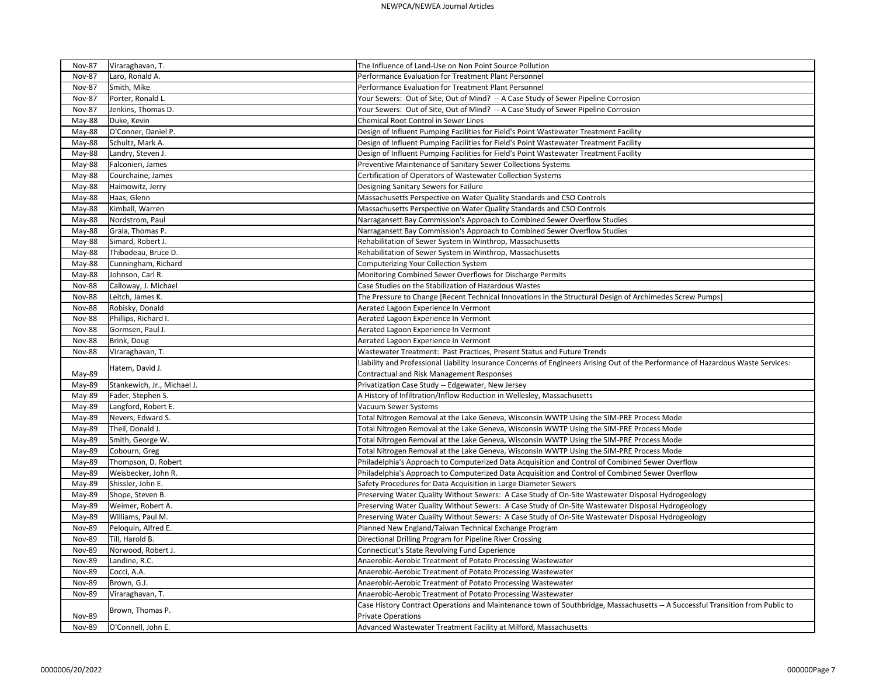| <b>Nov-87</b>                  | Viraraghavan, T.            | The Influence of Land-Use on Non Point Source Pollution                                                                          |
|--------------------------------|-----------------------------|----------------------------------------------------------------------------------------------------------------------------------|
| <b>Nov-87</b>                  | Laro, Ronald A.             | Performance Evaluation for Treatment Plant Personnel                                                                             |
| <b>Nov-87</b>                  | Smith, Mike                 | Performance Evaluation for Treatment Plant Personnel                                                                             |
| <b>Nov-87</b>                  | Porter, Ronald L.           | Your Sewers: Out of Site, Out of Mind? -- A Case Study of Sewer Pipeline Corrosion                                               |
| <b>Nov-87</b>                  | Jenkins, Thomas D.          | Your Sewers: Out of Site, Out of Mind? -- A Case Study of Sewer Pipeline Corrosion                                               |
| May-88                         | Duke, Kevin                 | Chemical Root Control in Sewer Lines                                                                                             |
| May-88                         | O'Conner, Daniel P.         | Design of Influent Pumping Facilities for Field's Point Wastewater Treatment Facility                                            |
| May-88                         | Schultz, Mark A.            | Design of Influent Pumping Facilities for Field's Point Wastewater Treatment Facility                                            |
| May-88                         | Landry, Steven J.           | Design of Influent Pumping Facilities for Field's Point Wastewater Treatment Facility                                            |
| May-88                         | Falconieri, James           | Preventive Maintenance of Sanitary Sewer Collections Systems                                                                     |
| May-88                         | Courchaine, James           | Certification of Operators of Wastewater Collection Systems                                                                      |
| May-88                         | Haimowitz, Jerry            | Designing Sanitary Sewers for Failure                                                                                            |
| May-88                         | Haas, Glenn                 | Massachusetts Perspective on Water Quality Standards and CSO Controls                                                            |
| May-88                         | Kimball, Warren             | Massachusetts Perspective on Water Quality Standards and CSO Controls                                                            |
| May-88                         | Nordstrom, Paul             | Narragansett Bay Commission's Approach to Combined Sewer Overflow Studies                                                        |
| May-88                         | Grala, Thomas P.            | Narragansett Bay Commission's Approach to Combined Sewer Overflow Studies                                                        |
| May-88                         | Simard, Robert J.           | Rehabilitation of Sewer System in Winthrop, Massachusetts                                                                        |
| May-88                         | Thibodeau, Bruce D.         | Rehabilitation of Sewer System in Winthrop, Massachusetts                                                                        |
| May-88                         | Cunningham, Richard         | Computerizing Your Collection System                                                                                             |
| May-88                         | Johnson, Carl R.            | Monitoring Combined Sewer Overflows for Discharge Permits                                                                        |
| <b>Nov-88</b>                  | Calloway, J. Michael        | Case Studies on the Stabilization of Hazardous Wastes                                                                            |
| <b>Nov-88</b>                  | Leitch, James K.            | The Pressure to Change [Recent Technical Innovations in the Structural Design of Archimedes Screw Pumps]                         |
| <b>Nov-88</b>                  | Robisky, Donald             | Aerated Lagoon Experience In Vermont                                                                                             |
| <b>Nov-88</b>                  | Phillips, Richard I.        | Aerated Lagoon Experience In Vermont                                                                                             |
| <b>Nov-88</b>                  | Gormsen, Paul J.            | Aerated Lagoon Experience In Vermont                                                                                             |
| <b>Nov-88</b>                  | Brink, Doug                 | Aerated Lagoon Experience In Vermont                                                                                             |
|                                |                             |                                                                                                                                  |
| <b>Nov-88</b>                  | Viraraghavan, T.            | Wastewater Treatment: Past Practices, Present Status and Future Trends                                                           |
|                                |                             | Liability and Professional Liability Insurance Concerns of Engineers Arising Out of the Performance of Hazardous Waste Services: |
| May-89                         | Hatem, David J.             | Contractual and Risk Management Responses                                                                                        |
| May-89                         | Stankewich, Jr., Michael J. | Privatization Case Study -- Edgewater, New Jersey                                                                                |
| May-89                         | Fader, Stephen S.           | A History of Infiltration/Inflow Reduction in Wellesley, Massachusetts                                                           |
| May-89                         | Langford, Robert E.         | Vacuum Sewer Systems                                                                                                             |
| May-89                         | Nevers, Edward S.           | Total Nitrogen Removal at the Lake Geneva, Wisconsin WWTP Using the SIM-PRE Process Mode                                         |
| May-89                         | Theil, Donald J.            | Total Nitrogen Removal at the Lake Geneva, Wisconsin WWTP Using the SIM-PRE Process Mode                                         |
| May-89                         | Smith, George W.            | Total Nitrogen Removal at the Lake Geneva, Wisconsin WWTP Using the SIM-PRE Process Mode                                         |
| May-89                         | Cobourn, Greg               | Total Nitrogen Removal at the Lake Geneva, Wisconsin WWTP Using the SIM-PRE Process Mode                                         |
| May-89                         | Thompson, D. Robert         | Philadelphia's Approach to Computerized Data Acquisition and Control of Combined Sewer Overflow                                  |
| May-89                         | Weisbecker, John R.         | Philadelphia's Approach to Computerized Data Acquisition and Control of Combined Sewer Overflow                                  |
| May-89                         | Shissler, John E.           | Safety Procedures for Data Acquisition in Large Diameter Sewers                                                                  |
| May-89                         | Shope, Steven B.            | Preserving Water Quality Without Sewers: A Case Study of On-Site Wastewater Disposal Hydrogeology                                |
| May-89                         | Weimer, Robert A.           | Preserving Water Quality Without Sewers: A Case Study of On-Site Wastewater Disposal Hydrogeology                                |
| May-89                         | Williams, Paul M.           | Preserving Water Quality Without Sewers: A Case Study of On-Site Wastewater Disposal Hydrogeology                                |
| <b>Nov-89</b>                  | Peloquin, Alfred E.         | Planned New England/Taiwan Technical Exchange Program                                                                            |
| <b>Nov-89</b>                  | Till, Harold B.             | Directional Drilling Program for Pipeline River Crossing                                                                         |
| <b>Nov-89</b>                  | Norwood, Robert J.          | Connecticut's State Revolving Fund Experience                                                                                    |
| <b>Nov-89</b>                  | Landine, R.C.               | Anaerobic-Aerobic Treatment of Potato Processing Wastewater                                                                      |
| <b>Nov-89</b>                  | Cocci, A.A.                 | Anaerobic-Aerobic Treatment of Potato Processing Wastewater                                                                      |
| <b>Nov-89</b>                  | Brown, G.J.                 | Anaerobic-Aerobic Treatment of Potato Processing Wastewater                                                                      |
| <b>Nov-89</b>                  | Viraraghavan, T.            | Anaerobic-Aerobic Treatment of Potato Processing Wastewater                                                                      |
|                                | Brown, Thomas P.            | Case History Contract Operations and Maintenance town of Southbridge, Massachusetts -- A Successful Transition from Public to    |
| <b>Nov-89</b><br><b>Nov-89</b> | O'Connell, John E.          | <b>Private Operations</b><br>Advanced Wastewater Treatment Facility at Milford, Massachusetts                                    |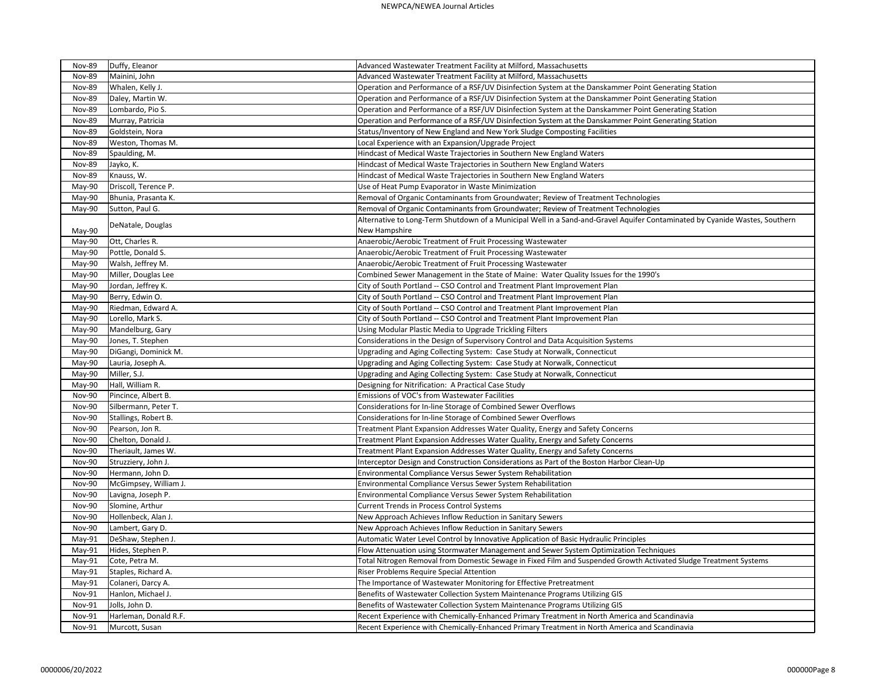## NEWPCA/NEWEA Journal Articles

| <b>Nov-89</b> | Duffy, Eleanor        | Advanced Wastewater Treatment Facility at Milford, Massachusetts                                                            |
|---------------|-----------------------|-----------------------------------------------------------------------------------------------------------------------------|
| <b>Nov-89</b> | Mainini, John         | Advanced Wastewater Treatment Facility at Milford, Massachusetts                                                            |
| <b>Nov-89</b> | Whalen, Kelly J.      | Operation and Performance of a RSF/UV Disinfection System at the Danskammer Point Generating Station                        |
| <b>Nov-89</b> | Daley, Martin W.      | Operation and Performance of a RSF/UV Disinfection System at the Danskammer Point Generating Station                        |
| <b>Nov-89</b> | Lombardo, Pio S.      | Operation and Performance of a RSF/UV Disinfection System at the Danskammer Point Generating Station                        |
| <b>Nov-89</b> | Murray, Patricia      | Operation and Performance of a RSF/UV Disinfection System at the Danskammer Point Generating Station                        |
| <b>Nov-89</b> | Goldstein, Nora       | Status/Inventory of New England and New York Sludge Composting Facilities                                                   |
| <b>Nov-89</b> | Weston, Thomas M.     | Local Experience with an Expansion/Upgrade Project                                                                          |
| <b>Nov-89</b> | Spaulding, M.         | Hindcast of Medical Waste Trajectories in Southern New England Waters                                                       |
| <b>Nov-89</b> | Jayko, K.             | Hindcast of Medical Waste Trajectories in Southern New England Waters                                                       |
| Nov-89        | Knauss, W.            | Hindcast of Medical Waste Trajectories in Southern New England Waters                                                       |
| May-90        | Driscoll, Terence P.  | Use of Heat Pump Evaporator in Waste Minimization                                                                           |
| May-90        | Bhunia, Prasanta K.   | Removal of Organic Contaminants from Groundwater; Review of Treatment Technologies                                          |
| May-90        | Sutton, Paul G.       | Removal of Organic Contaminants from Groundwater; Review of Treatment Technologies                                          |
|               |                       | Alternative to Long-Term Shutdown of a Municipal Well in a Sand-and-Gravel Aquifer Contaminated by Cyanide Wastes, Southern |
| May-90        | DeNatale, Douglas     | New Hampshire                                                                                                               |
| May-90        | Ott, Charles R.       | Anaerobic/Aerobic Treatment of Fruit Processing Wastewater                                                                  |
| May-90        | Pottle, Donald S.     | Anaerobic/Aerobic Treatment of Fruit Processing Wastewater                                                                  |
| May-90        | Walsh, Jeffrey M.     | Anaerobic/Aerobic Treatment of Fruit Processing Wastewater                                                                  |
| May-90        | Miller, Douglas Lee   | Combined Sewer Management in the State of Maine: Water Quality Issues for the 1990's                                        |
| May-90        | Jordan, Jeffrey K.    | City of South Portland -- CSO Control and Treatment Plant Improvement Plan                                                  |
| May-90        | Berry, Edwin O.       | City of South Portland -- CSO Control and Treatment Plant Improvement Plan                                                  |
| May-90        | Riedman, Edward A.    | City of South Portland -- CSO Control and Treatment Plant Improvement Plan                                                  |
| May-90        | Lorello, Mark S.      | City of South Portland -- CSO Control and Treatment Plant Improvement Plan                                                  |
| May-90        | Mandelburg, Gary      | Using Modular Plastic Media to Upgrade Trickling Filters                                                                    |
| May-90        | Jones, T. Stephen     | Considerations in the Design of Supervisory Control and Data Acquisition Systems                                            |
| May-90        | DiGangi, Dominick M.  | Upgrading and Aging Collecting System: Case Study at Norwalk, Connecticut                                                   |
| May-90        | Lauria, Joseph A.     | Upgrading and Aging Collecting System: Case Study at Norwalk, Connecticut                                                   |
| May-90        | Miller, S.J.          | Upgrading and Aging Collecting System: Case Study at Norwalk, Connecticut                                                   |
| May-90        | Hall, William R.      | Designing for Nitrification: A Practical Case Study                                                                         |
| <b>Nov-90</b> | Pincince, Albert B.   | Emissions of VOC's from Wastewater Facilities                                                                               |
| <b>Nov-90</b> | Silbermann, Peter T.  | Considerations for In-line Storage of Combined Sewer Overflows                                                              |
| <b>Nov-90</b> | Stallings, Robert B.  | Considerations for In-line Storage of Combined Sewer Overflows                                                              |
| Nov-90        | Pearson, Jon R.       | Treatment Plant Expansion Addresses Water Quality, Energy and Safety Concerns                                               |
| Nov-90        | Chelton, Donald J.    | Treatment Plant Expansion Addresses Water Quality, Energy and Safety Concerns                                               |
| Nov-90        | Theriault, James W.   | Treatment Plant Expansion Addresses Water Quality, Energy and Safety Concerns                                               |
| Nov-90        | Struzziery, John J.   | Interceptor Design and Construction Considerations as Part of the Boston Harbor Clean-Up                                    |
| <b>Nov-90</b> | Hermann, John D.      | Environmental Compliance Versus Sewer System Rehabilitation                                                                 |
| <b>Nov-90</b> | McGimpsey, William J. | Environmental Compliance Versus Sewer System Rehabilitation                                                                 |
| Nov-90        | Lavigna, Joseph P.    | Environmental Compliance Versus Sewer System Rehabilitation                                                                 |
| Nov-90        | Slomine, Arthur       | <b>Current Trends in Process Control Systems</b>                                                                            |
| Nov-90        | Hollenbeck, Alan J.   | New Approach Achieves Inflow Reduction in Sanitary Sewers                                                                   |
| <b>Nov-90</b> | Lambert, Gary D.      | New Approach Achieves Inflow Reduction in Sanitary Sewers                                                                   |
| May-91        | DeShaw, Stephen J.    | Automatic Water Level Control by Innovative Application of Basic Hydraulic Principles                                       |
| May-91        | Hides, Stephen P.     | Flow Attenuation using Stormwater Management and Sewer System Optimization Techniques                                       |
| May-91        | Cote, Petra M.        | Total Nitrogen Removal from Domestic Sewage in Fixed Film and Suspended Growth Activated Sludge Treatment Systems           |
| May-91        | Staples, Richard A.   | Riser Problems Require Special Attention                                                                                    |
| May-91        | Colaneri, Darcy A.    | The Importance of Wastewater Monitoring for Effective Pretreatment                                                          |
| Nov-91        | Hanlon, Michael J.    | Benefits of Wastewater Collection System Maintenance Programs Utilizing GIS                                                 |
| Nov-91        | Jolls, John D.        | Benefits of Wastewater Collection System Maintenance Programs Utilizing GIS                                                 |
| Nov-91        | Harleman, Donald R.F. | Recent Experience with Chemically-Enhanced Primary Treatment in North America and Scandinavia                               |
| Nov-91        | Murcott, Susan        | Recent Experience with Chemically-Enhanced Primary Treatment in North America and Scandinavia                               |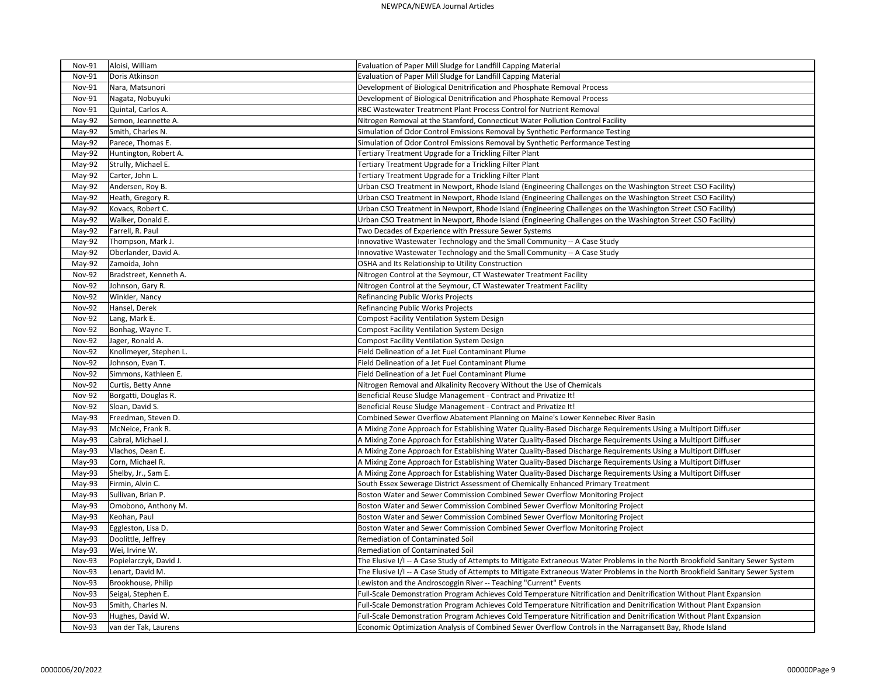| <b>Nov-91</b> | Aloisi, William        | Evaluation of Paper Mill Sludge for Landfill Capping Material                                                                   |
|---------------|------------------------|---------------------------------------------------------------------------------------------------------------------------------|
| <b>Nov-91</b> | Doris Atkinson         | Evaluation of Paper Mill Sludge for Landfill Capping Material                                                                   |
| Nov-91        | Nara, Matsunori        | Development of Biological Denitrification and Phosphate Removal Process                                                         |
| Nov-91        | Nagata, Nobuyuki       | Development of Biological Denitrification and Phosphate Removal Process                                                         |
| Nov-91        | Quintal, Carlos A.     | RBC Wastewater Treatment Plant Process Control for Nutrient Removal                                                             |
| May-92        | Semon, Jeannette A.    | Nitrogen Removal at the Stamford, Connecticut Water Pollution Control Facility                                                  |
| May-92        | Smith, Charles N.      | Simulation of Odor Control Emissions Removal by Synthetic Performance Testing                                                   |
| May-92        | Parece, Thomas E.      | Simulation of Odor Control Emissions Removal by Synthetic Performance Testing                                                   |
| May-92        | Huntington, Robert A.  | Tertiary Treatment Upgrade for a Trickling Filter Plant                                                                         |
| May-92        | Strully, Michael E.    | Tertiary Treatment Upgrade for a Trickling Filter Plant                                                                         |
| May-92        | Carter, John L.        | Tertiary Treatment Upgrade for a Trickling Filter Plant                                                                         |
| May-92        | Andersen, Roy B.       | Urban CSO Treatment in Newport, Rhode Island (Engineering Challenges on the Washington Street CSO Facility)                     |
| May-92        | Heath, Gregory R.      | Urban CSO Treatment in Newport, Rhode Island (Engineering Challenges on the Washington Street CSO Facility)                     |
| May-92        | Kovacs, Robert C.      | Urban CSO Treatment in Newport, Rhode Island (Engineering Challenges on the Washington Street CSO Facility)                     |
| May-92        | Walker, Donald E.      | Urban CSO Treatment in Newport, Rhode Island (Engineering Challenges on the Washington Street CSO Facility)                     |
| May-92        | Farrell, R. Paul       | Two Decades of Experience with Pressure Sewer Systems                                                                           |
| May-92        | Thompson, Mark J.      | Innovative Wastewater Technology and the Small Community -- A Case Study                                                        |
| May-92        | Oberlander, David A.   | Innovative Wastewater Technology and the Small Community -- A Case Study                                                        |
| May-92        | Zamoida, John          | OSHA and Its Relationship to Utility Construction                                                                               |
| <b>Nov-92</b> | Bradstreet, Kenneth A. | Nitrogen Control at the Seymour, CT Wastewater Treatment Facility                                                               |
| <b>Nov-92</b> | Johnson, Gary R.       | Nitrogen Control at the Seymour, CT Wastewater Treatment Facility                                                               |
| <b>Nov-92</b> | Winkler, Nancy         | Refinancing Public Works Projects                                                                                               |
| <b>Nov-92</b> | Hansel, Derek          | Refinancing Public Works Projects                                                                                               |
| <b>Nov-92</b> | Lang, Mark E.          | <b>Compost Facility Ventilation System Design</b>                                                                               |
| <b>Nov-92</b> | Bonhag, Wayne T.       | <b>Compost Facility Ventilation System Design</b>                                                                               |
| <b>Nov-92</b> | Jager, Ronald A.       | <b>Compost Facility Ventilation System Design</b>                                                                               |
| <b>Nov-92</b> | Knollmeyer, Stephen L. | Field Delineation of a Jet Fuel Contaminant Plume                                                                               |
| <b>Nov-92</b> | Johnson, Evan T.       | Field Delineation of a Jet Fuel Contaminant Plume                                                                               |
| <b>Nov-92</b> | Simmons, Kathleen E.   | Field Delineation of a Jet Fuel Contaminant Plume                                                                               |
| <b>Nov-92</b> | Curtis, Betty Anne     | Nitrogen Removal and Alkalinity Recovery Without the Use of Chemicals                                                           |
| <b>Nov-92</b> | Borgatti, Douglas R.   | Beneficial Reuse Sludge Management - Contract and Privatize It!                                                                 |
| <b>Nov-92</b> | Sloan, David S.        | Beneficial Reuse Sludge Management - Contract and Privatize It!                                                                 |
| May-93        | Freedman, Steven D.    | Combined Sewer Overflow Abatement Planning on Maine's Lower Kennebec River Basin                                                |
| $May-93$      | McNeice, Frank R.      | A Mixing Zone Approach for Establishing Water Quality-Based Discharge Requirements Using a Multiport Diffuser                   |
| May-93        | Cabral, Michael J.     | A Mixing Zone Approach for Establishing Water Quality-Based Discharge Requirements Using a Multiport Diffuser                   |
| May-93        | Vlachos, Dean E.       | A Mixing Zone Approach for Establishing Water Quality-Based Discharge Requirements Using a Multiport Diffuser                   |
| May-93        | Corn, Michael R.       | A Mixing Zone Approach for Establishing Water Quality-Based Discharge Requirements Using a Multiport Diffuser                   |
| May-93        | Shelby, Jr., Sam E.    | A Mixing Zone Approach for Establishing Water Quality-Based Discharge Requirements Using a Multiport Diffuser                   |
| May-93        | Firmin, Alvin C.       | South Essex Sewerage District Assessment of Chemically Enhanced Primary Treatment                                               |
| May-93        | Sullivan, Brian P.     | Boston Water and Sewer Commission Combined Sewer Overflow Monitoring Project                                                    |
| May-93        | Omobono, Anthony M.    | Boston Water and Sewer Commission Combined Sewer Overflow Monitoring Project                                                    |
| May-93        | Keohan, Paul           | Boston Water and Sewer Commission Combined Sewer Overflow Monitoring Project                                                    |
| May-93        | Eggleston, Lisa D.     | Boston Water and Sewer Commission Combined Sewer Overflow Monitoring Project                                                    |
| May-93        | Doolittle, Jeffrey     | Remediation of Contaminated Soil                                                                                                |
| May-93        | Wei, Irvine W.         | Remediation of Contaminated Soil                                                                                                |
| Nov-93        | Popielarczyk, David J. | The Elusive I/I -- A Case Study of Attempts to Mitigate Extraneous Water Problems in the North Brookfield Sanitary Sewer System |
| Nov-93        | Lenart, David M.       | The Elusive I/I -- A Case Study of Attempts to Mitigate Extraneous Water Problems in the North Brookfield Sanitary Sewer System |
| Nov-93        | Brookhouse, Philip     | Lewiston and the Androscoggin River -- Teaching "Current" Events                                                                |
| Nov-93        | Seigal, Stephen E.     | Full-Scale Demonstration Program Achieves Cold Temperature Nitrification and Denitrification Without Plant Expansion            |
| Nov-93        | Smith, Charles N.      | Full-Scale Demonstration Program Achieves Cold Temperature Nitrification and Denitrification Without Plant Expansion            |
| Nov-93        | Hughes, David W.       | Full-Scale Demonstration Program Achieves Cold Temperature Nitrification and Denitrification Without Plant Expansion            |
| Nov-93        | van der Tak, Laurens   | Economic Optimization Analysis of Combined Sewer Overflow Controls in the Narragansett Bay, Rhode Island                        |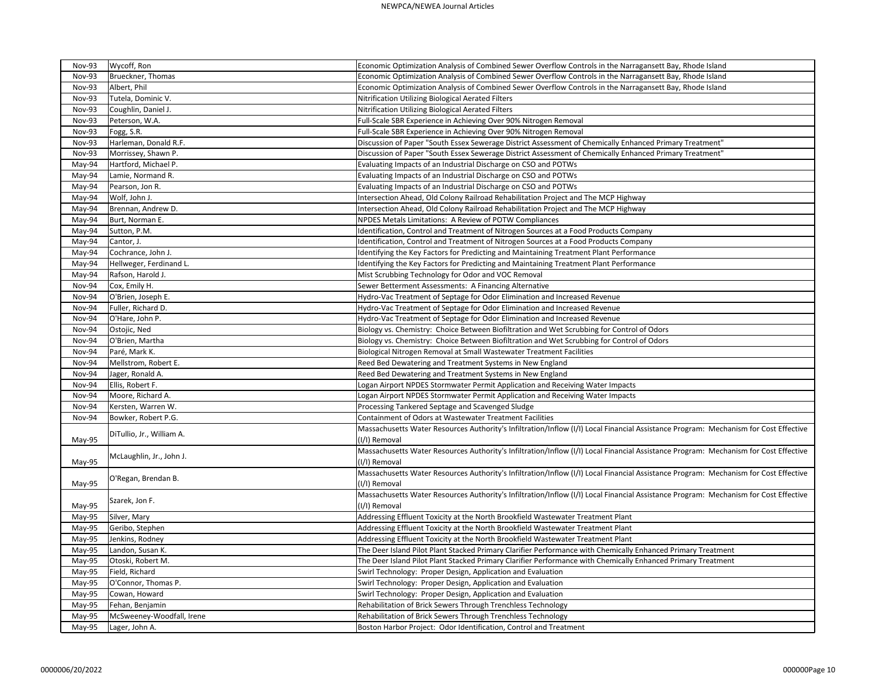| Nov-93        | Wycoff, Ron               | Economic Optimization Analysis of Combined Sewer Overflow Controls in the Narragansett Bay, Rhode Island                             |
|---------------|---------------------------|--------------------------------------------------------------------------------------------------------------------------------------|
| Nov-93        | Brueckner, Thomas         | Economic Optimization Analysis of Combined Sewer Overflow Controls in the Narragansett Bay, Rhode Island                             |
| Nov-93        | Albert, Phil              | Economic Optimization Analysis of Combined Sewer Overflow Controls in the Narragansett Bay, Rhode Island                             |
| <b>Nov-93</b> | Tutela, Dominic V.        | Nitrification Utilizing Biological Aerated Filters                                                                                   |
| <b>Nov-93</b> | Coughlin, Daniel J.       | Nitrification Utilizing Biological Aerated Filters                                                                                   |
| <b>Nov-93</b> | Peterson, W.A.            | Full-Scale SBR Experience in Achieving Over 90% Nitrogen Removal                                                                     |
| <b>Nov-93</b> | Fogg, S.R.                | Full-Scale SBR Experience in Achieving Over 90% Nitrogen Removal                                                                     |
| Nov-93        | Harleman, Donald R.F.     | Discussion of Paper "South Essex Sewerage District Assessment of Chemically Enhanced Primary Treatment"                              |
| Nov-93        | Morrissey, Shawn P.       | Discussion of Paper "South Essex Sewerage District Assessment of Chemically Enhanced Primary Treatment"                              |
| May-94        | Hartford, Michael P.      | Evaluating Impacts of an Industrial Discharge on CSO and POTWs                                                                       |
| May-94        | Lamie, Normand R.         | Evaluating Impacts of an Industrial Discharge on CSO and POTWs                                                                       |
| May-94        | Pearson, Jon R.           | Evaluating Impacts of an Industrial Discharge on CSO and POTWs                                                                       |
| May-94        | Wolf, John J.             | Intersection Ahead, Old Colony Railroad Rehabilitation Project and The MCP Highway                                                   |
| May-94        | Brennan, Andrew D.        | Intersection Ahead, Old Colony Railroad Rehabilitation Project and The MCP Highway                                                   |
| May-94        | Burt, Norman E.           | NPDES Metals Limitations: A Review of POTW Compliances                                                                               |
| May-94        | Sutton, P.M.              | Identification, Control and Treatment of Nitrogen Sources at a Food Products Company                                                 |
| May-94        | Cantor, J.                | Identification, Control and Treatment of Nitrogen Sources at a Food Products Company                                                 |
| May-94        | Cochrance, John J.        | Identifying the Key Factors for Predicting and Maintaining Treatment Plant Performance                                               |
| May-94        | Hellweger, Ferdinand L.   | Identifying the Key Factors for Predicting and Maintaining Treatment Plant Performance                                               |
| May-94        | Rafson, Harold J.         | Mist Scrubbing Technology for Odor and VOC Removal                                                                                   |
| Nov-94        | Cox, Emily H.             | Sewer Betterment Assessments: A Financing Alternative                                                                                |
| Nov-94        | O'Brien, Joseph E.        | Hydro-Vac Treatment of Septage for Odor Elimination and Increased Revenue                                                            |
| Nov-94        | Fuller, Richard D.        | Hydro-Vac Treatment of Septage for Odor Elimination and Increased Revenue                                                            |
| Nov-94        | O'Hare, John P.           | Hydro-Vac Treatment of Septage for Odor Elimination and Increased Revenue                                                            |
| Nov-94        | Ostojic, Ned              | Biology vs. Chemistry: Choice Between Biofiltration and Wet Scrubbing for Control of Odors                                           |
| Nov-94        | O'Brien, Martha           | Biology vs. Chemistry: Choice Between Biofiltration and Wet Scrubbing for Control of Odors                                           |
| Nov-94        | Paré, Mark K.             | Biological Nitrogen Removal at Small Wastewater Treatment Facilities                                                                 |
| Nov-94        | Mellstrom, Robert E.      | Reed Bed Dewatering and Treatment Systems in New England                                                                             |
| Nov-94        | Jager, Ronald A.          | Reed Bed Dewatering and Treatment Systems in New England                                                                             |
| Nov-94        | Ellis, Robert F.          | Logan Airport NPDES Stormwater Permit Application and Receiving Water Impacts                                                        |
| Nov-94        | Moore, Richard A.         | Logan Airport NPDES Stormwater Permit Application and Receiving Water Impacts                                                        |
| Nov-94        | Kersten, Warren W.        | Processing Tankered Septage and Scavenged Sludge                                                                                     |
| Nov-94        | Bowker, Robert P.G.       | Containment of Odors at Wastewater Treatment Facilities                                                                              |
|               | DiTullio, Jr., William A. | Massachusetts Water Resources Authority's Infiltration/Inflow (I/I) Local Financial Assistance Program: Mechanism for Cost Effective |
| May-95        |                           | (I/I) Removal                                                                                                                        |
|               |                           | Massachusetts Water Resources Authority's Infiltration/Inflow (I/I) Local Financial Assistance Program: Mechanism for Cost Effective |
| May-95        | McLaughlin, Jr., John J.  | (I/I) Removal                                                                                                                        |
|               |                           | Massachusetts Water Resources Authority's Infiltration/Inflow (I/I) Local Financial Assistance Program: Mechanism for Cost Effective |
| May-95        | O'Regan, Brendan B.       | (I/I) Removal                                                                                                                        |
|               | Szarek, Jon F.            | Massachusetts Water Resources Authority's Infiltration/Inflow (I/I) Local Financial Assistance Program: Mechanism for Cost Effective |
| May-95        |                           | (I/I) Removal                                                                                                                        |
| May-95        | Silver, Mary              | Addressing Effluent Toxicity at the North Brookfield Wastewater Treatment Plant                                                      |
| May-95        | Geribo, Stephen           | Addressing Effluent Toxicity at the North Brookfield Wastewater Treatment Plant                                                      |
| May-95        | Jenkins, Rodney           | Addressing Effluent Toxicity at the North Brookfield Wastewater Treatment Plant                                                      |
| May-95        | Landon, Susan K.          | The Deer Island Pilot Plant Stacked Primary Clarifier Performance with Chemically Enhanced Primary Treatment                         |
| May-95        | Otoski, Robert M.         | The Deer Island Pilot Plant Stacked Primary Clarifier Performance with Chemically Enhanced Primary Treatment                         |
| May-95        | Field, Richard            | Swirl Technology: Proper Design, Application and Evaluation                                                                          |
| May-95        | O'Connor, Thomas P.       | Swirl Technology: Proper Design, Application and Evaluation                                                                          |
| May-95        | Cowan, Howard             | Swirl Technology: Proper Design, Application and Evaluation                                                                          |
| May-95        | Fehan, Benjamin           | Rehabilitation of Brick Sewers Through Trenchless Technology                                                                         |
| May-95        | McSweeney-Woodfall, Irene | Rehabilitation of Brick Sewers Through Trenchless Technology                                                                         |
| May-95        | Lager, John A.            | Boston Harbor Project: Odor Identification, Control and Treatment                                                                    |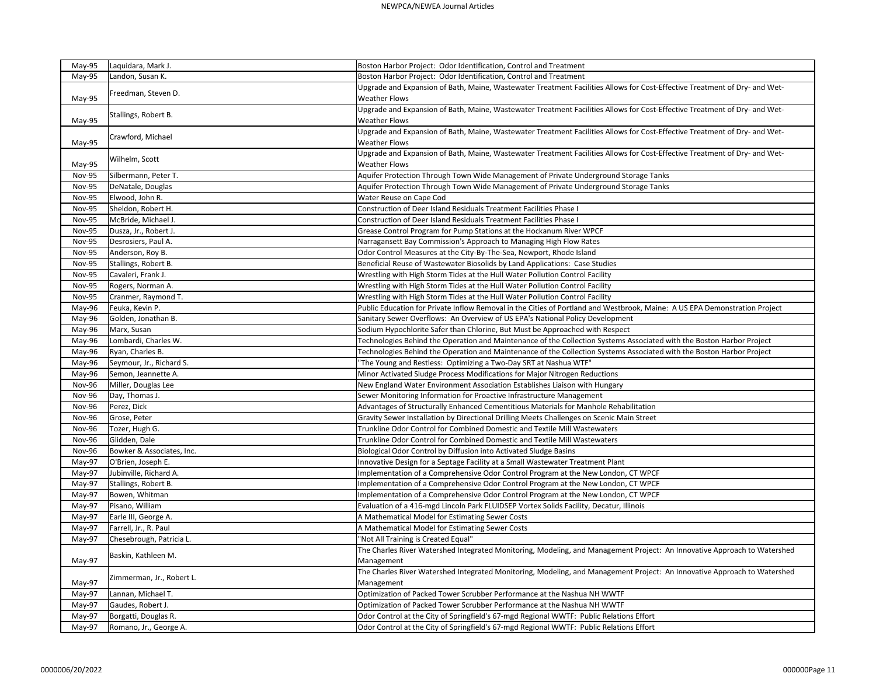| May-95        | Laquidara, Mark J.        | Boston Harbor Project: Odor Identification, Control and Treatment                                                                                  |
|---------------|---------------------------|----------------------------------------------------------------------------------------------------------------------------------------------------|
| May-95        | Landon, Susan K.          | Boston Harbor Project: Odor Identification, Control and Treatment                                                                                  |
|               |                           | Upgrade and Expansion of Bath, Maine, Wastewater Treatment Facilities Allows for Cost-Effective Treatment of Dry- and Wet-                         |
| May-95        | Freedman, Steven D.       | <b>Weather Flows</b>                                                                                                                               |
|               |                           | Upgrade and Expansion of Bath, Maine, Wastewater Treatment Facilities Allows for Cost-Effective Treatment of Dry- and Wet-                         |
| May-95        | Stallings, Robert B.      | <b>Weather Flows</b>                                                                                                                               |
| May-95        | Crawford, Michael         | Upgrade and Expansion of Bath, Maine, Wastewater Treatment Facilities Allows for Cost-Effective Treatment of Dry- and Wet-<br><b>Weather Flows</b> |
| May-95        | Wilhelm, Scott            | Upgrade and Expansion of Bath, Maine, Wastewater Treatment Facilities Allows for Cost-Effective Treatment of Dry- and Wet-<br><b>Weather Flows</b> |
| Nov-95        | Silbermann, Peter T.      | Aquifer Protection Through Town Wide Management of Private Underground Storage Tanks                                                               |
| <b>Nov-95</b> | DeNatale, Douglas         | Aquifer Protection Through Town Wide Management of Private Underground Storage Tanks                                                               |
| <b>Nov-95</b> | Elwood, John R.           | Water Reuse on Cape Cod                                                                                                                            |
| Nov-95        | Sheldon, Robert H.        | Construction of Deer Island Residuals Treatment Facilities Phase I                                                                                 |
| <b>Nov-95</b> | McBride, Michael J.       | Construction of Deer Island Residuals Treatment Facilities Phase I                                                                                 |
| Nov-95        | Dusza, Jr., Robert J.     | Grease Control Program for Pump Stations at the Hockanum River WPCF                                                                                |
| Nov-95        | Desrosiers, Paul A.       | Narragansett Bay Commission's Approach to Managing High Flow Rates                                                                                 |
| Nov-95        | Anderson, Roy B.          | Odor Control Measures at the City-By-The-Sea, Newport, Rhode Island                                                                                |
| Nov-95        | Stallings, Robert B.      | Beneficial Reuse of Wastewater Biosolids by Land Applications: Case Studies                                                                        |
| <b>Nov-95</b> | Cavaleri, Frank J.        | Wrestling with High Storm Tides at the Hull Water Pollution Control Facility                                                                       |
| <b>Nov-95</b> | Rogers, Norman A.         | Wrestling with High Storm Tides at the Hull Water Pollution Control Facility                                                                       |
| <b>Nov-95</b> | Cranmer, Raymond T.       | Wrestling with High Storm Tides at the Hull Water Pollution Control Facility                                                                       |
| May-96        | Feuka, Kevin P.           | Public Education for Private Inflow Removal in the Cities of Portland and Westbrook, Maine: A US EPA Demonstration Project                         |
|               | Golden, Jonathan B.       | Sanitary Sewer Overflows: An Overview of US EPA's National Policy Development                                                                      |
| May-96        |                           |                                                                                                                                                    |
| May-96        | Marx, Susan               | Sodium Hypochlorite Safer than Chlorine, But Must be Approached with Respect                                                                       |
| May-96        | Lombardi, Charles W.      | Technologies Behind the Operation and Maintenance of the Collection Systems Associated with the Boston Harbor Project                              |
| May-96        | Ryan, Charles B.          | Technologies Behind the Operation and Maintenance of the Collection Systems Associated with the Boston Harbor Project                              |
| May-96        | Seymour, Jr., Richard S.  | 'The Young and Restless: Optimizing a Two-Day SRT at Nashua WTF"                                                                                   |
| May-96        | Semon, Jeannette A.       | Minor Activated Sludge Process Modifications for Major Nitrogen Reductions                                                                         |
| Nov-96        | Miller, Douglas Lee       | New England Water Environment Association Establishes Liaison with Hungary                                                                         |
| Nov-96        | Day, Thomas J.            | Sewer Monitoring Information for Proactive Infrastructure Management                                                                               |
| Nov-96        | Perez, Dick               | Advantages of Structurally Enhanced Cementitious Materials for Manhole Rehabilitation                                                              |
| Nov-96        | Grose, Peter              | Gravity Sewer Installation by Directional Drilling Meets Challenges on Scenic Main Street                                                          |
| Nov-96        | Tozer, Hugh G.            | Trunkline Odor Control for Combined Domestic and Textile Mill Wastewaters                                                                          |
| <b>Nov-96</b> | Glidden, Dale             | Trunkline Odor Control for Combined Domestic and Textile Mill Wastewaters                                                                          |
| <b>Nov-96</b> | Bowker & Associates, Inc. | Biological Odor Control by Diffusion into Activated Sludge Basins                                                                                  |
| May-97        | O'Brien, Joseph E.        | Innovative Design for a Septage Facility at a Small Wastewater Treatment Plant                                                                     |
| May-97        | Jubinville, Richard A.    | Implementation of a Comprehensive Odor Control Program at the New London, CT WPCF                                                                  |
| May-97        | Stallings, Robert B.      | Implementation of a Comprehensive Odor Control Program at the New London, CT WPCF                                                                  |
| May-97        | Bowen, Whitman            | Implementation of a Comprehensive Odor Control Program at the New London, CT WPCF                                                                  |
| May-97        | Pisano, William           | Evaluation of a 416-mgd Lincoln Park FLUIDSEP Vortex Solids Facility, Decatur, Illinois                                                            |
| May-97        | Earle III, George A.      | A Mathematical Model for Estimating Sewer Costs                                                                                                    |
| May-97        | Farrell, Jr., R. Paul     | A Mathematical Model for Estimating Sewer Costs                                                                                                    |
| May-97        | Chesebrough, Patricia L.  | "Not All Training is Created Equal"                                                                                                                |
| May-97        | Baskin, Kathleen M.       | The Charles River Watershed Integrated Monitoring, Modeling, and Management Project: An Innovative Approach to Watershed<br>Management             |
|               | Zimmerman, Jr., Robert L. | The Charles River Watershed Integrated Monitoring, Modeling, and Management Project: An Innovative Approach to Watershed                           |
| May-97        |                           | Management                                                                                                                                         |
| May-97        | Lannan, Michael T.        | Optimization of Packed Tower Scrubber Performance at the Nashua NH WWTF                                                                            |
| May-97        | Gaudes, Robert J.         | Optimization of Packed Tower Scrubber Performance at the Nashua NH WWTF                                                                            |
| May-97        | Borgatti, Douglas R.      | Odor Control at the City of Springfield's 67-mgd Regional WWTF: Public Relations Effort                                                            |
| May-97        | Romano, Jr., George A.    | Odor Control at the City of Springfield's 67-mgd Regional WWTF: Public Relations Effort                                                            |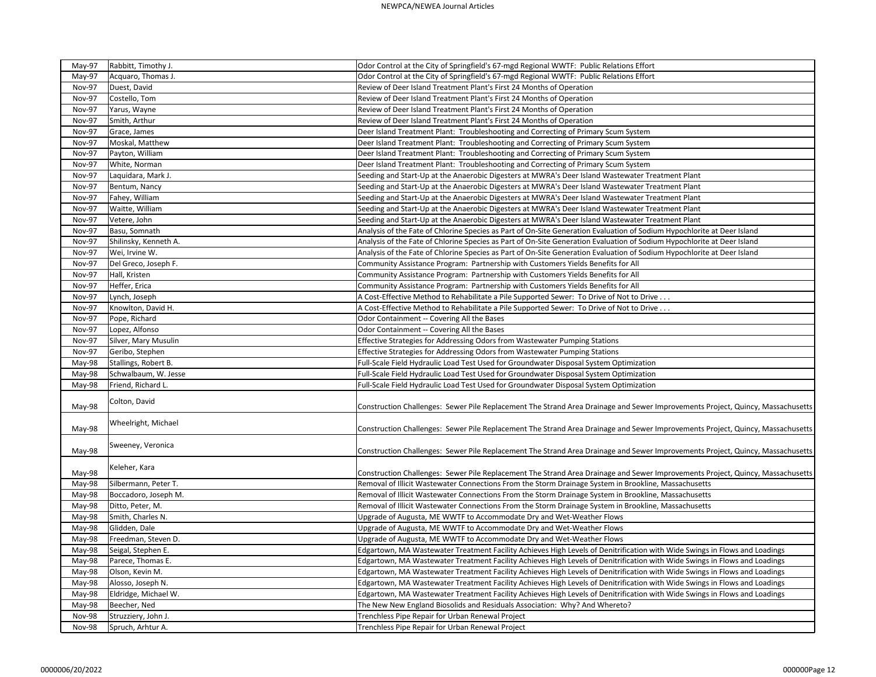| May-97        | Rabbitt, Timothy J.   | Odor Control at the City of Springfield's 67-mgd Regional WWTF: Public Relations Effort                                        |
|---------------|-----------------------|--------------------------------------------------------------------------------------------------------------------------------|
| May-97        | Acquaro, Thomas J.    | Odor Control at the City of Springfield's 67-mgd Regional WWTF: Public Relations Effort                                        |
| <b>Nov-97</b> | Duest, David          | Review of Deer Island Treatment Plant's First 24 Months of Operation                                                           |
| Nov-97        | Costello, Tom         | Review of Deer Island Treatment Plant's First 24 Months of Operation                                                           |
| Nov-97        | Yarus, Wayne          | Review of Deer Island Treatment Plant's First 24 Months of Operation                                                           |
| Nov-97        | Smith, Arthur         | Review of Deer Island Treatment Plant's First 24 Months of Operation                                                           |
| Nov-97        | Grace, James          | Deer Island Treatment Plant: Troubleshooting and Correcting of Primary Scum System                                             |
| <b>Nov-97</b> | Moskal, Matthew       | Deer Island Treatment Plant: Troubleshooting and Correcting of Primary Scum System                                             |
| Nov-97        | Payton, William       | Deer Island Treatment Plant: Troubleshooting and Correcting of Primary Scum System                                             |
| Nov-97        | White, Norman         | Deer Island Treatment Plant: Troubleshooting and Correcting of Primary Scum System                                             |
| <b>Nov-97</b> | Laquidara, Mark J.    | Seeding and Start-Up at the Anaerobic Digesters at MWRA's Deer Island Wastewater Treatment Plant                               |
| Nov-97        | Bentum, Nancy         | Seeding and Start-Up at the Anaerobic Digesters at MWRA's Deer Island Wastewater Treatment Plant                               |
| <b>Nov-97</b> | Fahey, William        | Seeding and Start-Up at the Anaerobic Digesters at MWRA's Deer Island Wastewater Treatment Plant                               |
| <b>Nov-97</b> | Waitte, William       | Seeding and Start-Up at the Anaerobic Digesters at MWRA's Deer Island Wastewater Treatment Plant                               |
| <b>Nov-97</b> | Vetere, John          | Seeding and Start-Up at the Anaerobic Digesters at MWRA's Deer Island Wastewater Treatment Plant                               |
| Nov-97        | Basu, Somnath         | Analysis of the Fate of Chlorine Species as Part of On-Site Generation Evaluation of Sodium Hypochlorite at Deer Island        |
| Nov-97        | Shilinsky, Kenneth A. | Analysis of the Fate of Chlorine Species as Part of On-Site Generation Evaluation of Sodium Hypochlorite at Deer Island        |
| Nov-97        | Wei, Irvine W.        | Analysis of the Fate of Chlorine Species as Part of On-Site Generation Evaluation of Sodium Hypochlorite at Deer Island        |
| Nov-97        | Del Greco, Joseph F.  | Community Assistance Program: Partnership with Customers Yields Benefits for All                                               |
| <b>Nov-97</b> | Hall, Kristen         | Community Assistance Program: Partnership with Customers Yields Benefits for All                                               |
| <b>Nov-97</b> | Heffer, Erica         | Community Assistance Program: Partnership with Customers Yields Benefits for All                                               |
| <b>Nov-97</b> | Lynch, Joseph         | A Cost-Effective Method to Rehabilitate a Pile Supported Sewer: To Drive of Not to Drive                                       |
| Nov-97        | Knowlton, David H.    | A Cost-Effective Method to Rehabilitate a Pile Supported Sewer: To Drive of Not to Drive                                       |
| <b>Nov-97</b> | Pope, Richard         | Odor Containment -- Covering All the Bases                                                                                     |
| <b>Nov-97</b> | Lopez, Alfonso        | Odor Containment -- Covering All the Bases                                                                                     |
| Nov-97        | Silver, Mary Musulin  | Effective Strategies for Addressing Odors from Wastewater Pumping Stations                                                     |
| <b>Nov-97</b> | Geribo, Stephen       | Effective Strategies for Addressing Odors from Wastewater Pumping Stations                                                     |
| May-98        | Stallings, Robert B.  | Full-Scale Field Hydraulic Load Test Used for Groundwater Disposal System Optimization                                         |
| May-98        | Schwalbaum, W. Jesse  | Full-Scale Field Hydraulic Load Test Used for Groundwater Disposal System Optimization                                         |
| May-98        | Friend, Richard L.    | Full-Scale Field Hydraulic Load Test Used for Groundwater Disposal System Optimization                                         |
|               |                       |                                                                                                                                |
| May-98        | Colton, David         | Construction Challenges: Sewer Pile Replacement The Strand Area Drainage and Sewer Improvements Project, Quincy, Massachusetts |
|               |                       |                                                                                                                                |
| $May-98$      | Wheelright, Michael   | Construction Challenges: Sewer Pile Replacement The Strand Area Drainage and Sewer Improvements Project, Quincy, Massachusetts |
|               |                       |                                                                                                                                |
| May-98        | Sweeney, Veronica     | Construction Challenges: Sewer Pile Replacement The Strand Area Drainage and Sewer Improvements Project, Quincy, Massachusetts |
|               |                       |                                                                                                                                |
| May-98        | Keleher, Kara         | Construction Challenges: Sewer Pile Replacement The Strand Area Drainage and Sewer Improvements Project, Quincy, Massachusetts |
| May-98        | Silbermann, Peter T.  | Removal of Illicit Wastewater Connections From the Storm Drainage System in Brookline, Massachusetts                           |
| May-98        | Boccadoro, Joseph M.  | Removal of Illicit Wastewater Connections From the Storm Drainage System in Brookline, Massachusetts                           |
| May-98        | Ditto, Peter, M.      | Removal of Illicit Wastewater Connections From the Storm Drainage System in Brookline, Massachusetts                           |
| May-98        | Smith, Charles N.     | Upgrade of Augusta, ME WWTF to Accommodate Dry and Wet-Weather Flows                                                           |
| May-98        | Glidden, Dale         | Upgrade of Augusta, ME WWTF to Accommodate Dry and Wet-Weather Flows                                                           |
| May-98        | Freedman, Steven D.   | Upgrade of Augusta, ME WWTF to Accommodate Dry and Wet-Weather Flows                                                           |
| May-98        | Seigal, Stephen E.    | Edgartown, MA Wastewater Treatment Facility Achieves High Levels of Denitrification with Wide Swings in Flows and Loadings     |
| May-98        | Parece, Thomas E.     | Edgartown, MA Wastewater Treatment Facility Achieves High Levels of Denitrification with Wide Swings in Flows and Loadings     |
| May-98        | Olson, Kevin M.       | Edgartown, MA Wastewater Treatment Facility Achieves High Levels of Denitrification with Wide Swings in Flows and Loadings     |
| May-98        | Alosso, Joseph N.     | Edgartown, MA Wastewater Treatment Facility Achieves High Levels of Denitrification with Wide Swings in Flows and Loadings     |
| May-98        | Eldridge, Michael W.  | Edgartown, MA Wastewater Treatment Facility Achieves High Levels of Denitrification with Wide Swings in Flows and Loadings     |
| May-98        | Beecher, Ned          | The New New England Biosolids and Residuals Association: Why? And Whereto?                                                     |
| Nov-98        | Struzziery, John J.   | Trenchless Pipe Repair for Urban Renewal Project                                                                               |
| <b>Nov-98</b> | Spruch, Arhtur A.     | Trenchless Pipe Repair for Urban Renewal Project                                                                               |
|               |                       |                                                                                                                                |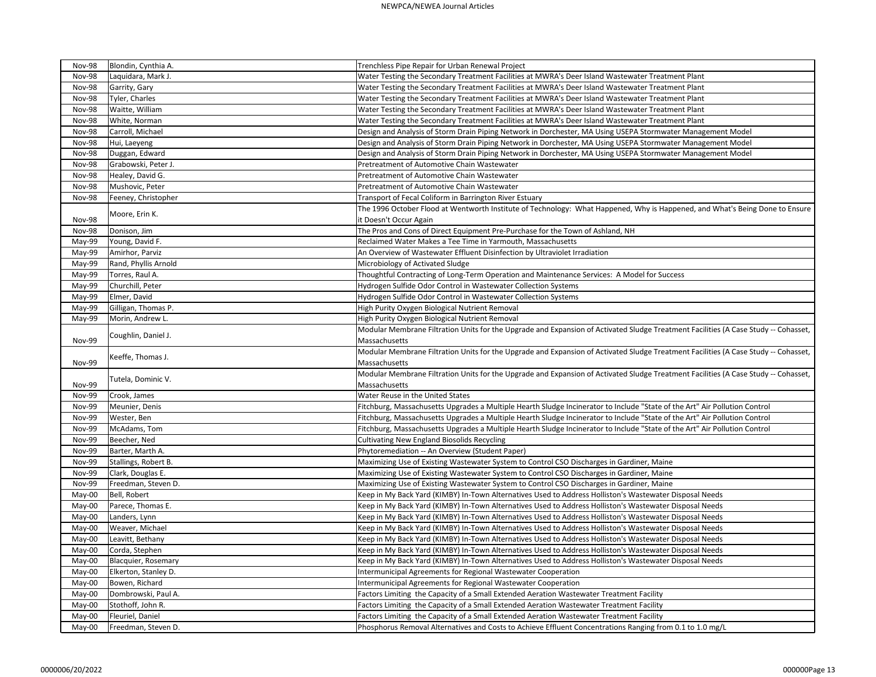| <b>Nov-98</b> | Blondin, Cynthia A.  | Trenchless Pipe Repair for Urban Renewal Project                                                                                    |
|---------------|----------------------|-------------------------------------------------------------------------------------------------------------------------------------|
| Nov-98        | Laquidara, Mark J.   | Water Testing the Secondary Treatment Facilities at MWRA's Deer Island Wastewater Treatment Plant                                   |
| Nov-98        | Garrity, Gary        | Water Testing the Secondary Treatment Facilities at MWRA's Deer Island Wastewater Treatment Plant                                   |
| Nov-98        | Tyler, Charles       | Water Testing the Secondary Treatment Facilities at MWRA's Deer Island Wastewater Treatment Plant                                   |
| <b>Nov-98</b> | Waitte, William      | Water Testing the Secondary Treatment Facilities at MWRA's Deer Island Wastewater Treatment Plant                                   |
| <b>Nov-98</b> | White, Norman        | Water Testing the Secondary Treatment Facilities at MWRA's Deer Island Wastewater Treatment Plant                                   |
| <b>Nov-98</b> | Carroll, Michael     | Design and Analysis of Storm Drain Piping Network in Dorchester, MA Using USEPA Stormwater Management Model                         |
| Nov-98        | Hui, Laeyeng         | Design and Analysis of Storm Drain Piping Network in Dorchester, MA Using USEPA Stormwater Management Model                         |
| Nov-98        | Duggan, Edward       | Design and Analysis of Storm Drain Piping Network in Dorchester, MA Using USEPA Stormwater Management Model                         |
| Nov-98        | Grabowski, Peter J.  | Pretreatment of Automotive Chain Wastewater                                                                                         |
| <b>Nov-98</b> | Healey, David G.     | Pretreatment of Automotive Chain Wastewater                                                                                         |
| <b>Nov-98</b> | Mushovic, Peter      | Pretreatment of Automotive Chain Wastewater                                                                                         |
| <b>Nov-98</b> | Feeney, Christopher  | Transport of Fecal Coliform in Barrington River Estuary                                                                             |
|               |                      | The 1996 October Flood at Wentworth Institute of Technology: What Happened, Why is Happened, and What's Being Done to Ensure        |
| Nov-98        | Moore, Erin K.       | it Doesn't Occur Again                                                                                                              |
| <b>Nov-98</b> | Donison, Jim         | The Pros and Cons of Direct Equipment Pre-Purchase for the Town of Ashland, NH                                                      |
| May-99        | Young, David F.      | Reclaimed Water Makes a Tee Time in Yarmouth, Massachusetts                                                                         |
| May-99        | Amirhor, Parviz      | An Overview of Wastewater Effluent Disinfection by Ultraviolet Irradiation                                                          |
| May-99        | Rand, Phyllis Arnold | Microbiology of Activated Sludge                                                                                                    |
| May-99        | Torres, Raul A.      | Thoughtful Contracting of Long-Term Operation and Maintenance Services: A Model for Success                                         |
| May-99        | Churchill, Peter     | Hydrogen Sulfide Odor Control in Wastewater Collection Systems                                                                      |
| May-99        | Elmer, David         | Hydrogen Sulfide Odor Control in Wastewater Collection Systems                                                                      |
| May-99        | Gilligan, Thomas P.  | High Purity Oxygen Biological Nutrient Removal                                                                                      |
| May-99        | Morin, Andrew L.     | High Purity Oxygen Biological Nutrient Removal                                                                                      |
|               | Coughlin, Daniel J.  | Modular Membrane Filtration Units for the Upgrade and Expansion of Activated Sludge Treatment Facilities (A Case Study -- Cohasset, |
| Nov-99        |                      | Massachusetts                                                                                                                       |
|               |                      | Modular Membrane Filtration Units for the Upgrade and Expansion of Activated Sludge Treatment Facilities (A Case Study -- Cohasset, |
| <b>Nov-99</b> | Keeffe, Thomas J.    | Massachusetts                                                                                                                       |
|               |                      | Modular Membrane Filtration Units for the Upgrade and Expansion of Activated Sludge Treatment Facilities (A Case Study -- Cohasset, |
| Nov-99        | Tutela, Dominic V.   | Massachusetts                                                                                                                       |
| Nov-99        | Crook, James         | Water Reuse in the United States                                                                                                    |
| Nov-99        | Meunier, Denis       | Fitchburg, Massachusetts Upgrades a Multiple Hearth Sludge Incinerator to Include "State of the Art" Air Pollution Control          |
| Nov-99        | Wester, Ben          | Fitchburg, Massachusetts Upgrades a Multiple Hearth Sludge Incinerator to Include "State of the Art" Air Pollution Control          |
| Nov-99        | McAdams, Tom         | Fitchburg, Massachusetts Upgrades a Multiple Hearth Sludge Incinerator to Include "State of the Art" Air Pollution Control          |
| Nov-99        | Beecher, Ned         | <b>Cultivating New England Biosolids Recycling</b>                                                                                  |
| Nov-99        | Barter, Marth A.     | Phytoremediation -- An Overview (Student Paper)                                                                                     |
| Nov-99        | Stallings, Robert B. | Maximizing Use of Existing Wastewater System to Control CSO Discharges in Gardiner, Maine                                           |
| Nov-99        | Clark, Douglas E.    | Maximizing Use of Existing Wastewater System to Control CSO Discharges in Gardiner, Maine                                           |
| <b>Nov-99</b> | Freedman, Steven D.  | Maximizing Use of Existing Wastewater System to Control CSO Discharges in Gardiner, Maine                                           |
| May-00        | Bell, Robert         | Keep in My Back Yard (KIMBY) In-Town Alternatives Used to Address Holliston's Wastewater Disposal Needs                             |
| May-00        | Parece, Thomas E.    | Keep in My Back Yard (KIMBY) In-Town Alternatives Used to Address Holliston's Wastewater Disposal Needs                             |
| May-00        | Landers, Lynn        | Keep in My Back Yard (KIMBY) In-Town Alternatives Used to Address Holliston's Wastewater Disposal Needs                             |
| May-00        | Weaver, Michael      | Keep in My Back Yard (KIMBY) In-Town Alternatives Used to Address Holliston's Wastewater Disposal Needs                             |
| May-00        | Leavitt, Bethany     | Keep in My Back Yard (KIMBY) In-Town Alternatives Used to Address Holliston's Wastewater Disposal Needs                             |
| May-00        | Corda, Stephen       | Keep in My Back Yard (KIMBY) In-Town Alternatives Used to Address Holliston's Wastewater Disposal Needs                             |
| May-00        | Blacquier, Rosemary  | Keep in My Back Yard (KIMBY) In-Town Alternatives Used to Address Holliston's Wastewater Disposal Needs                             |
| May-00        | Elkerton, Stanley D. | Intermunicipal Agreements for Regional Wastewater Cooperation                                                                       |
| May-00        | Bowen, Richard       | Intermunicipal Agreements for Regional Wastewater Cooperation                                                                       |
| May-00        | Dombrowski, Paul A.  | Factors Limiting the Capacity of a Small Extended Aeration Wastewater Treatment Facility                                            |
| May-00        | Stothoff, John R.    | Factors Limiting the Capacity of a Small Extended Aeration Wastewater Treatment Facility                                            |
| May-00        | Fleuriel, Daniel     | Factors Limiting the Capacity of a Small Extended Aeration Wastewater Treatment Facility                                            |
| May-00        | Freedman, Steven D.  | Phosphorus Removal Alternatives and Costs to Achieve Effluent Concentrations Ranging from 0.1 to 1.0 mg/L                           |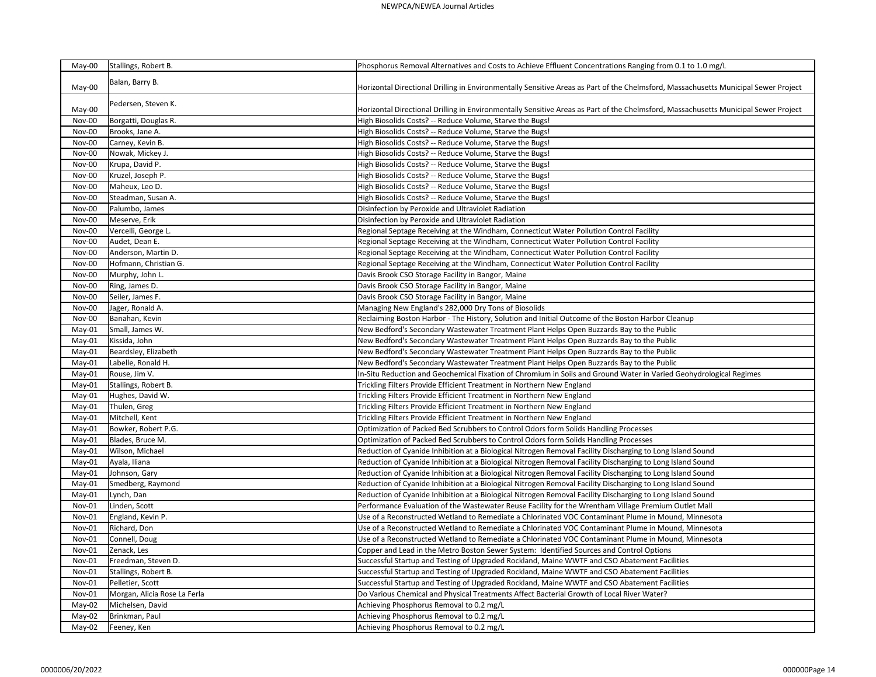| May-00   | Stallings, Robert B.         | Phosphorus Removal Alternatives and Costs to Achieve Effluent Concentrations Ranging from 0.1 to 1.0 mg/L                           |
|----------|------------------------------|-------------------------------------------------------------------------------------------------------------------------------------|
|          |                              |                                                                                                                                     |
| May-00   | Balan, Barry B.              | Horizontal Directional Drilling in Environmentally Sensitive Areas as Part of the Chelmsford, Massachusetts Municipal Sewer Project |
|          |                              |                                                                                                                                     |
| May-00   | Pedersen, Steven K.          | Horizontal Directional Drilling in Environmentally Sensitive Areas as Part of the Chelmsford, Massachusetts Municipal Sewer Project |
| Nov-00   | Borgatti, Douglas R.         | High Biosolids Costs? -- Reduce Volume, Starve the Bugs!                                                                            |
| Nov-00   | Brooks, Jane A.              | High Biosolids Costs? -- Reduce Volume, Starve the Bugs!                                                                            |
| Nov-00   | Carney, Kevin B.             | High Biosolids Costs? -- Reduce Volume, Starve the Bugs!                                                                            |
| Nov-00   | Nowak, Mickey J.             | High Biosolids Costs? -- Reduce Volume, Starve the Bugs!                                                                            |
| Nov-00   | Krupa, David P.              | High Biosolids Costs? -- Reduce Volume, Starve the Bugs!                                                                            |
| Nov-00   | Kruzel, Joseph P.            | High Biosolids Costs? -- Reduce Volume, Starve the Bugs!                                                                            |
| Nov-00   | Maheux, Leo D.               | High Biosolids Costs? -- Reduce Volume, Starve the Bugs!                                                                            |
| Nov-00   | Steadman, Susan A.           | High Biosolids Costs? -- Reduce Volume, Starve the Bugs!                                                                            |
| Nov-00   | Palumbo, James               | Disinfection by Peroxide and Ultraviolet Radiation                                                                                  |
| Nov-00   | Meserve, Erik                | Disinfection by Peroxide and Ultraviolet Radiation                                                                                  |
| Nov-00   | Vercelli, George L.          | Regional Septage Receiving at the Windham, Connecticut Water Pollution Control Facility                                             |
| Nov-00   | Audet, Dean E.               | Regional Septage Receiving at the Windham, Connecticut Water Pollution Control Facility                                             |
| Nov-00   | Anderson, Martin D.          | Regional Septage Receiving at the Windham, Connecticut Water Pollution Control Facility                                             |
| Nov-00   | Hofmann, Christian G.        | Regional Septage Receiving at the Windham, Connecticut Water Pollution Control Facility                                             |
| Nov-00   | Murphy, John L.              | Davis Brook CSO Storage Facility in Bangor, Maine                                                                                   |
| Nov-00   | Ring, James D.               | Davis Brook CSO Storage Facility in Bangor, Maine                                                                                   |
| Nov-00   | Seiler, James F.             | Davis Brook CSO Storage Facility in Bangor, Maine                                                                                   |
| Nov-00   | Jager, Ronald A.             | Managing New England's 282,000 Dry Tons of Biosolids                                                                                |
| Nov-00   | Banahan, Kevin               | Reclaiming Boston Harbor - The History, Solution and Initial Outcome of the Boston Harbor Cleanup                                   |
| May-01   | Small, James W.              | New Bedford's Secondary Wastewater Treatment Plant Helps Open Buzzards Bay to the Public                                            |
| May-01   | Kissida, John                | New Bedford's Secondary Wastewater Treatment Plant Helps Open Buzzards Bay to the Public                                            |
| May-01   | Beardsley, Elizabeth         | New Bedford's Secondary Wastewater Treatment Plant Helps Open Buzzards Bay to the Public                                            |
| May-01   | Labelle, Ronald H.           | New Bedford's Secondary Wastewater Treatment Plant Helps Open Buzzards Bay to the Public                                            |
| May-01   | Rouse, Jim V.                | In-Situ Reduction and Geochemical Fixation of Chromium in Soils and Ground Water in Varied Geohydrological Regimes                  |
| May-01   | Stallings, Robert B.         | Trickling Filters Provide Efficient Treatment in Northern New England                                                               |
| May-01   | Hughes, David W.             | Trickling Filters Provide Efficient Treatment in Northern New England                                                               |
| May-01   | Thulen, Greg                 | Trickling Filters Provide Efficient Treatment in Northern New England                                                               |
| May-01   | Mitchell, Kent               | Trickling Filters Provide Efficient Treatment in Northern New England                                                               |
| $May-01$ | Bowker, Robert P.G.          | Optimization of Packed Bed Scrubbers to Control Odors form Solids Handling Processes                                                |
| May-01   | Blades, Bruce M.             | Optimization of Packed Bed Scrubbers to Control Odors form Solids Handling Processes                                                |
| May-01   | Wilson, Michael              | Reduction of Cyanide Inhibition at a Biological Nitrogen Removal Facility Discharging to Long Island Sound                          |
| May-01   | Ayala, Iliana                | Reduction of Cyanide Inhibition at a Biological Nitrogen Removal Facility Discharging to Long Island Sound                          |
| May-01   | Johnson, Gary                | Reduction of Cyanide Inhibition at a Biological Nitrogen Removal Facility Discharging to Long Island Sound                          |
| May-01   | Smedberg, Raymond            | Reduction of Cyanide Inhibition at a Biological Nitrogen Removal Facility Discharging to Long Island Sound                          |
| May-01   | Lynch, Dan                   | Reduction of Cyanide Inhibition at a Biological Nitrogen Removal Facility Discharging to Long Island Sound                          |
| Nov-01   | Linden, Scott                | Performance Evaluation of the Wastewater Reuse Facility for the Wrentham Village Premium Outlet Mall                                |
| Nov-01   | England, Kevin P.            | Use of a Reconstructed Wetland to Remediate a Chlorinated VOC Contaminant Plume in Mound, Minnesota                                 |
| Nov-01   | Richard, Don                 | Use of a Reconstructed Wetland to Remediate a Chlorinated VOC Contaminant Plume in Mound, Minnesota                                 |
| Nov-01   | Connell, Doug                | Use of a Reconstructed Wetland to Remediate a Chlorinated VOC Contaminant Plume in Mound, Minnesota                                 |
| Nov-01   | Zenack, Les                  | Copper and Lead in the Metro Boston Sewer System: Identified Sources and Control Options                                            |
| Nov-01   | Freedman, Steven D.          | Successful Startup and Testing of Upgraded Rockland, Maine WWTF and CSO Abatement Facilities                                        |
| Nov-01   | Stallings, Robert B.         | Successful Startup and Testing of Upgraded Rockland, Maine WWTF and CSO Abatement Facilities                                        |
| Nov-01   | Pelletier, Scott             | Successful Startup and Testing of Upgraded Rockland, Maine WWTF and CSO Abatement Facilities                                        |
| Nov-01   | Morgan, Alicia Rose La Ferla | Do Various Chemical and Physical Treatments Affect Bacterial Growth of Local River Water?                                           |
| May-02   | Michelsen, David             | Achieving Phosphorus Removal to 0.2 mg/L                                                                                            |
| May-02   | Brinkman, Paul               | Achieving Phosphorus Removal to 0.2 mg/L                                                                                            |
| May-02   | Feeney, Ken                  | Achieving Phosphorus Removal to 0.2 mg/L                                                                                            |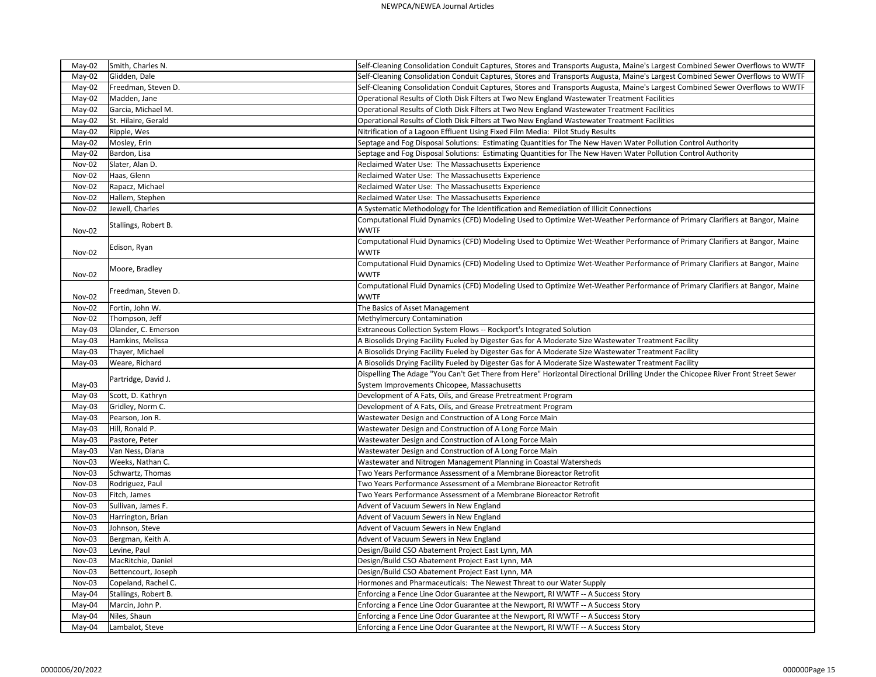## NEWPCA/NEWEA Journal Articles

| May-02<br>May-02 | Smith, Charles N.<br>Glidden, Dale | Self-Cleaning Consolidation Conduit Captures, Stores and Transports Augusta, Maine's Largest Combined Sewer Overflows to WWTF<br>Self-Cleaning Consolidation Conduit Captures, Stores and Transports Augusta, Maine's Largest Combined Sewer Overflows to WWTF |
|------------------|------------------------------------|----------------------------------------------------------------------------------------------------------------------------------------------------------------------------------------------------------------------------------------------------------------|
|                  |                                    |                                                                                                                                                                                                                                                                |
| May-02           | Freedman, Steven D.                | Self-Cleaning Consolidation Conduit Captures, Stores and Transports Augusta, Maine's Largest Combined Sewer Overflows to WWTF                                                                                                                                  |
| May-02           | Madden, Jane                       | Operational Results of Cloth Disk Filters at Two New England Wastewater Treatment Facilities                                                                                                                                                                   |
| May-02           | Garcia, Michael M.                 | Operational Results of Cloth Disk Filters at Two New England Wastewater Treatment Facilities                                                                                                                                                                   |
| May-02           | St. Hilaire, Gerald                | Operational Results of Cloth Disk Filters at Two New England Wastewater Treatment Facilities                                                                                                                                                                   |
| May-02           | Ripple, Wes                        | Nitrification of a Lagoon Effluent Using Fixed Film Media: Pilot Study Results                                                                                                                                                                                 |
| May-02           | Mosley, Erin                       | Septage and Fog Disposal Solutions: Estimating Quantities for The New Haven Water Pollution Control Authority                                                                                                                                                  |
| May-02           | Bardon, Lisa                       | Septage and Fog Disposal Solutions: Estimating Quantities for The New Haven Water Pollution Control Authority                                                                                                                                                  |
| Nov-02           | Slater, Alan D.                    | Reclaimed Water Use: The Massachusetts Experience                                                                                                                                                                                                              |
| Nov-02           | Haas, Glenn                        | Reclaimed Water Use: The Massachusetts Experience                                                                                                                                                                                                              |
| Nov-02           | Rapacz, Michael                    | Reclaimed Water Use: The Massachusetts Experience                                                                                                                                                                                                              |
| Nov-02           | Hallem, Stephen                    | Reclaimed Water Use: The Massachusetts Experience                                                                                                                                                                                                              |
| Nov-02           | Jewell, Charles                    | A Systematic Methodology for The Identification and Remediation of Illicit Connections                                                                                                                                                                         |
|                  |                                    | Computational Fluid Dynamics (CFD) Modeling Used to Optimize Wet-Weather Performance of Primary Clarifiers at Bangor, Maine                                                                                                                                    |
| Nov-02           | Stallings, Robert B.               | <b>WWTF</b>                                                                                                                                                                                                                                                    |
|                  |                                    | Computational Fluid Dynamics (CFD) Modeling Used to Optimize Wet-Weather Performance of Primary Clarifiers at Bangor, Maine                                                                                                                                    |
| Nov-02           | Edison, Ryan                       | <b>WWTF</b>                                                                                                                                                                                                                                                    |
|                  |                                    | Computational Fluid Dynamics (CFD) Modeling Used to Optimize Wet-Weather Performance of Primary Clarifiers at Bangor, Maine                                                                                                                                    |
| Nov-02           | Moore, Bradley                     | <b>WWTF</b>                                                                                                                                                                                                                                                    |
|                  |                                    | Computational Fluid Dynamics (CFD) Modeling Used to Optimize Wet-Weather Performance of Primary Clarifiers at Bangor, Maine                                                                                                                                    |
|                  | Freedman, Steven D.                |                                                                                                                                                                                                                                                                |
| Nov-02           |                                    | <b>WWTF</b>                                                                                                                                                                                                                                                    |
| Nov-02           | Fortin, John W.                    | The Basics of Asset Management                                                                                                                                                                                                                                 |
| Nov-02           | Thompson, Jeff                     | Methylmercury Contamination                                                                                                                                                                                                                                    |
| May-03           | Olander, C. Emerson                | Extraneous Collection System Flows -- Rockport's Integrated Solution                                                                                                                                                                                           |
| May-03           | Hamkins, Melissa                   | A Biosolids Drying Facility Fueled by Digester Gas for A Moderate Size Wastewater Treatment Facility                                                                                                                                                           |
| May-03           | Thayer, Michael                    | A Biosolids Drying Facility Fueled by Digester Gas for A Moderate Size Wastewater Treatment Facility                                                                                                                                                           |
| May-03           | Weare, Richard                     | A Biosolids Drying Facility Fueled by Digester Gas for A Moderate Size Wastewater Treatment Facility                                                                                                                                                           |
|                  | Partridge, David J.                | Dispelling The Adage "You Can't Get There from Here" Horizontal Directional Drilling Under the Chicopee River Front Street Sewer                                                                                                                               |
| May-03           |                                    | System Improvements Chicopee, Massachusetts                                                                                                                                                                                                                    |
| May-03           | Scott, D. Kathryn                  | Development of A Fats, Oils, and Grease Pretreatment Program                                                                                                                                                                                                   |
| May-03           | Gridley, Norm C.                   | Development of A Fats, Oils, and Grease Pretreatment Program                                                                                                                                                                                                   |
| May-03           | Pearson, Jon R.                    | Wastewater Design and Construction of A Long Force Main                                                                                                                                                                                                        |
| May-03           | Hill, Ronald P.                    | Wastewater Design and Construction of A Long Force Main                                                                                                                                                                                                        |
| May-03           | Pastore, Peter                     | Wastewater Design and Construction of A Long Force Main                                                                                                                                                                                                        |
| May-03           | Van Ness, Diana                    | Wastewater Design and Construction of A Long Force Main                                                                                                                                                                                                        |
| Nov-03           | Weeks, Nathan C.                   | Wastewater and Nitrogen Management Planning in Coastal Watersheds                                                                                                                                                                                              |
| Nov-03           | Schwartz, Thomas                   | Two Years Performance Assessment of a Membrane Bioreactor Retrofit                                                                                                                                                                                             |
| Nov-03           | Rodriguez, Paul                    | Two Years Performance Assessment of a Membrane Bioreactor Retrofit                                                                                                                                                                                             |
| Nov-03           | Fitch, James                       | Two Years Performance Assessment of a Membrane Bioreactor Retrofit                                                                                                                                                                                             |
| Nov-03           | Sullivan, James F.                 | Advent of Vacuum Sewers in New England                                                                                                                                                                                                                         |
| Nov-03           | Harrington, Brian                  | Advent of Vacuum Sewers in New England                                                                                                                                                                                                                         |
| Nov-03           | Johnson, Steve                     | Advent of Vacuum Sewers in New England                                                                                                                                                                                                                         |
| Nov-03           | Bergman, Keith A.                  | Advent of Vacuum Sewers in New England                                                                                                                                                                                                                         |
| Nov-03           | Levine, Paul                       | Design/Build CSO Abatement Project East Lynn, MA                                                                                                                                                                                                               |
| Nov-03           | MacRitchie, Daniel                 | Design/Build CSO Abatement Project East Lynn, MA                                                                                                                                                                                                               |
| Nov-03           | Bettencourt, Joseph                | Design/Build CSO Abatement Project East Lynn, MA                                                                                                                                                                                                               |
| Nov-03           | Copeland, Rachel C.                | Hormones and Pharmaceuticals: The Newest Threat to our Water Supply                                                                                                                                                                                            |
|                  |                                    |                                                                                                                                                                                                                                                                |
| May-04           | Stallings, Robert B.               | Enforcing a Fence Line Odor Guarantee at the Newport, RI WWTF -- A Success Story                                                                                                                                                                               |
| May-04           | Marcin, John P.                    | Enforcing a Fence Line Odor Guarantee at the Newport, RI WWTF -- A Success Story                                                                                                                                                                               |
| May-04           | Niles, Shaun                       | Enforcing a Fence Line Odor Guarantee at the Newport, RI WWTF -- A Success Story                                                                                                                                                                               |
| May-04           | Lambalot, Steve                    | Enforcing a Fence Line Odor Guarantee at the Newport, RI WWTF -- A Success Story                                                                                                                                                                               |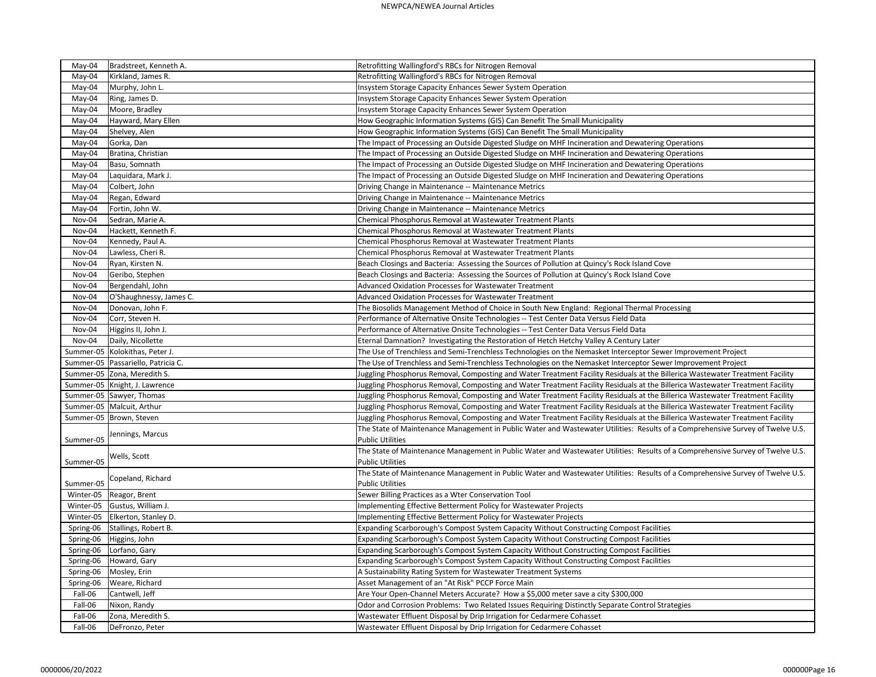| May-04    | Bradstreet, Kenneth A.               | Retrofitting Wallingford's RBCs for Nitrogen Removal                                                                           |
|-----------|--------------------------------------|--------------------------------------------------------------------------------------------------------------------------------|
| May-04    | Kirkland, James R.                   | Retrofitting Wallingford's RBCs for Nitrogen Removal                                                                           |
| May-04    | Murphy, John L.                      | Insystem Storage Capacity Enhances Sewer System Operation                                                                      |
| May-04    | Ring, James D.                       | Insystem Storage Capacity Enhances Sewer System Operation                                                                      |
| May-04    | Moore, Bradley                       | Insystem Storage Capacity Enhances Sewer System Operation                                                                      |
| May-04    | Hayward, Mary Ellen                  | How Geographic Information Systems (GIS) Can Benefit The Small Municipality                                                    |
| May-04    | Shelvey, Alen                        | How Geographic Information Systems (GIS) Can Benefit The Small Municipality                                                    |
| May-04    | Gorka, Dan                           | The Impact of Processing an Outside Digested Sludge on MHF Incineration and Dewatering Operations                              |
| May-04    | Bratina, Christian                   | The Impact of Processing an Outside Digested Sludge on MHF Incineration and Dewatering Operations                              |
| May-04    | Basu, Somnath                        | The Impact of Processing an Outside Digested Sludge on MHF Incineration and Dewatering Operations                              |
| May-04    | Laquidara, Mark J.                   | The Impact of Processing an Outside Digested Sludge on MHF Incineration and Dewatering Operations                              |
| May-04    | Colbert, John                        | Driving Change in Maintenance -- Maintenance Metrics                                                                           |
| May-04    | Regan, Edward                        | Driving Change in Maintenance -- Maintenance Metrics                                                                           |
| May-04    | Fortin, John W.                      | Driving Change in Maintenance -- Maintenance Metrics                                                                           |
| Nov-04    | Sedran, Marie A.                     | Chemical Phosphorus Removal at Wastewater Treatment Plants                                                                     |
| Nov-04    | Hackett, Kenneth F.                  | Chemical Phosphorus Removal at Wastewater Treatment Plants                                                                     |
| Nov-04    | Kennedy, Paul A.                     | Chemical Phosphorus Removal at Wastewater Treatment Plants                                                                     |
| Nov-04    | Lawless, Cheri R.                    | Chemical Phosphorus Removal at Wastewater Treatment Plants                                                                     |
| Nov-04    | Ryan, Kirsten N.                     | Beach Closings and Bacteria: Assessing the Sources of Pollution at Quincy's Rock Island Cove                                   |
| Nov-04    | Geribo, Stephen                      | Beach Closings and Bacteria: Assessing the Sources of Pollution at Quincy's Rock Island Cove                                   |
| Nov-04    | Bergendahl, John                     | Advanced Oxidation Processes for Wastewater Treatment                                                                          |
| Nov-04    | O'Shaughnessy, James C.              | Advanced Oxidation Processes for Wastewater Treatment                                                                          |
| Nov-04    | Donovan, John F.                     | The Biosolids Management Method of Choice in South New England: Regional Thermal Processing                                    |
| Nov-04    | Corr, Steven H.                      | Performance of Alternative Onsite Technologies -- Test Center Data Versus Field Data                                           |
| Nov-04    | Higgins II, John J.                  | Performance of Alternative Onsite Technologies -- Test Center Data Versus Field Data                                           |
| Nov-04    | Daily, Nicollette                    | Eternal Damnation? Investigating the Restoration of Hetch Hetchy Valley A Century Later                                        |
|           | Summer-05   Kolokithas, Peter J.     | The Use of Trenchless and Semi-Trenchless Technologies on the Nemasket Interceptor Sewer Improvement Project                   |
|           | Summer-05   Passariello, Patricia C. | The Use of Trenchless and Semi-Trenchless Technologies on the Nemasket Interceptor Sewer Improvement Project                   |
|           | Summer-05 Zona, Meredith S.          | Juggling Phosphorus Removal, Composting and Water Treatment Facility Residuals at the Billerica Wastewater Treatment Facility  |
|           | Summer-05   Knight, J. Lawrence      | Juggling Phosphorus Removal, Composting and Water Treatment Facility Residuals at the Billerica Wastewater Treatment Facility  |
|           | Summer-05 Sawyer, Thomas             | Juggling Phosphorus Removal, Composting and Water Treatment Facility Residuals at the Billerica Wastewater Treatment Facility  |
|           | Summer-05   Malcuit, Arthur          | Juggling Phosphorus Removal, Composting and Water Treatment Facility Residuals at the Billerica Wastewater Treatment Facility  |
|           | Summer-05   Brown, Steven            | Juggling Phosphorus Removal, Composting and Water Treatment Facility Residuals at the Billerica Wastewater Treatment Facility  |
|           |                                      | The State of Maintenance Management in Public Water and Wastewater Utilities: Results of a Comprehensive Survey of Twelve U.S. |
| Summer-05 | Jennings, Marcus                     | <b>Public Utilities</b>                                                                                                        |
|           |                                      | The State of Maintenance Management in Public Water and Wastewater Utilities: Results of a Comprehensive Survey of Twelve U.S. |
| Summer-05 | Wells, Scott                         | <b>Public Utilities</b>                                                                                                        |
|           |                                      | The State of Maintenance Management in Public Water and Wastewater Utilities: Results of a Comprehensive Survey of Twelve U.S. |
| Summer-05 | Copeland, Richard                    | <b>Public Utilities</b>                                                                                                        |
| Winter-05 | Reagor, Brent                        | Sewer Billing Practices as a Wter Conservation Tool                                                                            |
| Winter-05 | Gustus, William J.                   | Implementing Effective Betterment Policy for Wastewater Projects                                                               |
| Winter-05 | Elkerton, Stanley D.                 | Implementing Effective Betterment Policy for Wastewater Projects                                                               |
| Spring-06 | Stallings, Robert B.                 | Expanding Scarborough's Compost System Capacity Without Constructing Compost Facilities                                        |
| Spring-06 | Higgins, John                        | Expanding Scarborough's Compost System Capacity Without Constructing Compost Facilities                                        |
| Spring-06 | Lorfano, Gary                        | Expanding Scarborough's Compost System Capacity Without Constructing Compost Facilities                                        |
| Spring-06 | Howard, Gary                         | Expanding Scarborough's Compost System Capacity Without Constructing Compost Facilities                                        |
| Spring-06 | Mosley, Erin                         | A Sustainability Rating System for Wastewater Treatment Systems                                                                |
| Spring-06 | Weare, Richard                       | Asset Management of an "At Risk" PCCP Force Main                                                                               |
| Fall-06   | Cantwell, Jeff                       | Are Your Open-Channel Meters Accurate? How a \$5,000 meter save a city \$300,000                                               |
| Fall-06   | Nixon, Randy                         | Odor and Corrosion Problems: Two Related Issues Requiring Distinctly Separate Control Strategies                               |
| Fall-06   | Zona, Meredith S.                    | Wastewater Effluent Disposal by Drip Irrigation for Cedarmere Cohasset                                                         |
| Fall-06   | DeFronzo, Peter                      | Wastewater Effluent Disposal by Drip Irrigation for Cedarmere Cohasset                                                         |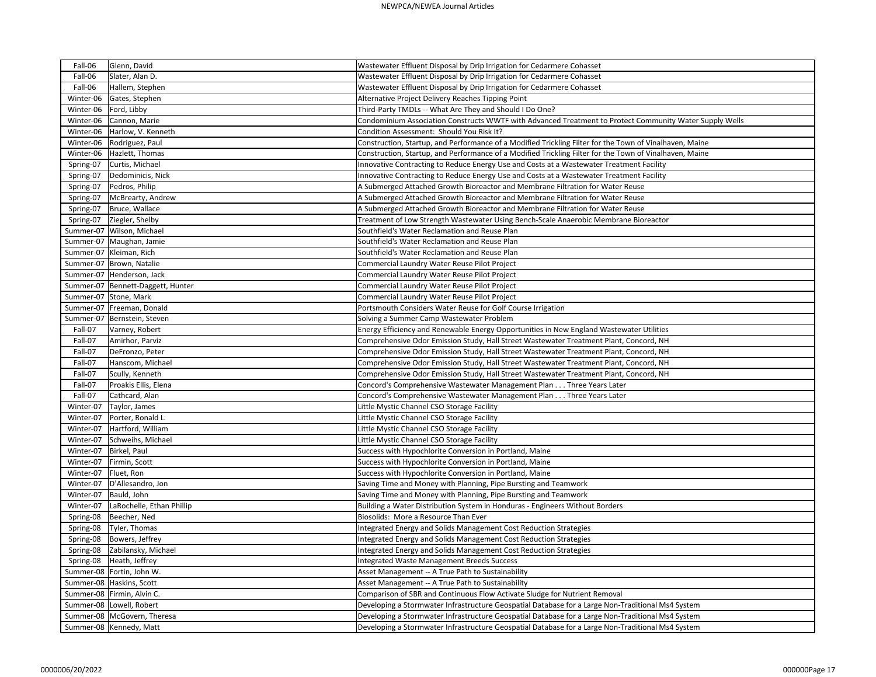| Fall-06<br>Glenn, David                | Wastewater Effluent Disposal by Drip Irrigation for Cedarmere Cohasset                                  |
|----------------------------------------|---------------------------------------------------------------------------------------------------------|
| Slater, Alan D.<br>Fall-06             | Wastewater Effluent Disposal by Drip Irrigation for Cedarmere Cohasset                                  |
| Fall-06<br>Hallem, Stephen             | Wastewater Effluent Disposal by Drip Irrigation for Cedarmere Cohasset                                  |
| Winter-06<br>Gates, Stephen            | Alternative Project Delivery Reaches Tipping Point                                                      |
| Winter-06<br>Ford, Libby               | Third-Party TMDLs -- What Are They and Should I Do One?                                                 |
| Winter-06 Cannon, Marie                | Condominium Association Constructs WWTF with Advanced Treatment to Protect Community Water Supply Wells |
| Winter-06   Harlow, V. Kenneth         | Condition Assessment: Should You Risk It?                                                               |
| Winter-06   Rodriguez, Paul            | Construction, Startup, and Performance of a Modified Trickling Filter for the Town of Vinalhaven, Maine |
| Winter-06   Hazlett, Thomas            | Construction, Startup, and Performance of a Modified Trickling Filter for the Town of Vinalhaven, Maine |
| Curtis, Michael<br>Spring-07           | Innovative Contracting to Reduce Energy Use and Costs at a Wastewater Treatment Facility                |
| Dedominicis, Nick<br>Spring-07         | Innovative Contracting to Reduce Energy Use and Costs at a Wastewater Treatment Facility                |
| Spring-07<br>Pedros, Philip            | A Submerged Attached Growth Bioreactor and Membrane Filtration for Water Reuse                          |
| Spring-07<br>McBrearty, Andrew         | A Submerged Attached Growth Bioreactor and Membrane Filtration for Water Reuse                          |
| Bruce, Wallace<br>Spring-07            | A Submerged Attached Growth Bioreactor and Membrane Filtration for Water Reuse                          |
| Spring-07   Ziegler, Shelby            | Treatment of Low Strength Wastewater Using Bench-Scale Anaerobic Membrane Bioreactor                    |
| Summer-07   Wilson, Michael            | Southfield's Water Reclamation and Reuse Plan                                                           |
| Summer-07   Maughan, Jamie             | Southfield's Water Reclamation and Reuse Plan                                                           |
| Summer-07   Kleiman, Rich              | Southfield's Water Reclamation and Reuse Plan                                                           |
| Summer-07   Brown, Natalie             | Commercial Laundry Water Reuse Pilot Project                                                            |
| Summer-07 Henderson, Jack              | Commercial Laundry Water Reuse Pilot Project                                                            |
| Summer-07   Bennett-Daggett, Hunter    | Commercial Laundry Water Reuse Pilot Project                                                            |
| Summer-07 Stone, Mark                  | Commercial Laundry Water Reuse Pilot Project                                                            |
| Summer-07   Freeman, Donald            | Portsmouth Considers Water Reuse for Golf Course Irrigation                                             |
| Summer-07   Bernstein, Steven          | Solving a Summer Camp Wastewater Problem                                                                |
| Fall-07<br>Varney, Robert              | Energy Efficiency and Renewable Energy Opportunities in New England Wastewater Utilities                |
| Fall-07<br>Amirhor, Parviz             | Comprehensive Odor Emission Study, Hall Street Wastewater Treatment Plant, Concord, NH                  |
| Fall-07<br>DeFronzo, Peter             | Comprehensive Odor Emission Study, Hall Street Wastewater Treatment Plant, Concord, NH                  |
| Hanscom, Michael<br>Fall-07            | Comprehensive Odor Emission Study, Hall Street Wastewater Treatment Plant, Concord, NH                  |
| Fall-07<br>Scully, Kenneth             | Comprehensive Odor Emission Study, Hall Street Wastewater Treatment Plant, Concord, NH                  |
| Fall-07<br>Proakis Ellis, Elena        | Concord's Comprehensive Wastewater Management Plan Three Years Later                                    |
| Fall-07<br>Cathcard, Alan              | Concord's Comprehensive Wastewater Management Plan Three Years Later                                    |
| Winter-07<br>Taylor, James             | Little Mystic Channel CSO Storage Facility                                                              |
| Winter-07   Porter, Ronald L.          | Little Mystic Channel CSO Storage Facility                                                              |
| Winter-07   Hartford, William          | Little Mystic Channel CSO Storage Facility                                                              |
| Winter-07 Schweihs, Michael            | Little Mystic Channel CSO Storage Facility                                                              |
| Winter-07   Birkel, Paul               | Success with Hypochlorite Conversion in Portland, Maine                                                 |
| Firmin, Scott<br>Winter-07             | Success with Hypochlorite Conversion in Portland, Maine                                                 |
| Fluet, Ron<br>Winter-07                | Success with Hypochlorite Conversion in Portland, Maine                                                 |
| D'Allesandro, Jon<br>Winter-07         | Saving Time and Money with Planning, Pipe Bursting and Teamwork                                         |
| Winter-07   Bauld, John                | Saving Time and Money with Planning, Pipe Bursting and Teamwork                                         |
| LaRochelle, Ethan Phillip<br>Winter-07 | Building a Water Distribution System in Honduras - Engineers Without Borders                            |
| Spring-08   Beecher, Ned               | Biosolids: More a Resource Than Ever                                                                    |
| Tyler, Thomas<br>Spring-08             | Integrated Energy and Solids Management Cost Reduction Strategies                                       |
| Bowers, Jeffrey<br>Spring-08           | Integrated Energy and Solids Management Cost Reduction Strategies                                       |
| Spring-08 Zabilansky, Michael          | Integrated Energy and Solids Management Cost Reduction Strategies                                       |
| Spring-08   Heath, Jeffrey             | <b>Integrated Waste Management Breeds Success</b>                                                       |
| Summer-08   Fortin, John W.            | Asset Management -- A True Path to Sustainability                                                       |
| Summer-08   Haskins, Scott             | Asset Management -- A True Path to Sustainability                                                       |
| Summer-08   Firmin, Alvin C.           | Comparison of SBR and Continuous Flow Activate Sludge for Nutrient Removal                              |
| Summer-08   Lowell, Robert             | Developing a Stormwater Infrastructure Geospatial Database for a Large Non-Traditional Ms4 System       |
| Summer-08   McGovern, Theresa          | Developing a Stormwater Infrastructure Geospatial Database for a Large Non-Traditional Ms4 System       |
| Summer-08   Kennedy, Matt              | Developing a Stormwater Infrastructure Geospatial Database for a Large Non-Traditional Ms4 System       |
|                                        |                                                                                                         |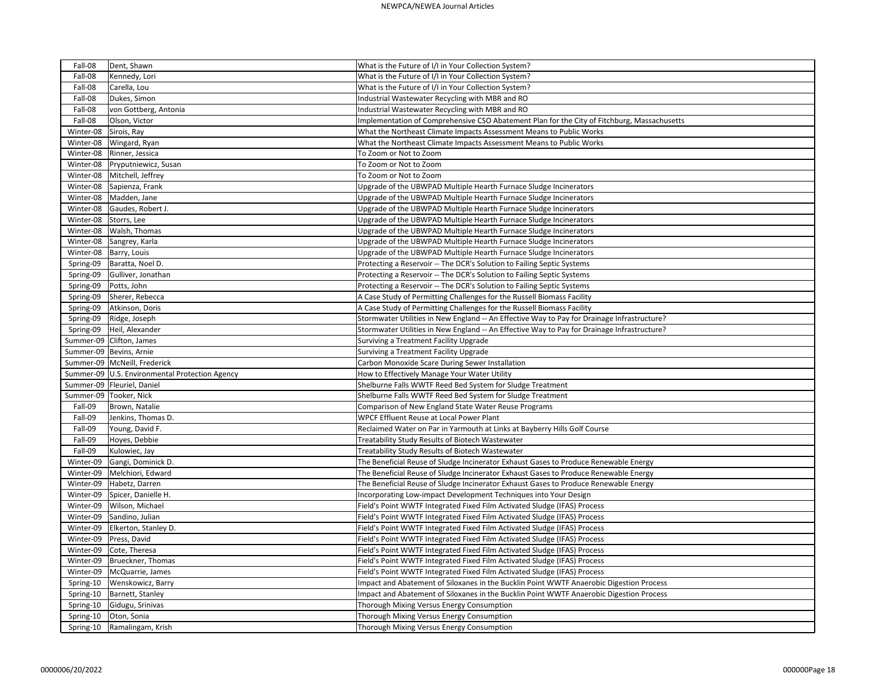| Fall-08                  | Dent, Shawn                                      | What is the Future of I/I in Your Collection System?                                        |
|--------------------------|--------------------------------------------------|---------------------------------------------------------------------------------------------|
| Fall-08                  | Kennedy, Lori                                    | What is the Future of I/I in Your Collection System?                                        |
| Fall-08                  | Carella, Lou                                     | What is the Future of I/I in Your Collection System?                                        |
| Fall-08                  | Dukes, Simon                                     | Industrial Wastewater Recycling with MBR and RO                                             |
| Fall-08                  | von Gottberg, Antonia                            | Industrial Wastewater Recycling with MBR and RO                                             |
| Fall-08                  | Olson, Victor                                    | Implementation of Comprehensive CSO Abatement Plan for the City of Fitchburg, Massachusetts |
| Winter-08                | Sirois, Ray                                      | What the Northeast Climate Impacts Assessment Means to Public Works                         |
| Winter-08                | Wingard, Ryan                                    | What the Northeast Climate Impacts Assessment Means to Public Works                         |
| Winter-08                | Rinner, Jessica                                  | To Zoom or Not to Zoom                                                                      |
| Winter-08                | Pryputniewicz, Susan                             | To Zoom or Not to Zoom                                                                      |
| Winter-08                | Mitchell, Jeffrey                                | To Zoom or Not to Zoom                                                                      |
| Winter-08                | Sapienza, Frank                                  | Upgrade of the UBWPAD Multiple Hearth Furnace Sludge Incinerators                           |
| Winter-08                | Madden, Jane                                     | Upgrade of the UBWPAD Multiple Hearth Furnace Sludge Incinerators                           |
| Winter-08                | Gaudes, Robert J.                                | Upgrade of the UBWPAD Multiple Hearth Furnace Sludge Incinerators                           |
| Winter-08                | Storrs, Lee                                      | Upgrade of the UBWPAD Multiple Hearth Furnace Sludge Incinerators                           |
| Winter-08                | Walsh, Thomas                                    | Upgrade of the UBWPAD Multiple Hearth Furnace Sludge Incinerators                           |
| Winter-08                | Sangrey, Karla                                   | Upgrade of the UBWPAD Multiple Hearth Furnace Sludge Incinerators                           |
| Winter-08                | Barry, Louis                                     | Upgrade of the UBWPAD Multiple Hearth Furnace Sludge Incinerators                           |
| Spring-09                | Baratta, Noel D.                                 | Protecting a Reservoir -- The DCR's Solution to Failing Septic Systems                      |
| Spring-09                | Gulliver, Jonathan                               | Protecting a Reservoir -- The DCR's Solution to Failing Septic Systems                      |
| Spring-09                | Potts, John                                      | Protecting a Reservoir -- The DCR's Solution to Failing Septic Systems                      |
| Spring-09                | Sherer, Rebecca                                  | A Case Study of Permitting Challenges for the Russell Biomass Facility                      |
| Spring-09                | Atkinson, Doris                                  | A Case Study of Permitting Challenges for the Russell Biomass Facility                      |
| Spring-09                | Ridge, Joseph                                    | Stormwater Utilities in New England -- An Effective Way to Pay for Drainage Infrastructure? |
| Spring-09                | Heil, Alexander                                  | Stormwater Utilities in New England -- An Effective Way to Pay for Drainage Infrastructure? |
|                          | Summer-09 Clifton, James                         | Surviving a Treatment Facility Upgrade                                                      |
|                          | Summer-09   Bevins, Arnie                        | Surviving a Treatment Facility Upgrade                                                      |
|                          | Summer-09   McNeill, Frederick                   | Carbon Monoxide Scare During Sewer Installation                                             |
|                          | Summer-09   U.S. Environmental Protection Agency | How to Effectively Manage Your Water Utility                                                |
|                          | Summer-09   Fleuriel, Daniel                     | Shelburne Falls WWTF Reed Bed System for Sludge Treatment                                   |
| Summer-09   Tooker, Nick |                                                  | Shelburne Falls WWTF Reed Bed System for Sludge Treatment                                   |
| Fall-09                  | Brown, Natalie                                   | Comparison of New England State Water Reuse Programs                                        |
| Fall-09                  | Jenkins, Thomas D.                               | WPCF Effluent Reuse at Local Power Plant                                                    |
| Fall-09                  | Young, David F.                                  | Reclaimed Water on Par in Yarmouth at Links at Bayberry Hills Golf Course                   |
| Fall-09                  | Hoyes, Debbie                                    | Treatability Study Results of Biotech Wastewater                                            |
| Fall-09                  | Kulowiec, Jay                                    | Treatability Study Results of Biotech Wastewater                                            |
| Winter-09                | Gangi, Dominick D.                               | The Beneficial Reuse of Sludge Incinerator Exhaust Gases to Produce Renewable Energy        |
| Winter-09                | Melchiori, Edward                                | The Beneficial Reuse of Sludge Incinerator Exhaust Gases to Produce Renewable Energy        |
| Winter-09                | Habetz, Darren                                   | The Beneficial Reuse of Sludge Incinerator Exhaust Gases to Produce Renewable Energy        |
| Winter-09                | Spicer, Danielle H.                              | Incorporating Low-impact Development Techniques into Your Design                            |
| Winter-09                | Wilson, Michael                                  | Field's Point WWTF Integrated Fixed Film Activated Sludge (IFAS) Process                    |
| Winter-09                | Sandino, Julian                                  | Field's Point WWTF Integrated Fixed Film Activated Sludge (IFAS) Process                    |
| Winter-09                | Elkerton, Stanley D.                             | Field's Point WWTF Integrated Fixed Film Activated Sludge (IFAS) Process                    |
| Winter-09                | Press, David                                     | Field's Point WWTF Integrated Fixed Film Activated Sludge (IFAS) Process                    |
| Winter-09                | Cote, Theresa                                    | Field's Point WWTF Integrated Fixed Film Activated Sludge (IFAS) Process                    |
| Winter-09                | Brueckner, Thomas                                | Field's Point WWTF Integrated Fixed Film Activated Sludge (IFAS) Process                    |
| Winter-09                | McQuarrie, James                                 | Field's Point WWTF Integrated Fixed Film Activated Sludge (IFAS) Process                    |
| Spring-10                | Wenskowicz, Barry                                | Impact and Abatement of Siloxanes in the Bucklin Point WWTF Anaerobic Digestion Process     |
| Spring-10                | Barnett, Stanley                                 | Impact and Abatement of Siloxanes in the Bucklin Point WWTF Anaerobic Digestion Process     |
| Spring-10                | Gidugu, Srinivas                                 | Thorough Mixing Versus Energy Consumption                                                   |
| Spring-10                | Oton, Sonia                                      | Thorough Mixing Versus Energy Consumption                                                   |
| Spring-10                | Ramalingam, Krish                                | Thorough Mixing Versus Energy Consumption                                                   |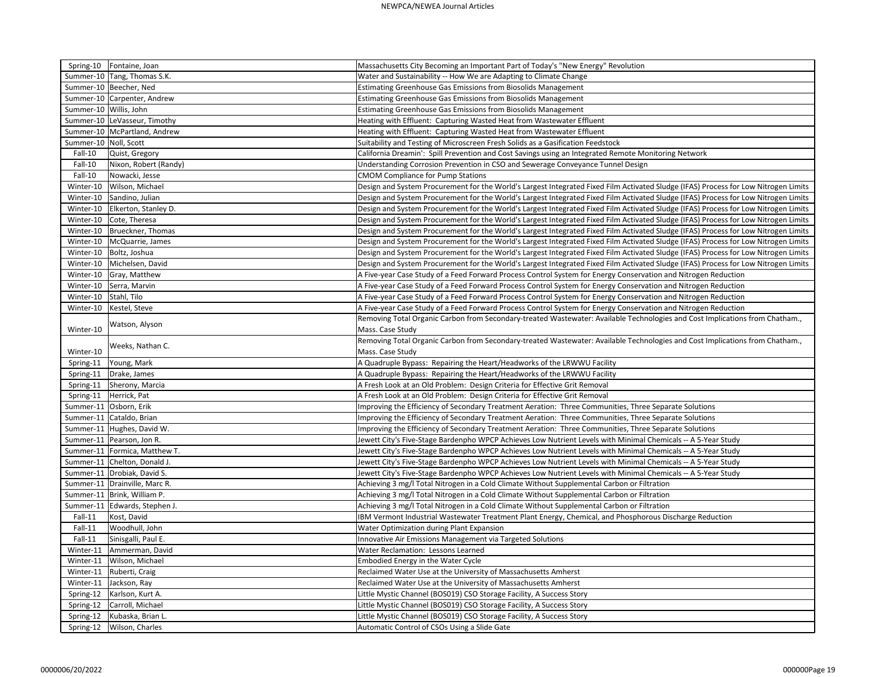|                        | Spring-10   Fontaine, Joan      | Massachusetts City Becoming an Important Part of Today's "New Energy" Revolution                                                    |
|------------------------|---------------------------------|-------------------------------------------------------------------------------------------------------------------------------------|
|                        | Summer-10 Tang, Thomas S.K.     | Water and Sustainability -- How We are Adapting to Climate Change                                                                   |
|                        | Summer-10 Beecher, Ned          | <b>Estimating Greenhouse Gas Emissions from Biosolids Management</b>                                                                |
|                        | Summer-10 Carpenter, Andrew     | <b>Estimating Greenhouse Gas Emissions from Biosolids Management</b>                                                                |
| Summer-10 Willis, John |                                 | Estimating Greenhouse Gas Emissions from Biosolids Management                                                                       |
|                        | Summer-10 LeVasseur, Timothy    | Heating with Effluent: Capturing Wasted Heat from Wastewater Effluent                                                               |
|                        | Summer-10   McPartland, Andrew  | Heating with Effluent: Capturing Wasted Heat from Wastewater Effluent                                                               |
| Summer-10 Noll, Scott  |                                 | Suitability and Testing of Microscreen Fresh Solids as a Gasification Feedstock                                                     |
| Fall-10                | Quist, Gregory                  | California Dreamin': Spill Prevention and Cost Savings using an Integrated Remote Monitoring Network                                |
| Fall-10                | Nixon, Robert (Randy)           | Understanding Corrosion Prevention in CSO and Sewerage Conveyance Tunnel Design                                                     |
| Fall-10                | Nowacki, Jesse                  | <b>CMOM Compliance for Pump Stations</b>                                                                                            |
| Winter-10              | Wilson, Michael                 | Design and System Procurement for the World's Largest Integrated Fixed Film Activated Sludge (IFAS) Process for Low Nitrogen Limits |
| Winter-10              | Sandino, Julian                 | Design and System Procurement for the World's Largest Integrated Fixed Film Activated Sludge (IFAS) Process for Low Nitrogen Limits |
| Winter-10              | Elkerton, Stanley D.            | Design and System Procurement for the World's Largest Integrated Fixed Film Activated Sludge (IFAS) Process for Low Nitrogen Limits |
| Winter-10              | Cote, Theresa                   | Design and System Procurement for the World's Largest Integrated Fixed Film Activated Sludge (IFAS) Process for Low Nitrogen Limits |
| Winter-10              | Brueckner, Thomas               | Design and System Procurement for the World's Largest Integrated Fixed Film Activated Sludge (IFAS) Process for Low Nitrogen Limits |
| Winter-10              | McQuarrie, James                | Design and System Procurement for the World's Largest Integrated Fixed Film Activated Sludge (IFAS) Process for Low Nitrogen Limits |
|                        | Winter-10   Boltz, Joshua       | Design and System Procurement for the World's Largest Integrated Fixed Film Activated Sludge (IFAS) Process for Low Nitrogen Limits |
| Winter-10              | Michelsen, David                | Design and System Procurement for the World's Largest Integrated Fixed Film Activated Sludge (IFAS) Process for Low Nitrogen Limits |
| Winter-10              | Gray, Matthew                   | A Five-year Case Study of a Feed Forward Process Control System for Energy Conservation and Nitrogen Reduction                      |
| Winter-10              | Serra, Marvin                   | A Five-year Case Study of a Feed Forward Process Control System for Energy Conservation and Nitrogen Reduction                      |
| Winter-10              | Stahl, Tilo                     | A Five-year Case Study of a Feed Forward Process Control System for Energy Conservation and Nitrogen Reduction                      |
| Winter-10              | Kestel, Steve                   | A Five-year Case Study of a Feed Forward Process Control System for Energy Conservation and Nitrogen Reduction                      |
|                        | Watson, Alyson                  | Removing Total Organic Carbon from Secondary-treated Wastewater: Available Technologies and Cost Implications from Chatham.,        |
| Winter-10              |                                 | Mass. Case Study                                                                                                                    |
|                        |                                 | Removing Total Organic Carbon from Secondary-treated Wastewater: Available Technologies and Cost Implications from Chatham.,        |
| Winter-10              | Weeks, Nathan C.                | Mass. Case Study                                                                                                                    |
| Spring-11              | Young, Mark                     | A Quadruple Bypass: Repairing the Heart/Headworks of the LRWWU Facility                                                             |
|                        | Spring-11   Drake, James        | A Quadruple Bypass: Repairing the Heart/Headworks of the LRWWU Facility                                                             |
|                        | Spring-11 Sherony, Marcia       | A Fresh Look at an Old Problem: Design Criteria for Effective Grit Removal                                                          |
|                        | Spring-11   Herrick, Pat        | A Fresh Look at an Old Problem: Design Criteria for Effective Grit Removal                                                          |
|                        | Summer-11 Osborn, Erik          | Improving the Efficiency of Secondary Treatment Aeration: Three Communities, Three Separate Solutions                               |
|                        | Summer-11 Cataldo, Brian        | Improving the Efficiency of Secondary Treatment Aeration: Three Communities, Three Separate Solutions                               |
|                        | Summer-11 Hughes, David W.      | Improving the Efficiency of Secondary Treatment Aeration: Three Communities, Three Separate Solutions                               |
|                        | Summer-11   Pearson, Jon R.     | Jewett City's Five-Stage Bardenpho WPCP Achieves Low Nutrient Levels with Minimal Chemicals -- A 5-Year Study                       |
|                        | Summer-11   Formica, Matthew T. | Jewett City's Five-Stage Bardenpho WPCP Achieves Low Nutrient Levels with Minimal Chemicals -- A 5-Year Study                       |
|                        | Summer-11   Chelton, Donald J.  | Jewett City's Five-Stage Bardenpho WPCP Achieves Low Nutrient Levels with Minimal Chemicals -- A 5-Year Study                       |
|                        | Summer-11   Drobiak, David S.   | Jewett City's Five-Stage Bardenpho WPCP Achieves Low Nutrient Levels with Minimal Chemicals -- A 5-Year Study                       |
|                        | Summer-11   Drainville, Marc R. | Achieving 3 mg/l Total Nitrogen in a Cold Climate Without Supplemental Carbon or Filtration                                         |
|                        | Summer-11   Brink, William P.   | Achieving 3 mg/l Total Nitrogen in a Cold Climate Without Supplemental Carbon or Filtration                                         |
|                        | Summer-11   Edwards, Stephen J. | Achieving 3 mg/l Total Nitrogen in a Cold Climate Without Supplemental Carbon or Filtration                                         |
| Fall-11                | Kost, David                     | IBM Vermont Industrial Wastewater Treatment Plant Energy, Chemical, and Phosphorous Discharge Reduction                             |
| Fall-11                | Woodhull, John                  | Water Optimization during Plant Expansion                                                                                           |
| Fall-11                | Sinisgalli, Paul E.             | Innovative Air Emissions Management via Targeted Solutions                                                                          |
| Winter-11              | Ammerman, David                 | Water Reclamation: Lessons Learned                                                                                                  |
|                        | Winter-11   Wilson, Michael     | Embodied Energy in the Water Cycle                                                                                                  |
|                        | Winter-11   Ruberti, Craig      | Reclaimed Water Use at the University of Massachusetts Amherst                                                                      |
| Winter-11              | Jackson, Ray                    | Reclaimed Water Use at the University of Massachusetts Amherst                                                                      |
| Spring-12              | Karlson, Kurt A.                | Little Mystic Channel (BOS019) CSO Storage Facility, A Success Story                                                                |
| Spring-12              | Carroll, Michael                | Little Mystic Channel (BOS019) CSO Storage Facility, A Success Story                                                                |
|                        | Spring-12   Kubaska, Brian L.   | Little Mystic Channel (BOS019) CSO Storage Facility, A Success Story                                                                |
|                        | Spring-12   Wilson, Charles     | Automatic Control of CSOs Using a Slide Gate                                                                                        |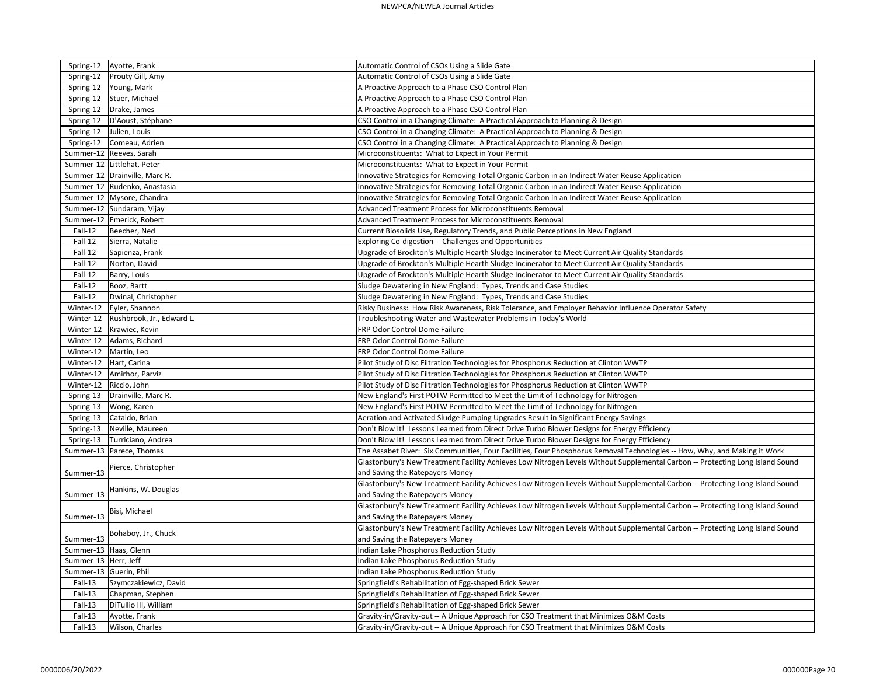|                        | Spring-12   Ayotte, Frank      | Automatic Control of CSOs Using a Slide Gate                                                                                  |
|------------------------|--------------------------------|-------------------------------------------------------------------------------------------------------------------------------|
| Spring-12              | Prouty Gill, Amy               | Automatic Control of CSOs Using a Slide Gate                                                                                  |
| Spring-12              | Young, Mark                    | A Proactive Approach to a Phase CSO Control Plan                                                                              |
| Spring-12              | Stuer, Michael                 | A Proactive Approach to a Phase CSO Control Plan                                                                              |
| Spring-12              | Drake, James                   | A Proactive Approach to a Phase CSO Control Plan                                                                              |
| Spring-12              | D'Aoust, Stéphane              | CSO Control in a Changing Climate: A Practical Approach to Planning & Design                                                  |
| Spring-12              | Julien, Louis                  | CSO Control in a Changing Climate: A Practical Approach to Planning & Design                                                  |
| Spring-12              | Comeau, Adrien                 | CSO Control in a Changing Climate: A Practical Approach to Planning & Design                                                  |
|                        | Summer-12 Reeves, Sarah        | Microconstituents: What to Expect in Your Permit                                                                              |
|                        | Summer-12   Littlehat, Peter   | Microconstituents: What to Expect in Your Permit                                                                              |
|                        | Summer-12 Drainville, Marc R.  | Innovative Strategies for Removing Total Organic Carbon in an Indirect Water Reuse Application                                |
|                        | Summer-12   Rudenko, Anastasia | Innovative Strategies for Removing Total Organic Carbon in an Indirect Water Reuse Application                                |
|                        | Summer-12   Mysore, Chandra    | Innovative Strategies for Removing Total Organic Carbon in an Indirect Water Reuse Application                                |
|                        | Summer-12   Sundaram, Vijay    | Advanced Treatment Process for Microconstituents Removal                                                                      |
|                        | Summer-12 Emerick, Robert      | Advanced Treatment Process for Microconstituents Removal                                                                      |
| Fall-12                | Beecher, Ned                   | Current Biosolids Use, Regulatory Trends, and Public Perceptions in New England                                               |
| Fall-12                | Sierra, Natalie                | Exploring Co-digestion -- Challenges and Opportunities                                                                        |
| Fall-12                | Sapienza, Frank                | Upgrade of Brockton's Multiple Hearth Sludge Incinerator to Meet Current Air Quality Standards                                |
| Fall-12                | Norton, David                  | Upgrade of Brockton's Multiple Hearth Sludge Incinerator to Meet Current Air Quality Standards                                |
| Fall-12                | Barry, Louis                   | Upgrade of Brockton's Multiple Hearth Sludge Incinerator to Meet Current Air Quality Standards                                |
| Fall-12                | Booz, Bartt                    | Sludge Dewatering in New England: Types, Trends and Case Studies                                                              |
| Fall-12                | Dwinal, Christopher            | Sludge Dewatering in New England: Types, Trends and Case Studies                                                              |
| Winter-12              | Eyler, Shannon                 | Risky Business: How Risk Awareness, Risk Tolerance, and Employer Behavior Influence Operator Safety                           |
| Winter-12              | Rushbrook, Jr., Edward L.      | Troubleshooting Water and Wastewater Problems in Today's World                                                                |
| Winter-12              | Krawiec, Kevin                 | FRP Odor Control Dome Failure                                                                                                 |
| Winter-12              | Adams, Richard                 | <b>FRP Odor Control Dome Failure</b>                                                                                          |
| Winter-12              | Martin, Leo                    | <b>FRP Odor Control Dome Failure</b>                                                                                          |
| Winter-12              | Hart, Carina                   | Pilot Study of Disc Filtration Technologies for Phosphorus Reduction at Clinton WWTP                                          |
| Winter-12              | Amirhor, Parviz                | Pilot Study of Disc Filtration Technologies for Phosphorus Reduction at Clinton WWTP                                          |
| Winter-12              | Riccio, John                   | Pilot Study of Disc Filtration Technologies for Phosphorus Reduction at Clinton WWTP                                          |
| Spring-13              | Drainville, Marc R.            | New England's First POTW Permitted to Meet the Limit of Technology for Nitrogen                                               |
|                        | Wong, Karen                    | New England's First POTW Permitted to Meet the Limit of Technology for Nitrogen                                               |
| Spring-13              | Cataldo, Brian                 | Aeration and Activated Sludge Pumping Upgrades Result in Significant Energy Savings                                           |
| Spring-13              |                                | Don't Blow It! Lessons Learned from Direct Drive Turbo Blower Designs for Energy Efficiency                                   |
|                        | Spring-13   Neville, Maureen   |                                                                                                                               |
|                        | Spring-13   Turriciano, Andrea | Don't Blow It! Lessons Learned from Direct Drive Turbo Blower Designs for Energy Efficiency                                   |
|                        | Summer-13   Parece, Thomas     | The Assabet River: Six Communities, Four Facilities, Four Phosphorus Removal Technologies -- How, Why, and Making it Work     |
|                        | Pierce, Christopher            | Glastonbury's New Treatment Facility Achieves Low Nitrogen Levels Without Supplemental Carbon -- Protecting Long Island Sound |
| Summer-13              |                                | and Saving the Ratepayers Money                                                                                               |
|                        | Hankins, W. Douglas            | Glastonbury's New Treatment Facility Achieves Low Nitrogen Levels Without Supplemental Carbon -- Protecting Long Island Sound |
| Summer-13              |                                | and Saving the Ratepayers Money                                                                                               |
|                        | Bisi, Michael                  | Glastonbury's New Treatment Facility Achieves Low Nitrogen Levels Without Supplemental Carbon -- Protecting Long Island Sound |
| Summer-13              |                                | and Saving the Ratepayers Money                                                                                               |
|                        | Bohaboy, Jr., Chuck            | Glastonbury's New Treatment Facility Achieves Low Nitrogen Levels Without Supplemental Carbon -- Protecting Long Island Sound |
| Summer-13              |                                | and Saving the Ratepayers Money                                                                                               |
| Summer-13 Haas, Glenn  |                                | Indian Lake Phosphorus Reduction Study                                                                                        |
| Summer-13   Herr, Jeff |                                | Indian Lake Phosphorus Reduction Study                                                                                        |
| Summer-13 Guerin, Phil |                                | Indian Lake Phosphorus Reduction Study                                                                                        |
| Fall-13                | Szymczakiewicz, David          | Springfield's Rehabilitation of Egg-shaped Brick Sewer                                                                        |
| Fall-13                | Chapman, Stephen               | Springfield's Rehabilitation of Egg-shaped Brick Sewer                                                                        |
| Fall-13                | DiTullio III, William          | Springfield's Rehabilitation of Egg-shaped Brick Sewer                                                                        |
| Fall-13                | Ayotte, Frank                  | Gravity-in/Gravity-out -- A Unique Approach for CSO Treatment that Minimizes O&M Costs                                        |
| Fall-13                | Wilson, Charles                | Gravity-in/Gravity-out -- A Unique Approach for CSO Treatment that Minimizes O&M Costs                                        |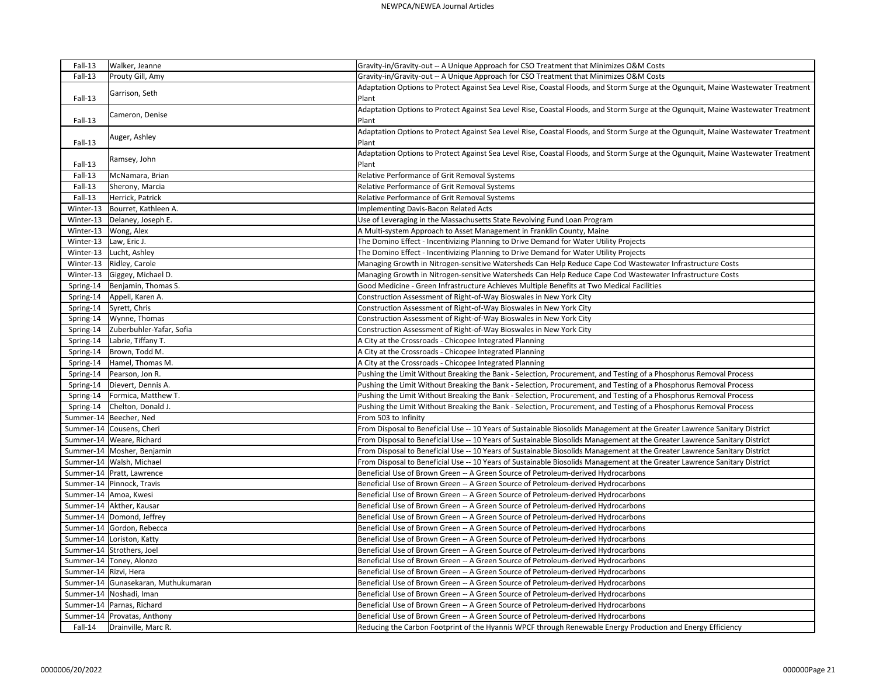| Fall-13                 | Walker, Jeanne                      | Gravity-in/Gravity-out -- A Unique Approach for CSO Treatment that Minimizes O&M Costs                                                     |
|-------------------------|-------------------------------------|--------------------------------------------------------------------------------------------------------------------------------------------|
| Fall-13                 | Prouty Gill, Amy                    | Gravity-in/Gravity-out -- A Unique Approach for CSO Treatment that Minimizes O&M Costs                                                     |
| Fall-13                 | Garrison, Seth                      | Adaptation Options to Protect Against Sea Level Rise, Coastal Floods, and Storm Surge at the Ogunquit, Maine Wastewater Treatment<br>Plant |
| Fall-13                 | Cameron, Denise                     | Adaptation Options to Protect Against Sea Level Rise, Coastal Floods, and Storm Surge at the Ogunquit, Maine Wastewater Treatment<br>Plant |
| Fall-13                 | Auger, Ashley                       | Adaptation Options to Protect Against Sea Level Rise, Coastal Floods, and Storm Surge at the Ogunquit, Maine Wastewater Treatment<br>Plant |
| Fall-13                 | Ramsey, John                        | Adaptation Options to Protect Against Sea Level Rise, Coastal Floods, and Storm Surge at the Ogunquit, Maine Wastewater Treatment<br>Plant |
| Fall-13                 | McNamara, Brian                     | Relative Performance of Grit Removal Systems                                                                                               |
| Fall-13                 | Sherony, Marcia                     | Relative Performance of Grit Removal Systems                                                                                               |
| Fall-13                 | Herrick, Patrick                    | Relative Performance of Grit Removal Systems                                                                                               |
| Winter-13               | Bourret, Kathleen A.                | Implementing Davis-Bacon Related Acts                                                                                                      |
| Winter-13               | Delaney, Joseph E.                  | Use of Leveraging in the Massachusetts State Revolving Fund Loan Program                                                                   |
| Winter-13               | Wong, Alex                          | A Multi-system Approach to Asset Management in Franklin County, Maine                                                                      |
| Winter-13               | Law, Eric J.                        | The Domino Effect - Incentivizing Planning to Drive Demand for Water Utility Projects                                                      |
| Winter-13               | Lucht, Ashley                       | The Domino Effect - Incentivizing Planning to Drive Demand for Water Utility Projects                                                      |
| Winter-13               | Ridley, Carole                      | Managing Growth in Nitrogen-sensitive Watersheds Can Help Reduce Cape Cod Wastewater Infrastructure Costs                                  |
| Winter-13               | Giggey, Michael D.                  | Managing Growth in Nitrogen-sensitive Watersheds Can Help Reduce Cape Cod Wastewater Infrastructure Costs                                  |
| Spring-14               | Benjamin, Thomas S.                 | Good Medicine - Green Infrastructure Achieves Multiple Benefits at Two Medical Facilities                                                  |
| Spring-14               | Appell, Karen A.                    | Construction Assessment of Right-of-Way Bioswales in New York City                                                                         |
| Spring-14               | Syrett, Chris                       | Construction Assessment of Right-of-Way Bioswales in New York City                                                                         |
| Spring-14               | Wynne, Thomas                       | Construction Assessment of Right-of-Way Bioswales in New York City                                                                         |
| Spring-14               | Zuberbuhler-Yafar, Sofia            | Construction Assessment of Right-of-Way Bioswales in New York City                                                                         |
| Spring-14               | Labrie, Tiffany T.                  | A City at the Crossroads - Chicopee Integrated Planning                                                                                    |
| Spring-14               | Brown, Todd M.                      | A City at the Crossroads - Chicopee Integrated Planning                                                                                    |
| Spring-14               | Hamel, Thomas M.                    | A City at the Crossroads - Chicopee Integrated Planning                                                                                    |
| Spring-14               | Pearson, Jon R.                     | Pushing the Limit Without Breaking the Bank - Selection, Procurement, and Testing of a Phosphorus Removal Process                          |
| Spring-14               | Dievert, Dennis A.                  | Pushing the Limit Without Breaking the Bank - Selection, Procurement, and Testing of a Phosphorus Removal Process                          |
| Spring-14               | Formica, Matthew T.                 | Pushing the Limit Without Breaking the Bank - Selection, Procurement, and Testing of a Phosphorus Removal Process                          |
| Spring-14               | Chelton, Donald J.                  | Pushing the Limit Without Breaking the Bank - Selection, Procurement, and Testing of a Phosphorus Removal Process                          |
|                         | Summer-14   Beecher, Ned            | From 503 to Infinity                                                                                                                       |
|                         | Summer-14 Cousens, Cheri            | From Disposal to Beneficial Use -- 10 Years of Sustainable Biosolids Management at the Greater Lawrence Sanitary District                  |
|                         | Summer-14   Weare, Richard          | From Disposal to Beneficial Use -- 10 Years of Sustainable Biosolids Management at the Greater Lawrence Sanitary District                  |
|                         | Summer-14   Mosher, Benjamin        | From Disposal to Beneficial Use -- 10 Years of Sustainable Biosolids Management at the Greater Lawrence Sanitary District                  |
|                         | Summer-14 Walsh, Michael            | From Disposal to Beneficial Use -- 10 Years of Sustainable Biosolids Management at the Greater Lawrence Sanitary District                  |
|                         | Summer-14   Pratt, Lawrence         | Beneficial Use of Brown Green -- A Green Source of Petroleum-derived Hydrocarbons                                                          |
|                         | Summer-14 Pinnock, Travis           | Beneficial Use of Brown Green -- A Green Source of Petroleum-derived Hydrocarbons                                                          |
| Summer-14 Amoa, Kwesi   |                                     | Beneficial Use of Brown Green -- A Green Source of Petroleum-derived Hydrocarbons                                                          |
|                         | Summer-14   Akther, Kausar          | Beneficial Use of Brown Green -- A Green Source of Petroleum-derived Hydrocarbons                                                          |
|                         | Summer-14   Domond, Jeffrey         | Beneficial Use of Brown Green -- A Green Source of Petroleum-derived Hydrocarbons                                                          |
|                         | Summer-14 Gordon, Rebecca           | Beneficial Use of Brown Green -- A Green Source of Petroleum-derived Hydrocarbons                                                          |
|                         | Summer-14   Loriston, Katty         | Beneficial Use of Brown Green -- A Green Source of Petroleum-derived Hydrocarbons                                                          |
|                         | Summer-14 Strothers, Joel           | Beneficial Use of Brown Green -- A Green Source of Petroleum-derived Hydrocarbons                                                          |
|                         | Summer-14   Toney, Alonzo           | Beneficial Use of Brown Green -- A Green Source of Petroleum-derived Hydrocarbons                                                          |
| Summer-14   Rizvi, Hera |                                     | Beneficial Use of Brown Green -- A Green Source of Petroleum-derived Hydrocarbons                                                          |
|                         | Summer-14 Gunasekaran, Muthukumaran | Beneficial Use of Brown Green -- A Green Source of Petroleum-derived Hydrocarbons                                                          |
|                         | Summer-14 Noshadi, Iman             | Beneficial Use of Brown Green -- A Green Source of Petroleum-derived Hydrocarbons                                                          |
|                         | Summer-14 Parnas, Richard           | Beneficial Use of Brown Green -- A Green Source of Petroleum-derived Hydrocarbons                                                          |
|                         | Summer-14   Provatas, Anthony       | Beneficial Use of Brown Green -- A Green Source of Petroleum-derived Hydrocarbons                                                          |
| Fall-14                 | Drainville, Marc R.                 | Reducing the Carbon Footprint of the Hyannis WPCF through Renewable Energy Production and Energy Efficiency                                |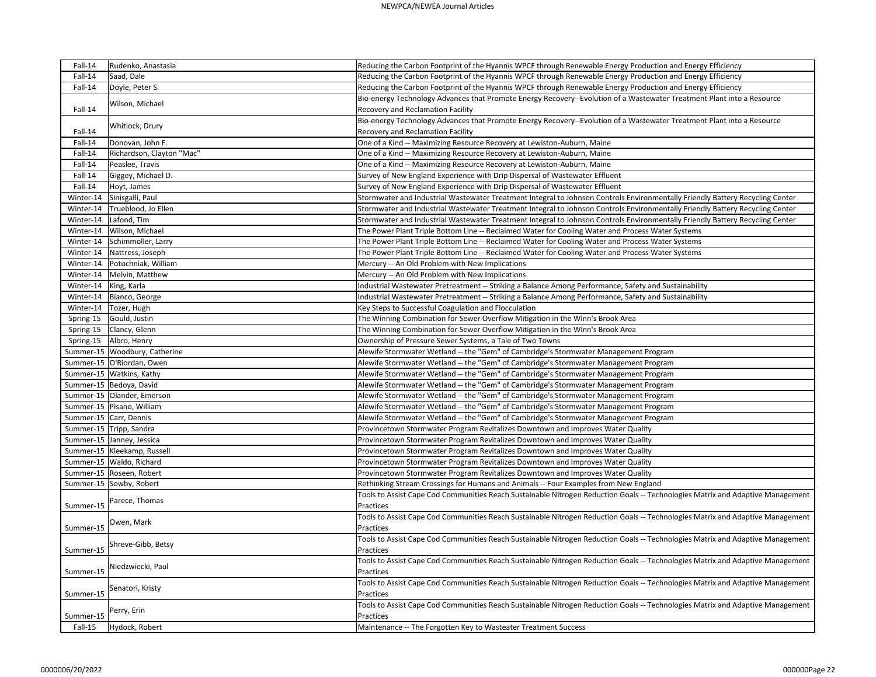| Fall-14   | Rudenko, Anastasia              | Reducing the Carbon Footprint of the Hyannis WPCF through Renewable Energy Production and Energy Efficiency                    |
|-----------|---------------------------------|--------------------------------------------------------------------------------------------------------------------------------|
| Fall-14   | Saad, Dale                      | Reducing the Carbon Footprint of the Hyannis WPCF through Renewable Energy Production and Energy Efficiency                    |
| Fall-14   | Doyle, Peter S.                 | Reducing the Carbon Footprint of the Hyannis WPCF through Renewable Energy Production and Energy Efficiency                    |
|           |                                 | Bio-energy Technology Advances that Promote Energy Recovery--Evolution of a Wastewater Treatment Plant into a Resource         |
| Fall-14   | Wilson, Michael                 | Recovery and Reclamation Facility                                                                                              |
|           |                                 | Bio-energy Technology Advances that Promote Energy Recovery--Evolution of a Wastewater Treatment Plant into a Resource         |
| Fall-14   | Whitlock, Drury                 | Recovery and Reclamation Facility                                                                                              |
| Fall-14   | Donovan, John F.                | One of a Kind -- Maximizing Resource Recovery at Lewiston-Auburn, Maine                                                        |
| Fall-14   | Richardson, Clayton "Mac"       | One of a Kind -- Maximizing Resource Recovery at Lewiston-Auburn, Maine                                                        |
| Fall-14   | Peaslee, Travis                 | One of a Kind -- Maximizing Resource Recovery at Lewiston-Auburn, Maine                                                        |
| Fall-14   | Giggey, Michael D.              | Survey of New England Experience with Drip Dispersal of Wastewater Effluent                                                    |
| Fall-14   | Hoyt, James                     | Survey of New England Experience with Drip Dispersal of Wastewater Effluent                                                    |
|           | Winter-14 Sinisgalli, Paul      | Stormwater and Industrial Wastewater Treatment Integral to Johnson Controls Environmentally Friendly Battery Recycling Center  |
| Winter-14 | Trueblood, Jo Ellen             | Stormwater and Industrial Wastewater Treatment Integral to Johnson Controls Environmentally Friendly Battery Recycling Center  |
| Winter-14 | Lafond, Tim                     | Stormwater and Industrial Wastewater Treatment Integral to Johnson Controls Environmentally Friendly Battery Recycling Center  |
| Winter-14 | Wilson, Michael                 | The Power Plant Triple Bottom Line -- Reclaimed Water for Cooling Water and Process Water Systems                              |
| Winter-14 | Schimmoller, Larry              | The Power Plant Triple Bottom Line -- Reclaimed Water for Cooling Water and Process Water Systems                              |
|           | Winter-14   Nattress, Joseph    | The Power Plant Triple Bottom Line -- Reclaimed Water for Cooling Water and Process Water Systems                              |
|           | Winter-14   Potochniak, William | Mercury -- An Old Problem with New Implications                                                                                |
| Winter-14 | Melvin, Matthew                 | Mercury -- An Old Problem with New Implications                                                                                |
| Winter-14 | King, Karla                     | Industrial Wastewater Pretreatment -- Striking a Balance Among Performance, Safety and Sustainability                          |
|           | Winter-14   Bianco, George      | Industrial Wastewater Pretreatment -- Striking a Balance Among Performance, Safety and Sustainability                          |
| Winter-14 | Tozer, Hugh                     | Key Steps to Successful Coagulation and Flocculation                                                                           |
| Spring-15 | Gould, Justin                   | The Winning Combination for Sewer Overflow Mitigation in the Winn's Brook Area                                                 |
| Spring-15 | Clancy, Glenn                   | The Winning Combination for Sewer Overflow Mitigation in the Winn's Brook Area                                                 |
| Spring-15 | Albro, Henry                    | Ownership of Pressure Sewer Systems, a Tale of Two Towns                                                                       |
|           | Summer-15   Woodbury, Catherine | Alewife Stormwater Wetland -- the "Gem" of Cambridge's Stormwater Management Program                                           |
|           | Summer-15   O'Riordan, Owen     | Alewife Stormwater Wetland -- the "Gem" of Cambridge's Stormwater Management Program                                           |
|           | Summer-15   Watkins, Kathy      | Alewife Stormwater Wetland -- the "Gem" of Cambridge's Stormwater Management Program                                           |
|           | Summer-15   Bedoya, David       | Alewife Stormwater Wetland -- the "Gem" of Cambridge's Stormwater Management Program                                           |
|           | Summer-15 Olander, Emerson      | Alewife Stormwater Wetland -- the "Gem" of Cambridge's Stormwater Management Program                                           |
|           | Summer-15   Pisano, William     | Alewife Stormwater Wetland -- the "Gem" of Cambridge's Stormwater Management Program                                           |
|           | Summer-15 Carr, Dennis          | Alewife Stormwater Wetland -- the "Gem" of Cambridge's Stormwater Management Program                                           |
|           | Summer-15 Tripp, Sandra         | Provincetown Stormwater Program Revitalizes Downtown and Improves Water Quality                                                |
|           | Summer-15 Janney, Jessica       | Provincetown Stormwater Program Revitalizes Downtown and Improves Water Quality                                                |
|           | Summer-15   Kleekamp, Russell   | Provincetown Stormwater Program Revitalizes Downtown and Improves Water Quality                                                |
|           | Summer-15   Waldo, Richard      | Provincetown Stormwater Program Revitalizes Downtown and Improves Water Quality                                                |
|           | Summer-15   Roseen, Robert      | Provincetown Stormwater Program Revitalizes Downtown and Improves Water Quality                                                |
|           | Summer-15 Sowby, Robert         | Rethinking Stream Crossings for Humans and Animals -- Four Examples from New England                                           |
|           | Parece, Thomas                  | Tools to Assist Cape Cod Communities Reach Sustainable Nitrogen Reduction Goals -- Technologies Matrix and Adaptive Management |
| Summer-15 |                                 | Practices                                                                                                                      |
|           | Owen, Mark                      | Tools to Assist Cape Cod Communities Reach Sustainable Nitrogen Reduction Goals -- Technologies Matrix and Adaptive Management |
| Summer-15 |                                 | Practices                                                                                                                      |
|           | Shreve-Gibb, Betsy              | Tools to Assist Cape Cod Communities Reach Sustainable Nitrogen Reduction Goals -- Technologies Matrix and Adaptive Management |
| Summer-15 |                                 | Practices                                                                                                                      |
|           | Niedzwiecki, Paul               | Tools to Assist Cape Cod Communities Reach Sustainable Nitrogen Reduction Goals -- Technologies Matrix and Adaptive Management |
| Summer-15 |                                 | Practices                                                                                                                      |
| Summer-15 | Senatori, Kristy                | Tools to Assist Cape Cod Communities Reach Sustainable Nitrogen Reduction Goals -- Technologies Matrix and Adaptive Management |
|           |                                 | Practices                                                                                                                      |
|           | Perry, Erin                     | Tools to Assist Cape Cod Communities Reach Sustainable Nitrogen Reduction Goals -- Technologies Matrix and Adaptive Management |
| Summer-15 |                                 | Practices                                                                                                                      |
| Fall-15   | Hydock, Robert                  | Maintenance -- The Forgotten Key to Wasteater Treatment Success                                                                |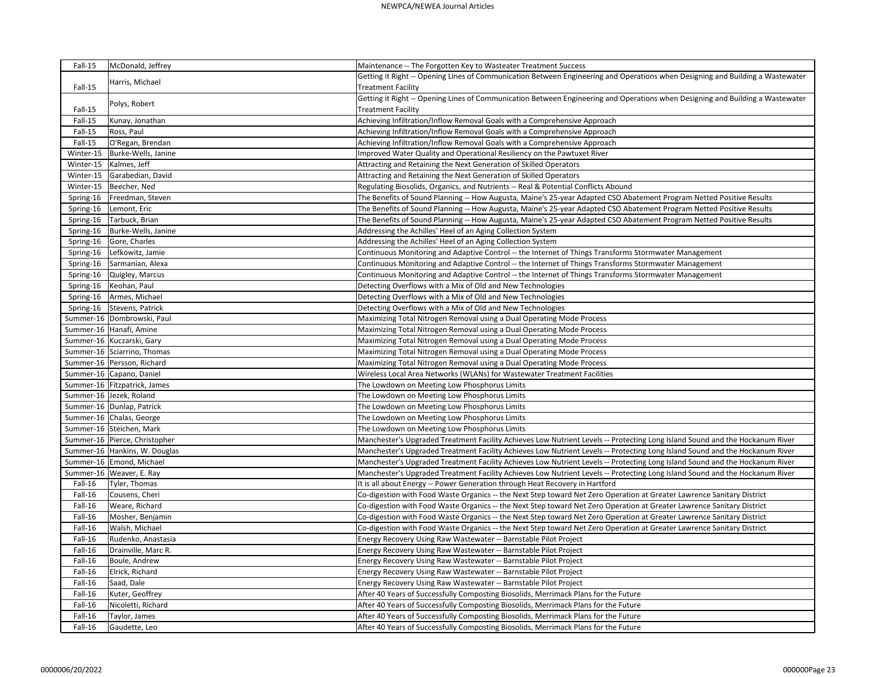| Fall-15   | McDonald, Jeffrey              | Maintenance -- The Forgotten Key to Wasteater Treatment Success                                                                |
|-----------|--------------------------------|--------------------------------------------------------------------------------------------------------------------------------|
|           |                                | Getting it Right -- Opening Lines of Communication Between Engineering and Operations when Designing and Building a Wastewater |
| Fall-15   | Harris, Michael                | <b>Treatment Facility</b>                                                                                                      |
|           |                                | Getting it Right -- Opening Lines of Communication Between Engineering and Operations when Designing and Building a Wastewater |
| Fall-15   | Polys, Robert                  | <b>Treatment Facility</b>                                                                                                      |
| Fall-15   | Kunay, Jonathan                | Achieving Infiltration/Inflow Removal Goals with a Comprehensive Approach                                                      |
| Fall-15   | Ross, Paul                     | Achieving Infiltration/Inflow Removal Goals with a Comprehensive Approach                                                      |
| Fall-15   | O'Regan, Brendan               | Achieving Infiltration/Inflow Removal Goals with a Comprehensive Approach                                                      |
| Winter-15 | Burke-Wells, Janine            | Improved Water Quality and Operational Resiliency on the Pawtuxet River                                                        |
| Winter-15 | Kalmes, Jeff                   | Attracting and Retaining the Next Generation of Skilled Operators                                                              |
| Winter-15 | Garabedian, David              | Attracting and Retaining the Next Generation of Skilled Operators                                                              |
| Winter-15 | Beecher, Ned                   | Regulating Biosolids, Organics, and Nutrients -- Real & Potential Conflicts Abound                                             |
| Spring-16 | Freedman, Steven               | The Benefits of Sound Planning -- How Augusta, Maine's 25-year Adapted CSO Abatement Program Netted Positive Results           |
| Spring-16 | Lemont, Eric                   | The Benefits of Sound Planning -- How Augusta, Maine's 25-year Adapted CSO Abatement Program Netted Positive Results           |
| Spring-16 | Tarbuck, Brian                 | The Benefits of Sound Planning -- How Augusta, Maine's 25-year Adapted CSO Abatement Program Netted Positive Results           |
| Spring-16 | Burke-Wells, Janine            | Addressing the Achilles' Heel of an Aging Collection System                                                                    |
| Spring-16 | Gore, Charles                  | Addressing the Achilles' Heel of an Aging Collection System                                                                    |
| Spring-16 | Lefkowitz, Jamie               | Continuous Monitoring and Adaptive Control -- the Internet of Things Transforms Stormwater Management                          |
| Spring-16 | Sarmanian, Alexa               | Continuous Monitoring and Adaptive Control -- the Internet of Things Transforms Stormwater Management                          |
| Spring-16 | Quigley, Marcus                | Continuous Monitoring and Adaptive Control -- the Internet of Things Transforms Stormwater Management                          |
| Spring-16 | Keohan, Paul                   | Detecting Overflows with a Mix of Old and New Technologies                                                                     |
| Spring-16 | Armes, Michael                 | Detecting Overflows with a Mix of Old and New Technologies                                                                     |
|           | Spring-16   Stevens, Patrick   | Detecting Overflows with a Mix of Old and New Technologies                                                                     |
|           | Summer-16   Dombrowski, Paul   | Maximizing Total Nitrogen Removal using a Dual Operating Mode Process                                                          |
|           | Summer-16 Hanafi, Amine        | Maximizing Total Nitrogen Removal using a Dual Operating Mode Process                                                          |
|           | Summer-16 Kuczarski, Gary      | Maximizing Total Nitrogen Removal using a Dual Operating Mode Process                                                          |
|           | Summer-16 Sciarrino, Thomas    | Maximizing Total Nitrogen Removal using a Dual Operating Mode Process                                                          |
|           | Summer-16 Persson, Richard     | Maximizing Total Nitrogen Removal using a Dual Operating Mode Process                                                          |
|           | Summer-16 Capano, Daniel       | Wireless Local Area Networks (WLANs) for Wastewater Treatment Facilities                                                       |
|           | Summer-16   Fitzpatrick, James | The Lowdown on Meeting Low Phosphorus Limits                                                                                   |
|           | Summer-16 Jezek, Roland        | The Lowdown on Meeting Low Phosphorus Limits                                                                                   |
|           | Summer-16 Dunlap, Patrick      | The Lowdown on Meeting Low Phosphorus Limits                                                                                   |
|           | Summer-16 Chalas, George       | The Lowdown on Meeting Low Phosphorus Limits                                                                                   |
|           | Summer-16 Steichen, Mark       | The Lowdown on Meeting Low Phosphorus Limits                                                                                   |
|           | Summer-16 Pierce, Christopher  | Manchester's Upgraded Treatment Facility Achieves Low Nutrient Levels -- Protecting Long Island Sound and the Hockanum River   |
|           | Summer-16 Hankins, W. Douglas  | Manchester's Upgraded Treatment Facility Achieves Low Nutrient Levels -- Protecting Long Island Sound and the Hockanum River   |
|           | Summer-16 Emond, Michael       | Manchester's Upgraded Treatment Facility Achieves Low Nutrient Levels -- Protecting Long Island Sound and the Hockanum River   |
|           | Summer-16   Weaver, E. Ray     | Manchester's Upgraded Treatment Facility Achieves Low Nutrient Levels -- Protecting Long Island Sound and the Hockanum River   |
| Fall-16   | Tyler, Thomas                  | It is all about Energy -- Power Generation through Heat Recovery in Hartford                                                   |
| Fall-16   | Cousens, Cheri                 | Co-digestion with Food Waste Organics -- the Next Step toward Net Zero Operation at Greater Lawrence Sanitary District         |
| Fall-16   | Weare, Richard                 | Co-digestion with Food Waste Organics -- the Next Step toward Net Zero Operation at Greater Lawrence Sanitary District         |
| Fall-16   | Mosher, Benjamin               | Co-digestion with Food Waste Organics -- the Next Step toward Net Zero Operation at Greater Lawrence Sanitary District         |
| Fall-16   | Walsh, Michael                 | Co-digestion with Food Waste Organics -- the Next Step toward Net Zero Operation at Greater Lawrence Sanitary District         |
| Fall-16   | Rudenko, Anastasia             | Energy Recovery Using Raw Wastewater -- Barnstable Pilot Project                                                               |
| Fall-16   | Drainville, Marc R.            | Energy Recovery Using Raw Wastewater -- Barnstable Pilot Project                                                               |
| Fall-16   | Boule, Andrew                  | Energy Recovery Using Raw Wastewater -- Barnstable Pilot Project                                                               |
| Fall-16   | Elrick, Richard                | Energy Recovery Using Raw Wastewater -- Barnstable Pilot Project                                                               |
| Fall-16   | Saad, Dale                     | Energy Recovery Using Raw Wastewater -- Barnstable Pilot Project                                                               |
| Fall-16   | Kuter, Geoffrey                | After 40 Years of Successfully Composting Biosolids, Merrimack Plans for the Future                                            |
| Fall-16   | Nicoletti, Richard             | After 40 Years of Successfully Composting Biosolids, Merrimack Plans for the Future                                            |
| Fall-16   | Taylor, James                  | After 40 Years of Successfully Composting Biosolids, Merrimack Plans for the Future                                            |
| Fall-16   | Gaudette, Leo                  | After 40 Years of Successfully Composting Biosolids, Merrimack Plans for the Future                                            |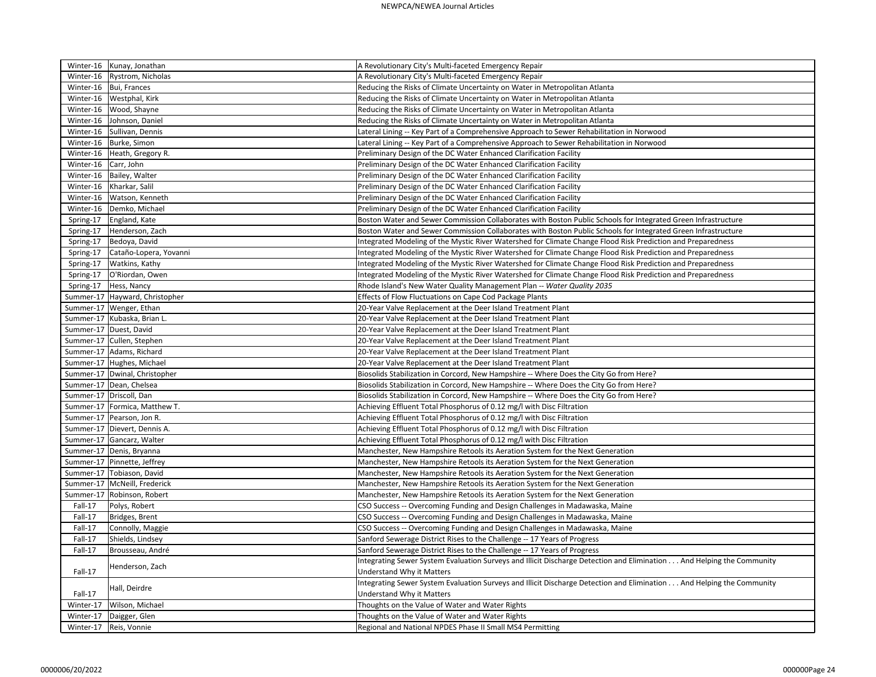|                              | Winter-16   Kunay, Jonathan      | A Revolutionary City's Multi-faceted Emergency Repair                                                                 |
|------------------------------|----------------------------------|-----------------------------------------------------------------------------------------------------------------------|
|                              | Winter-16   Rystrom, Nicholas    | A Revolutionary City's Multi-faceted Emergency Repair                                                                 |
|                              | Winter-16   Bui, Frances         | Reducing the Risks of Climate Uncertainty on Water in Metropolitan Atlanta                                            |
|                              | Winter-16   Westphal, Kirk       | Reducing the Risks of Climate Uncertainty on Water in Metropolitan Atlanta                                            |
|                              | Winter-16   Wood, Shayne         | Reducing the Risks of Climate Uncertainty on Water in Metropolitan Atlanta                                            |
|                              | Winter-16 Johnson, Daniel        | Reducing the Risks of Climate Uncertainty on Water in Metropolitan Atlanta                                            |
|                              | Winter-16   Sullivan, Dennis     | Lateral Lining -- Key Part of a Comprehensive Approach to Sewer Rehabilitation in Norwood                             |
|                              | Winter-16   Burke, Simon         | Lateral Lining -- Key Part of a Comprehensive Approach to Sewer Rehabilitation in Norwood                             |
|                              | Winter-16   Heath, Gregory R.    | Preliminary Design of the DC Water Enhanced Clarification Facility                                                    |
| Winter-16 $\vert$ Carr, John |                                  | Preliminary Design of the DC Water Enhanced Clarification Facility                                                    |
|                              | Winter-16   Bailey, Walter       | Preliminary Design of the DC Water Enhanced Clarification Facility                                                    |
|                              | Winter-16   Kharkar, Salil       | Preliminary Design of the DC Water Enhanced Clarification Facility                                                    |
| Winter-16                    | Watson, Kenneth                  | Preliminary Design of the DC Water Enhanced Clarification Facility                                                    |
|                              | Winter-16   Demko, Michael       | Preliminary Design of the DC Water Enhanced Clarification Facility                                                    |
| Spring-17                    | England, Kate                    | Boston Water and Sewer Commission Collaborates with Boston Public Schools for Integrated Green Infrastructure         |
| Spring-17                    | Henderson, Zach                  | Boston Water and Sewer Commission Collaborates with Boston Public Schools for Integrated Green Infrastructure         |
| Spring-17                    | Bedoya, David                    | Integrated Modeling of the Mystic River Watershed for Climate Change Flood Risk Prediction and Preparedness           |
| Spring-17                    | Cataño-Lopera, Yovanni           | Integrated Modeling of the Mystic River Watershed for Climate Change Flood Risk Prediction and Preparedness           |
| Spring-17                    | <b>Watkins, Kathy</b>            | Integrated Modeling of the Mystic River Watershed for Climate Change Flood Risk Prediction and Preparedness           |
| Spring-17                    | O'Riordan, Owen                  | Integrated Modeling of the Mystic River Watershed for Climate Change Flood Risk Prediction and Preparedness           |
| Spring-17                    | Hess, Nancy                      | Rhode Island's New Water Quality Management Plan -- Water Quality 2035                                                |
|                              | Summer-17   Hayward, Christopher | Effects of Flow Fluctuations on Cape Cod Package Plants                                                               |
|                              | Summer-17   Wenger, Ethan        | 20-Year Valve Replacement at the Deer Island Treatment Plant                                                          |
|                              | Summer-17 Kubaska, Brian L.      | 20-Year Valve Replacement at the Deer Island Treatment Plant                                                          |
|                              | Summer-17 Duest, David           | 20-Year Valve Replacement at the Deer Island Treatment Plant                                                          |
|                              | Summer-17 Cullen, Stephen        | 20-Year Valve Replacement at the Deer Island Treatment Plant                                                          |
|                              | Summer-17 Adams, Richard         | 20-Year Valve Replacement at the Deer Island Treatment Plant                                                          |
|                              | Summer-17 Hughes, Michael        | 20-Year Valve Replacement at the Deer Island Treatment Plant                                                          |
|                              | Summer-17   Dwinal, Christopher  | Biosolids Stabilization in Corcord, New Hampshire -- Where Does the City Go from Here?                                |
|                              | Summer-17 Dean, Chelsea          | Biosolids Stabilization in Corcord, New Hampshire -- Where Does the City Go from Here?                                |
|                              | Summer-17   Driscoll, Dan        | Biosolids Stabilization in Corcord, New Hampshire -- Where Does the City Go from Here?                                |
|                              | Summer-17   Formica, Matthew T.  | Achieving Effluent Total Phosphorus of 0.12 mg/l with Disc Filtration                                                 |
|                              | Summer-17 Pearson, Jon R.        | Achieving Effluent Total Phosphorus of 0.12 mg/l with Disc Filtration                                                 |
|                              | Summer-17 Dievert, Dennis A.     | Achieving Effluent Total Phosphorus of 0.12 mg/l with Disc Filtration                                                 |
|                              | Summer-17 Gancarz, Walter        | Achieving Effluent Total Phosphorus of 0.12 mg/l with Disc Filtration                                                 |
|                              | Summer-17   Denis, Bryanna       | Manchester, New Hampshire Retools its Aeration System for the Next Generation                                         |
|                              | Summer-17 Pinnette, Jeffrey      | Manchester, New Hampshire Retools its Aeration System for the Next Generation                                         |
|                              | Summer-17 Tobiason, David        | Manchester, New Hampshire Retools its Aeration System for the Next Generation                                         |
|                              | Summer-17   McNeill, Frederick   | Manchester, New Hampshire Retools its Aeration System for the Next Generation                                         |
|                              | Summer-17   Robinson, Robert     | Manchester, New Hampshire Retools its Aeration System for the Next Generation                                         |
| Fall-17                      | Polys, Robert                    | CSO Success -- Overcoming Funding and Design Challenges in Madawaska, Maine                                           |
| Fall-17                      | Bridges, Brent                   | CSO Success -- Overcoming Funding and Design Challenges in Madawaska, Maine                                           |
| Fall-17                      | Connolly, Maggie                 | CSO Success -- Overcoming Funding and Design Challenges in Madawaska, Maine                                           |
| Fall-17                      | Shields, Lindsey                 | Sanford Sewerage District Rises to the Challenge -- 17 Years of Progress                                              |
| Fall-17                      | Brousseau, André                 | Sanford Sewerage District Rises to the Challenge -- 17 Years of Progress                                              |
|                              |                                  | Integrating Sewer System Evaluation Surveys and Illicit Discharge Detection and Elimination And Helping the Community |
| Fall-17                      | Henderson, Zach                  | <b>Understand Why it Matters</b>                                                                                      |
|                              |                                  | Integrating Sewer System Evaluation Surveys and Illicit Discharge Detection and Elimination And Helping the Community |
| Fall-17                      | Hall, Deirdre                    | Understand Why it Matters                                                                                             |
| Winter-17                    | Wilson, Michael                  | Thoughts on the Value of Water and Water Rights                                                                       |
| Winter-17                    | Daigger, Glen                    | Thoughts on the Value of Water and Water Rights                                                                       |
| Winter-17                    | Reis, Vonnie                     | Regional and National NPDES Phase II Small MS4 Permitting                                                             |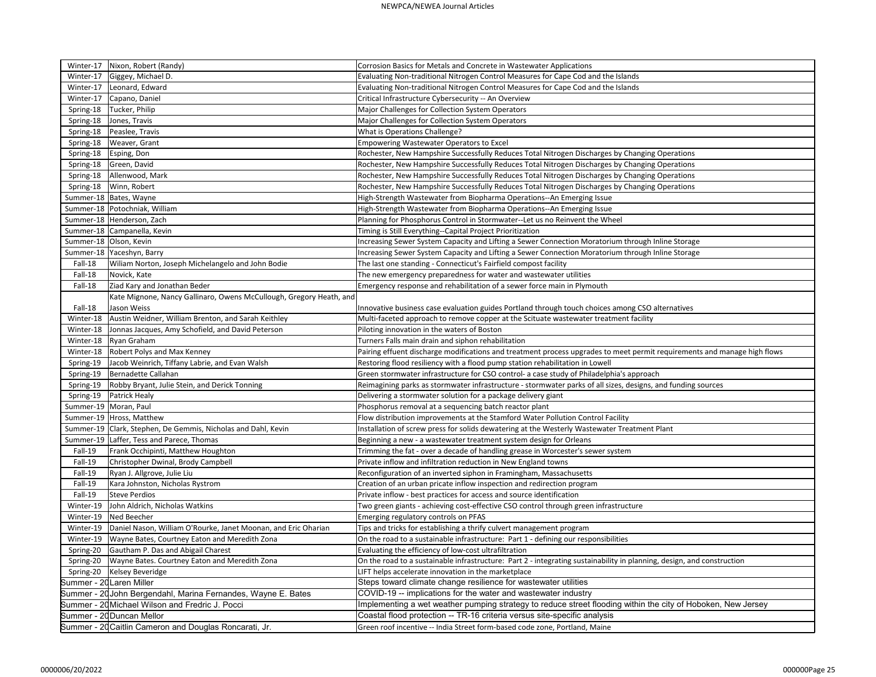|                         | Winter-17   Nixon, Robert (Randy)                                                                                | Corrosion Basics for Metals and Concrete in Wastewater Applications                                                               |
|-------------------------|------------------------------------------------------------------------------------------------------------------|-----------------------------------------------------------------------------------------------------------------------------------|
| Winter-17               | Giggey, Michael D.                                                                                               | Evaluating Non-traditional Nitrogen Control Measures for Cape Cod and the Islands                                                 |
| Winter-17               | Leonard, Edward                                                                                                  | Evaluating Non-traditional Nitrogen Control Measures for Cape Cod and the Islands                                                 |
| Winter-17               | Capano, Daniel                                                                                                   | Critical Infrastructure Cybersecurity -- An Overview                                                                              |
| Spring-18               | Tucker, Philip                                                                                                   | Major Challenges for Collection System Operators                                                                                  |
| Spring-18               | Jones, Travis                                                                                                    | Major Challenges for Collection System Operators                                                                                  |
| Spring-18               | Peaslee, Travis                                                                                                  | What is Operations Challenge?                                                                                                     |
| Spring-18               | <b>Weaver, Grant</b>                                                                                             | <b>Empowering Wastewater Operators to Excel</b>                                                                                   |
| Spring-18               | Esping, Don                                                                                                      | Rochester, New Hampshire Successfully Reduces Total Nitrogen Discharges by Changing Operations                                    |
| Spring-18               | Green, David                                                                                                     | Rochester, New Hampshire Successfully Reduces Total Nitrogen Discharges by Changing Operations                                    |
| Spring-18               | Allenwood, Mark                                                                                                  | Rochester, New Hampshire Successfully Reduces Total Nitrogen Discharges by Changing Operations                                    |
| Spring-18               | Winn, Robert                                                                                                     | Rochester, New Hampshire Successfully Reduces Total Nitrogen Discharges by Changing Operations                                    |
|                         | Summer-18   Bates, Wayne                                                                                         | High-Strength Wastewater from Biopharma Operations--An Emerging Issue                                                             |
|                         | Summer-18   Potochniak, William                                                                                  | High-Strength Wastewater from Biopharma Operations--An Emerging Issue                                                             |
|                         | Summer-18 Henderson, Zach                                                                                        | Planning for Phosphorus Control in Stormwater--Let us no Reinvent the Wheel                                                       |
|                         | Summer-18 Campanella, Kevin                                                                                      | Timing is Still Everything--Capital Project Prioritization                                                                        |
| Summer-18 Olson, Kevin  |                                                                                                                  | Increasing Sewer System Capacity and Lifting a Sewer Connection Moratorium through Inline Storage                                 |
|                         | Summer-18 Yaceshyn, Barry                                                                                        | Increasing Sewer System Capacity and Lifting a Sewer Connection Moratorium through Inline Storage                                 |
| Fall-18                 | Wiliam Norton, Joseph Michelangelo and John Bodie                                                                | The last one standing - Connecticut's Fairfield compost facility                                                                  |
| Fall-18                 | Novick, Kate                                                                                                     | The new emergency preparedness for water and wastewater utilities                                                                 |
| Fall-18                 | Ziad Kary and Jonathan Beder                                                                                     | Emergency response and rehabilitation of a sewer force main in Plymouth                                                           |
|                         | Kate Mignone, Nancy Gallinaro, Owens McCullough, Gregory Heath, and                                              |                                                                                                                                   |
| Fall-18                 | Jason Weiss                                                                                                      | Innovative business case evaluation guides Portland through touch choices among CSO alternatives                                  |
| Winter-18               | Austin Weidner, William Brenton, and Sarah Keithley                                                              | Multi-faceted approach to remove copper at the Scituate wastewater treatment facility                                             |
| Winter-18               | Jonnas Jacques, Amy Schofield, and David Peterson                                                                | Piloting innovation in the waters of Boston                                                                                       |
| Winter-18               | Ryan Graham                                                                                                      | Turners Falls main drain and siphon rehabilitation                                                                                |
| Winter-18               | <b>Robert Polys and Max Kenney</b>                                                                               | Pairing effuent discharge modifications and treatment process upgrades to meet permit requirements and manage high flows          |
| Spring-19               | Jacob Weinrich, Tiffany Labrie, and Evan Walsh                                                                   | Restoring flood resiliency with a flood pump station rehabilitation in Lowell                                                     |
| Spring-19               | Bernadette Callahan                                                                                              | Green stormwater infrastructure for CSO control- a case study of Philadelphia's approach                                          |
| Spring-19               | Robby Bryant, Julie Stein, and Derick Tonning                                                                    | Reimagining parks as stormwater infrastructure - stormwater parks of all sizes, designs, and funding sources                      |
| Spring-19               | Patrick Healy                                                                                                    | Delivering a stormwater solution for a package delivery giant                                                                     |
| Summer-19   Moran, Paul |                                                                                                                  | Phosphorus removal at a sequencing batch reactor plant                                                                            |
|                         | Summer-19   Hross, Matthew                                                                                       | Flow distribution improvements at the Stamford Water Pollution Control Facility                                                   |
|                         | Summer-19   Clark, Stephen, De Gemmis, Nicholas and Dahl, Kevin                                                  | Installation of screw press for solids dewatering at the Westerly Wastewater Treatment Plant                                      |
|                         | Summer-19   Laffer, Tess and Parece, Thomas                                                                      | Beginning a new - a wastewater treatment system design for Orleans                                                                |
| Fall-19                 | Frank Occhipinti, Matthew Houghton                                                                               | Trimming the fat - over a decade of handling grease in Worcester's sewer system                                                   |
| Fall-19                 | Christopher Dwinal, Brody Campbell                                                                               | Private inflow and infiltration reduction in New England towns                                                                    |
| Fall-19                 | Ryan J. Allgrove, Julie Liu                                                                                      | Reconfiguration of an inverted siphon in Framingham, Massachusetts                                                                |
| Fall-19                 | Kara Johnston, Nicholas Rystrom                                                                                  | Creation of an urban pricate inflow inspection and redirection program                                                            |
| Fall-19                 | Steve Perdios                                                                                                    | Private inflow - best practices for access and source identification                                                              |
| Winter-19               | John Aldrich, Nicholas Watkins                                                                                   | Two green giants - achieving cost-effective CSO control through green infrastructure                                              |
| Winter-19               | Ned Beecher                                                                                                      | Emerging regulatory controls on PFAS                                                                                              |
| Winter-19               | Daniel Nason, William O'Rourke, Janet Moonan, and Eric Oharian                                                   | Tips and tricks for establishing a thrify culvert management program                                                              |
| Winter-19               | Wayne Bates, Courtney Eaton and Meredith Zona                                                                    | On the road to a sustainable infrastructure: Part 1 - defining our responsibilities                                               |
| Spring-20               | Gautham P. Das and Abigail Charest                                                                               | Evaluating the efficiency of low-cost ultrafiltration                                                                             |
| Spring-20               | Wayne Bates. Courtney Eaton and Meredith Zona                                                                    | On the road to a sustainable infrastructure: Part 2 - integrating sustainability in planning, design, and construction            |
| Spring-20               | Kelsey Beveridge                                                                                                 | LIFT helps accelerate innovation in the marketplace                                                                               |
|                         | summer - 20Laren Miller                                                                                          | Steps toward climate change resilience for wastewater utilities<br>COVID-19 -- implications for the water and wastewater industry |
|                         | Summer - 20 John Bergendahl, Marina Fernandes, Wayne E. Bates<br>Summer - 20 Michael Wilson and Fredric J. Pocci | Implementing a wet weather pumping strategy to reduce street flooding within the city of Hoboken, New Jersey                      |
|                         | Summer - 20 Duncan Mellor                                                                                        | Coastal flood protection -- TR-16 criteria versus site-specific analysis                                                          |
|                         | Summer - 20 Caitlin Cameron and Douglas Roncarati, Jr.                                                           |                                                                                                                                   |
|                         |                                                                                                                  | Green roof incentive -- India Street form-based code zone, Portland, Maine                                                        |